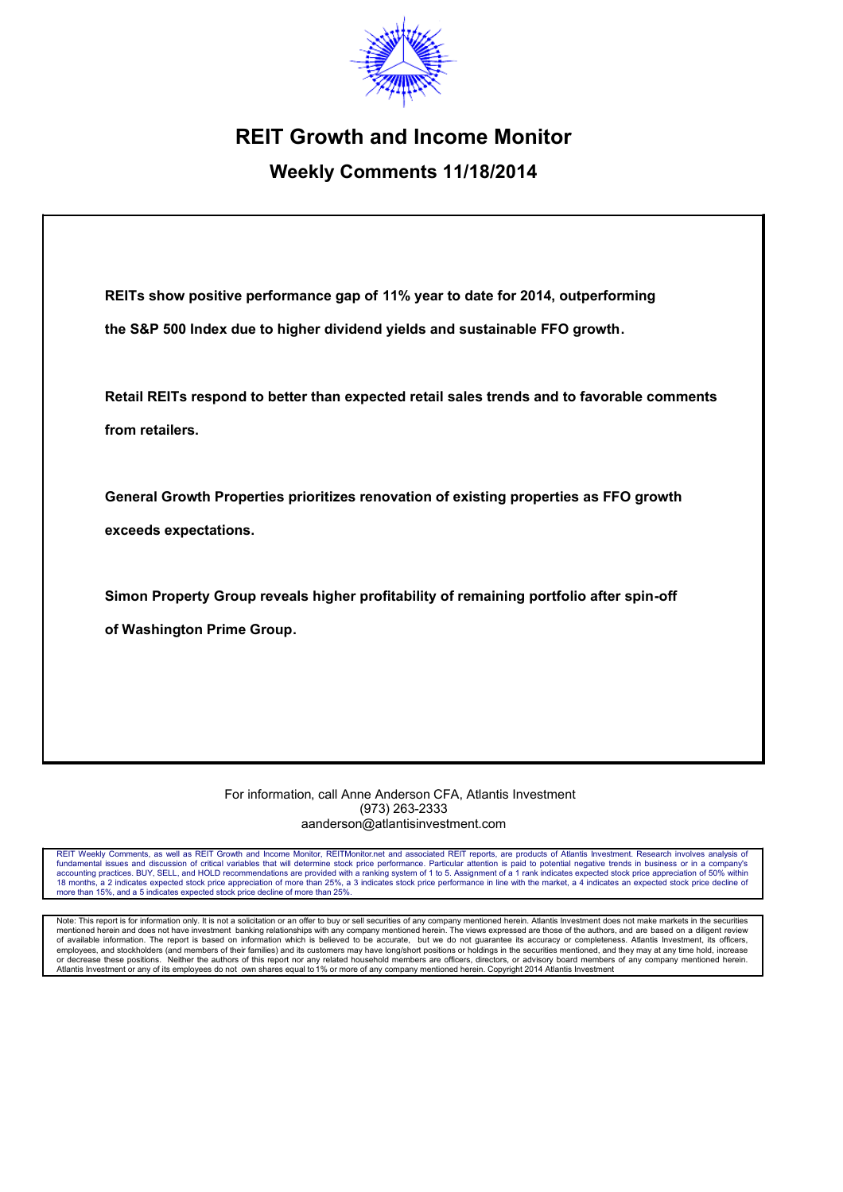

# **REIT Growth and Income Monitor**

## **Weekly Comments 11/18/2014**

| REITs show positive performance gap of 11% year to date for 2014, outperforming            |
|--------------------------------------------------------------------------------------------|
| the S&P 500 Index due to higher dividend yields and sustainable FFO growth.                |
| Retail REITs respond to better than expected retail sales trends and to favorable comments |
| from retailers.                                                                            |
| General Growth Properties prioritizes renovation of existing properties as FFO growth      |
| exceeds expectations.                                                                      |
| Simon Property Group reveals higher profitability of remaining portfolio after spin-off    |
| of Washington Prime Group.                                                                 |
|                                                                                            |
|                                                                                            |
|                                                                                            |

For information, call Anne Anderson CFA, Atlantis Investment (973) 263-2333 aanderson@atlantisinvestment.com

REIT Weekly Comments, as well as REIT Growth and Income Monitor, REITMonitor.net and associated REIT reports, are products of Atlantis Investment. Research involves analysis of fundamental issues and discussion of critical more than 15%, and a 5 indicates expected stock price decline of more than 25%.

Note: This report is for information only. It is not a solicitation or an offer to buy or sell securities of any company mentioned herein. Atlantis Investment does not make markets in the securities<br>mentioned herein and do of available information. The report is based on information which is believed to be accurate, but we do not guarantee its accuracy or completeness. Atlantis Investment, its officers,<br>employees, and stockholders (and membe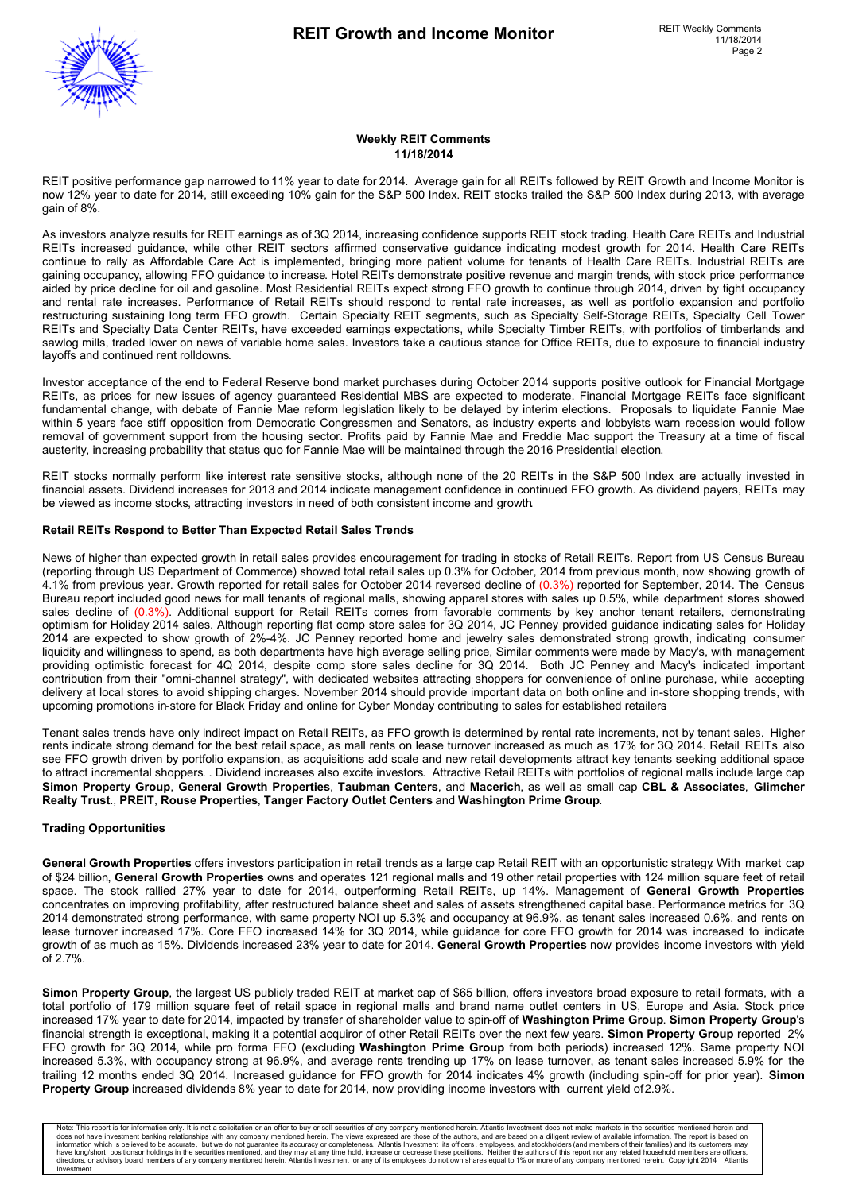

#### **Weekly REIT Comments 11/18/2014**

REIT positive performance gap narrowed to 11% year to date for 2014. Average gain for all REITs followed by REIT Growth and Income Monitor is now 12% year to date for 2014, still exceeding 10% gain for the S&P 500 Index. REIT stocks trailed the S&P 500 Index during 2013, with average gain of 8%.

As investors analyze results for REIT earnings as of 3Q 2014, increasing confidence supports REIT stock trading. Health Care REITs and Industrial REITs increased guidance, while other REIT sectors affirmed conservative guidance indicating modest growth for 2014. Health Care REITs continue to rally as Affordable Care Act is implemented, bringing more patient volume for tenants of Health Care REITs. Industrial REITs are gaining occupancy, allowing FFO guidance to increase. Hotel REITs demonstrate positive revenue and margin trends, with stock price performance aided by price decline for oil and gasoline. Most Residential REITs expect strong FFO growth to continue through 2014, driven by tight occupancy and rental rate increases. Performance of Retail REITs should respond to rental rate increases, as well as portfolio expansion and portfolio restructuring sustaining long term FFO growth. Certain Specialty REIT segments, such as Specialty Self-Storage REITs, Specialty Cell Tower REITs and Specialty Data Center REITs, have exceeded earnings expectations, while Specialty Timber REITs, with portfolios of timberlands and sawlog mills, traded lower on news of variable home sales. Investors take a cautious stance for Office REITs, due to exposure to financial industry layoffs and continued rent rolldowns.

Investor acceptance of the end to Federal Reserve bond market purchases during October 2014 supports positive outlook for Financial Mortgage REITs, as prices for new issues of agency guaranteed Residential MBS are expected to moderate. Financial Mortgage REITs face significant fundamental change, with debate of Fannie Mae reform legislation likely to be delayed by interim elections. Proposals to liquidate Fannie Mae within 5 years face stiff opposition from Democratic Congressmen and Senators, as industry experts and lobbyists warn recession would follow removal of government support from the housing sector. Profits paid by Fannie Mae and Freddie Mac support the Treasury at a time of fiscal austerity, increasing probability that status quo for Fannie Mae will be maintained through the 2016 Presidential election.

REIT stocks normally perform like interest rate sensitive stocks, although none of the 20 REITs in the S&P 500 Index are actually invested in financial assets. Dividend increases for 2013 and 2014 indicate management confidence in continued FFO growth. As dividend payers, REITs may be viewed as income stocks, attracting investors in need of both consistent income and growth.

#### **Retail REITs Respond to Better Than Expected Retail Sales Trends**

News of higher than expected growth in retail sales provides encouragement for trading in stocks of Retail REITs. Report from US Census Bureau (reporting through US Department of Commerce) showed total retail sales up 0.3% for October, 2014 from previous month, now showing growth of 4.1% from previous year. Growth reported for retail sales for October 2014 reversed decline of (0.3%) reported for September, 2014. The Census Bureau report included good news for mall tenants of regional malls, showing apparel stores with sales up 0.5%, while department stores showed sales decline of (0.3%). Additional support for Retail REITs comes from favorable comments by key anchor tenant retailers, demonstrating optimism for Holiday 2014 sales. Although reporting flat comp store sales for 3Q 2014, JC Penney provided guidance indicating sales for Holiday 2014 are expected to show growth of 2%-4%. JC Penney reported home and jewelry sales demonstrated strong growth, indicating consumer liquidity and willingness to spend, as both departments have high average selling price, Similar comments were made by Macy's, with management providing optimistic forecast for 4Q 2014, despite comp store sales decline for 3Q 2014. Both JC Penney and Macy's indicated important contribution from their "omni-channel strategy", with dedicated websites attracting shoppers for convenience of online purchase, while accepting delivery at local stores to avoid shipping charges. November 2014 should provide important data on both online and in-store shopping trends, with upcoming promotions in-store for Black Friday and online for Cyber Monday contributing to sales for established retailers.

Tenant sales trends have only indirect impact on Retail REITs, as FFO growth is determined by rental rate increments, not by tenant sales. Higher rents indicate strong demand for the best retail space, as mall rents on lease turnover increased as much as 17% for 3Q 2014. Retail REITs also see FFO growth driven by portfolio expansion, as acquisitions add scale and new retail developments attract key tenants seeking additional space to attract incremental shoppers. . Dividend increases also excite investors. Attractive Retail REITs with portfolios of regional malls include large cap **Simon Property Group**, **General Growth Properties**, **Taubman Centers**, and **Macerich**, as well as small cap **CBL & Associates**, **Glimcher Realty Trust**., **PREIT**, **Rouse Properties**, **Tanger Factory Outlet Centers** and **Washington Prime Group**.

#### **Trading Opportunities**

**General Growth Properties** offers investors participation in retail trends as a large cap Retail REIT with an opportunistic strategy. With market cap of \$24 billion, **General Growth Properties** owns and operates 121 regional malls and 19 other retail properties with 124 million square feet of retail space. The stock rallied 27% year to date for 2014, outperforming Retail REITs, up 14%. Management of **General Growth Properties** concentrates on improving profitability, after restructured balance sheet and sales of assets strengthened capital base. Performance metrics for 3Q 2014 demonstrated strong performance, with same property NOI up 5.3% and occupancy at 96.9%, as tenant sales increased 0.6%, and rents on lease turnover increased 17%. Core FFO increased 14% for 3Q 2014, while guidance for core FFO growth for 2014 was increased to indicate growth of as much as 15%. Dividends increased 23% year to date for 2014. **General Growth Properties** now provides income investors with yield  $of 2.7\%$ 

**Simon Property Group**, the largest US publicly traded REIT at market cap of \$65 billion, offers investors broad exposure to retail formats, with a total portfolio of 179 million square feet of retail space in regional malls and brand name outlet centers in US, Europe and Asia. Stock price increased 17% year to date for 2014, impacted by transfer of shareholder value to spin-off of **Washington Prime Group**. **Simon Property Group**'s financial strength is exceptional, making it a potential acquiror of other Retail REITs over the next few years. **Simon Property Group** reported 2% FFO growth for 3Q 2014, while pro forma FFO (excluding **Washington Prime Group** from both periods) increased 12%. Same property NOI increased 5.3%, with occupancy strong at 96.9%, and average rents trending up 17% on lease turnover, as tenant sales increased 5.9% for the trailing 12 months ended 3Q 2014. Increased guidance for FFO growth for 2014 indicates 4% growth (including spin-off for prior year). **Simon Property Group** increased dividends 8% year to date for 2014, now providing income investors with current yield of 2.9%.

Note: This report is for information only. It is not a solicitation or an offer to buy or sell securities of any company mentioned herein. Atlantiis lines and a these more investment thanking relations in the securities me Investment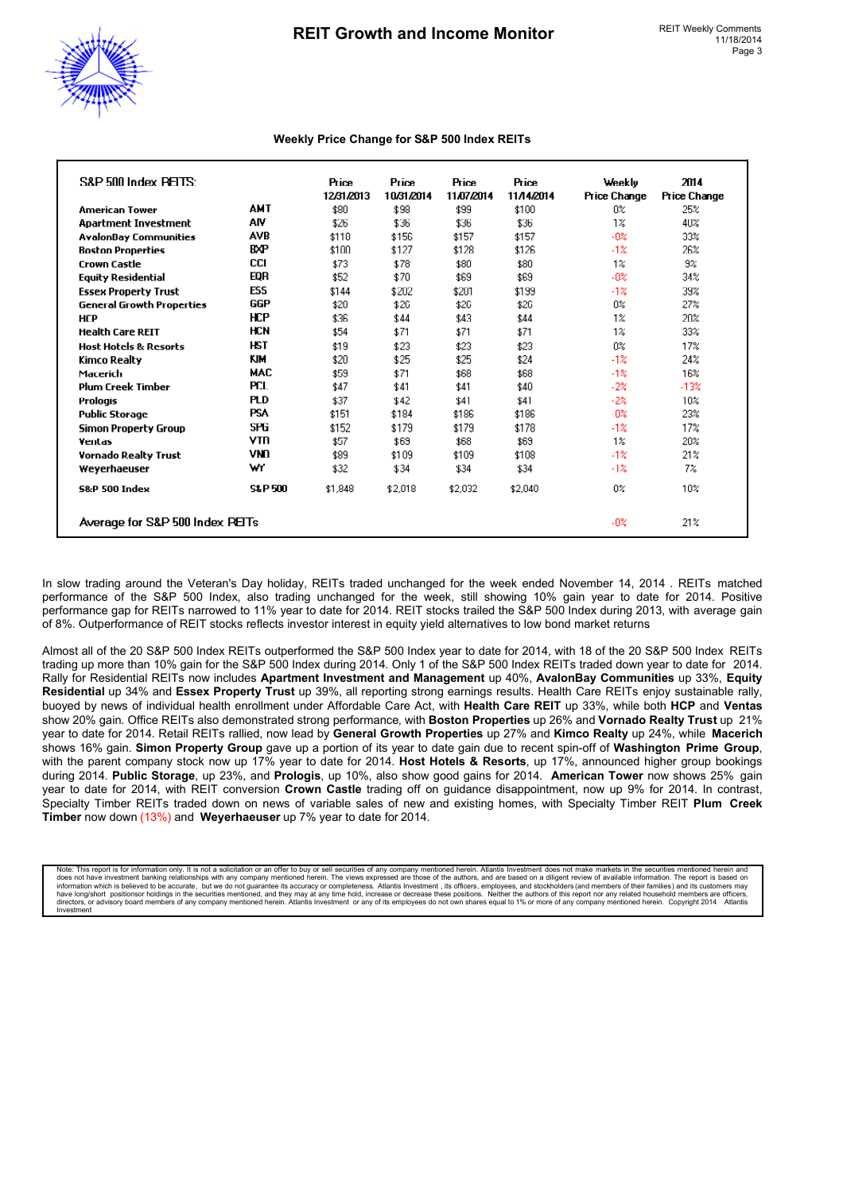

#### **Weekly Price Change for S&P 500 Index REITs**

| S&P 500 Index BELTS:             |                   | <b>Price</b><br>12/31/2013 | <b>Price</b><br>10/31/2014 | <b>Price</b><br>11.07.2014 | <b>Price</b><br>11/14/2014 | Weekly<br><b>Price Change</b> | 2M4<br><b>Price Change</b> |
|----------------------------------|-------------------|----------------------------|----------------------------|----------------------------|----------------------------|-------------------------------|----------------------------|
| <b>American Tower</b>            | <b>AMT</b>        | \$80                       | \$98                       | \$99                       | \$100                      | 0%                            | 25%                        |
| <b>Apartment Investment</b>      | AIV               | \$26                       | \$36                       | \$36                       | \$36                       | $1\%$                         | 40%                        |
| <b>AvalonBay Communities</b>     | AVB               | \$118                      | \$156                      | \$157                      | \$157                      | $-02$                         | 33%                        |
| <b>Boston Properties</b>         | <b>BXP</b>        | \$100                      | \$127                      | \$128                      | \$126                      | $-1%$                         | 26%                        |
| <b>Crown Castle</b>              | <b>CCI</b>        | \$73                       | \$78                       | \$80                       | \$80                       | $1\%$                         | 9%                         |
| <b>Equity Residential</b>        | EQR               | \$52                       | \$70                       | \$69                       | \$69                       | $-02$                         | 34%                        |
| <b>Essex Property Trust</b>      | <b>ESS</b>        | \$144                      | \$202                      | \$201                      | \$199                      | $-1%$                         | 39%                        |
| <b>General Growth Properties</b> | GGP               | \$20                       | \$26                       | \$26                       | \$26                       | $0\%$                         | 27%                        |
| <b>HCP</b>                       | <b>HCP</b>        | \$36                       | \$44                       | \$43                       | \$44                       | $1\%$                         | 20%                        |
| <b>Health Care REIT</b>          | <b>HCN</b>        | \$54                       | \$71                       | \$71                       | \$71                       | $1\%$                         | 33%                        |
| <b>Host Hotels &amp; Resorts</b> | <b>HST</b>        | \$19                       | \$23                       | \$23                       | \$23                       | 0%                            | 17%                        |
| Kimco Realty                     | KIM               | \$20                       | \$25                       | \$25                       | \$24                       | $-1%$                         | 24%                        |
| Macerich                         | <b>MAC</b>        | \$59                       | \$71                       | \$68                       | \$68                       | $-1%$                         | 16%                        |
| <b>Plum Creek Timber</b>         | <b>PCL</b>        | \$47                       | \$41                       | \$41                       | \$40                       | $-2\%$                        | $-13%$                     |
| Prologis                         | <b>PLD</b>        | \$37                       | \$42                       | \$41                       | \$41                       | $-2\%$                        | 10%                        |
| <b>Public Storage</b>            | <b>PSA</b>        | \$151                      | \$184                      | \$186                      | \$186                      | $-0\%$                        | 23%                        |
| <b>Simon Property Group</b>      | <b>SPG</b>        | \$152                      | \$179                      | \$179                      | \$178                      | $-1%$                         | 17%                        |
| Ventas                           | <b>VTR</b>        | \$57                       | \$69                       | \$68                       | \$69                       | $1\%$                         | 20%                        |
| <b>Vornado Realty Trust</b>      | <b>VNO</b>        | \$89                       | \$109                      | \$109                      | \$108                      | $-1%$                         | 21%                        |
| Weyerhaeuser                     | w                 | \$32                       | \$34                       | \$34                       | \$34                       | $-1\%$                        | 7%                         |
| <b>S&amp;P 500 Index</b>         | <b>S&amp;P500</b> | \$1,848                    | \$2,018                    | \$2,032                    | \$2,040                    | 0%                            | 10%                        |
| Average for S&P 500 Index PEITs  |                   |                            |                            |                            |                            | $-0\%$                        | 21%                        |

In slow trading around the Veteran's Day holiday, REITs traded unchanged for the week ended November 14, 2014 . REITs matched performance of the S&P 500 Index, also trading unchanged for the week, still showing 10% gain year to date for 2014. Positive performance gap for REITs narrowed to 11% year to date for 2014. REIT stocks trailed the S&P 500 Index during 2013, with average gain of 8%. Outperformance of REIT stocks reflects investor interest in equity yield alternatives to low bond market returns.

Almost all of the 20 S&P 500 Index REITs outperformed the S&P 500 Index year to date for 2014, with 18 of the 20 S&P 500 Index REITs trading up more than 10% gain for the S&P 500 Index during 2014. Only 1 of the S&P 500 Index REITs traded down year to date for 2014. Rally for Residential REITs now includes **Apartment Investment and Management** up 40%, **AvalonBay Communities** up 33%, **Equity Residential** up 34% and **Essex Property Trust** up 39%, all reporting strong earnings results. Health Care REITs enjoy sustainable rally, buoyed by news of individual health enrollment under Affordable Care Act, with **Health Care REIT** up 33%, while both **HCP** and **Ventas** show 20% gain. Office REITs also demonstrated strong performance, with **Boston Properties** up 26% and **Vornado Realty Trust** up 21% year to date for 2014. Retail REITs rallied, now lead by **General Growth Properties** up 27% and **Kimco Realty** up 24%, while **Macerich** shows 16% gain. **Simon Property Group** gave up a portion of its year to date gain due to recent spin-off of **Washington Prime Group**, with the parent company stock now up 17% year to date for 2014. **Host Hotels & Resorts**, up 17%, announced higher group bookings during 2014. **Public Storage**, up 23%, and **Prologis**, up 10%, also show good gains for 2014. **American Tower** now shows 25% gain year to date for 2014, with REIT conversion **Crown Castle** trading off on guidance disappointment, now up 9% for 2014. In contrast, Specialty Timber REITs traded down on news of variable sales of new and existing homes, with Specialty Timber REIT **Plum Creek Timber** now down (13%) and **Weyerhaeuser** up 7% year to date for 2014.

Note: This report is for information only. It is not a solicitation or an offer to buy or sell securities of any company mentioned herein. Atlantis Investment does not make markets in the securities mentioned herein and di directors, or advisory board members of any company mentioned herein. Atlantis Investment or any of its employees do not own shares equal to 1% or more of any company mentioned herein. Copyright 2014 Atlantis Investment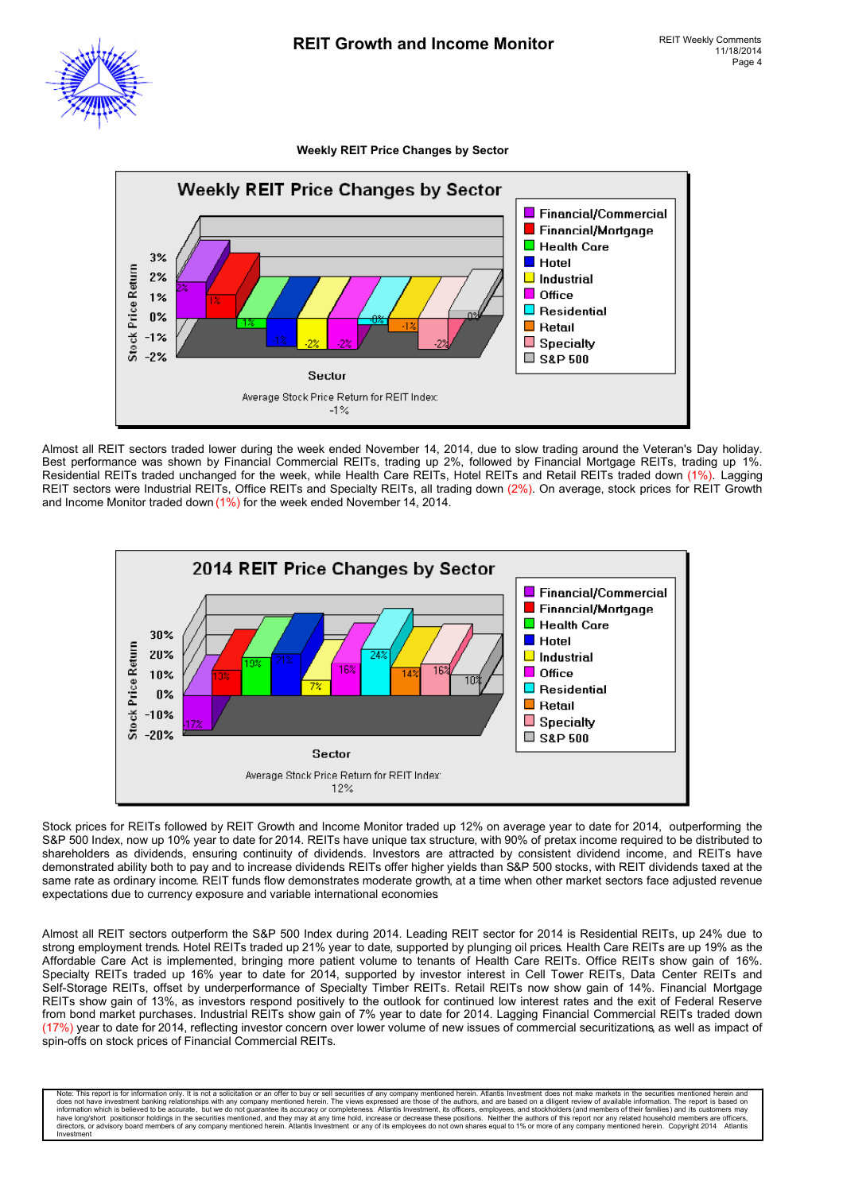

**Weekly REIT Price Changes by Sector**



Almost all REIT sectors traded lower during the week ended November 14, 2014, due to slow trading around the Veteran's Day holiday. Best performance was shown by Financial Commercial REITs, trading up 2%, followed by Financial Mortgage REITs, trading up 1%. Residential REITs traded unchanged for the week, while Health Care REITs, Hotel REITs and Retail REITs traded down (1%). Lagging REIT sectors were Industrial REITs, Office REITs and Specialty REITs, all trading down (2%). On average, stock prices for REIT Growth and Income Monitor traded down (1%) for the week ended November 14, 2014.



Stock prices for REITs followed by REIT Growth and Income Monitor traded up 12% on average year to date for 2014, outperforming the S&P 500 Index, now up 10% year to date for 2014. REITs have unique tax structure, with 90% of pretax income required to be distributed to shareholders as dividends, ensuring continuity of dividends. Investors are attracted by consistent dividend income, and REITs have demonstrated ability both to pay and to increase dividends. REITs offer higher yields than S&P 500 stocks, with REIT dividends taxed at the same rate as ordinary income. REIT funds flow demonstrates moderate growth, at a time when other market sectors face adjusted revenue expectations due to currency exposure and variable international economies.

Almost all REIT sectors outperform the S&P 500 Index during 2014. Leading REIT sector for 2014 is Residential REITs, up 24% due to strong employment trends. Hotel REITs traded up 21% year to date, supported by plunging oil prices. Health Care REITs are up 19% as the Affordable Care Act is implemented, bringing more patient volume to tenants of Health Care REITs. Office REITs show gain of 16%. Specialty REITs traded up 16% year to date for 2014, supported by investor interest in Cell Tower REITs, Data Center REITs and Self-Storage REITs, offset by underperformance of Specialty Timber REITs. Retail REITs now show gain of 14%. Financial Mortgage REITs show gain of 13%, as investors respond positively to the outlook for continued low interest rates and the exit of Federal Reserve from bond market purchases. Industrial REITs show gain of 7% year to date for 2014. Lagging Financial Commercial REITs traded down (17%) year to date for 2014, reflecting investor concern over lower volume of new issues of commercial securitizations, as well as impact of spin-offs on stock prices of Financial Commercial REITs.

Note: This report is for information only. It is not a solicitation or an offer to buy or sell securities of any company mentioned herein. Atlantis Investment does not make markets in the securities mentioned herein and by have long/short positionsor holdings in the securities mentioned, and they may at any time hold, increase or decrease these positions. Neither the authors of this report nor any related household members are officers,<br>dire Investment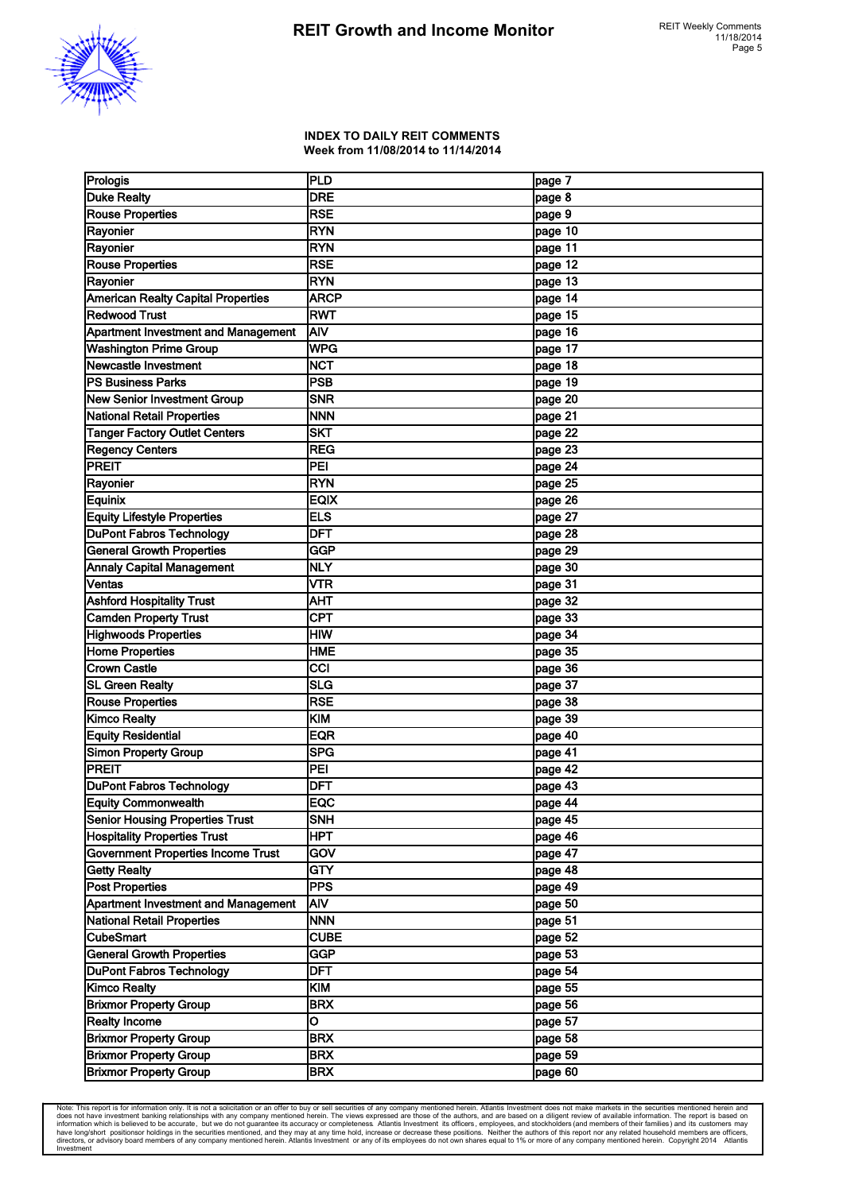

#### **INDEX TO DAILY REIT COMMENTS Week from 11/08/2014 to 11/14/2014**

| Prologis                                   | PLD         | page 7  |
|--------------------------------------------|-------------|---------|
| <b>Duke Realty</b>                         | <b>DRE</b>  | page 8  |
| <b>Rouse Properties</b>                    | <b>RSE</b>  | page 9  |
| Rayonier                                   | <b>RYN</b>  | page 10 |
| Rayonier                                   | <b>RYN</b>  | page 11 |
| <b>Rouse Properties</b>                    | <b>RSE</b>  | page 12 |
| Rayonier                                   | <b>RYN</b>  | page 13 |
| <b>American Realty Capital Properties</b>  | <b>ARCP</b> | page 14 |
| <b>Redwood Trust</b>                       | <b>RWT</b>  | page 15 |
| Apartment Investment and Management        | AIV         | page 16 |
| <b>Washington Prime Group</b>              | <b>WPG</b>  | page 17 |
| Newcastle Investment                       | <b>NCT</b>  | page 18 |
| <b>PS Business Parks</b>                   | <b>PSB</b>  | page 19 |
|                                            | <b>SNR</b>  | page 20 |
| <b>New Senior Investment Group</b>         | <b>NNN</b>  |         |
| National Retail Properties                 | <b>SKT</b>  | page 21 |
| <b>Tanger Factory Outlet Centers</b>       | <b>REG</b>  | page 22 |
| <b>Regency Centers</b>                     |             | page 23 |
| <b>PREIT</b>                               | PEI         | page 24 |
| Rayonier                                   | <b>RYN</b>  | page 25 |
| Equinix                                    | <b>EQIX</b> | page 26 |
| <b>Equity Lifestyle Properties</b>         | ELS         | page 27 |
| <b>DuPont Fabros Technology</b>            | <b>DFT</b>  | page 28 |
| <b>General Growth Properties</b>           | GGP         | page 29 |
| Annaly Capital Management                  | <b>NLY</b>  | page 30 |
| Ventas                                     | <b>VTR</b>  | page 31 |
| <b>Ashford Hospitality Trust</b>           | <b>AHT</b>  | page 32 |
| <b>Camden Property Trust</b>               | <b>CPT</b>  | page 33 |
| <b>Highwoods Properties</b>                | <b>HIW</b>  | page 34 |
| <b>Home Properties</b>                     | <b>HME</b>  | page 35 |
| <b>Crown Castle</b>                        | CCI         | page 36 |
| <b>SL Green Realty</b>                     | <b>SLG</b>  | page 37 |
| <b>Rouse Properties</b>                    | <b>RSE</b>  | page 38 |
| <b>Kimco Realty</b>                        | KIM         | page 39 |
| <b>Equity Residential</b>                  | <b>EQR</b>  | page 40 |
| <b>Simon Property Group</b>                | <b>SPG</b>  | page 41 |
| <b>PREIT</b>                               | PEI         | page 42 |
| DuPont Fabros Technology                   | <b>DFT</b>  | page 43 |
| <b>Equity Commonwealth</b>                 | <b>EQC</b>  | page 44 |
| Senior Housing Properties Trust            | <b>SNH</b>  | page 45 |
| <b>Hospitality Properties Trust</b>        | <b>HPT</b>  | page 46 |
| <b>Government Properties Income Trust</b>  | GOV         | page 47 |
| <b>Getty Realty</b>                        | GTY         | page 48 |
| <b>Post Properties</b>                     | <b>PPS</b>  | page 49 |
| <b>Apartment Investment and Management</b> | AIV         | page 50 |
| <b>National Retail Properties</b>          | <b>NNN</b>  | page 51 |
| <b>CubeSmart</b>                           | <b>CUBE</b> | page 52 |
| <b>General Growth Properties</b>           | GGP         | page 53 |
|                                            |             |         |
| <b>DuPont Fabros Technology</b>            | <b>DFT</b>  | page 54 |
| <b>Kimco Realty</b>                        | <b>KIM</b>  | page 55 |
| <b>Brixmor Property Group</b>              | <b>BRX</b>  | page 56 |
| <b>Realty Income</b>                       | O           | page 57 |
| <b>Brixmor Property Group</b>              | <b>BRX</b>  | page 58 |
| <b>Brixmor Property Group</b>              | <b>BRX</b>  | page 59 |
| <b>Brixmor Property Group</b>              | <b>BRX</b>  | page 60 |

Note: This report is for information only. It is not a solicitation or an offer to buy or sell securities of any company mentioned herein. Atlantiis lines and the sease of the and the seased on a diligent review of availab estment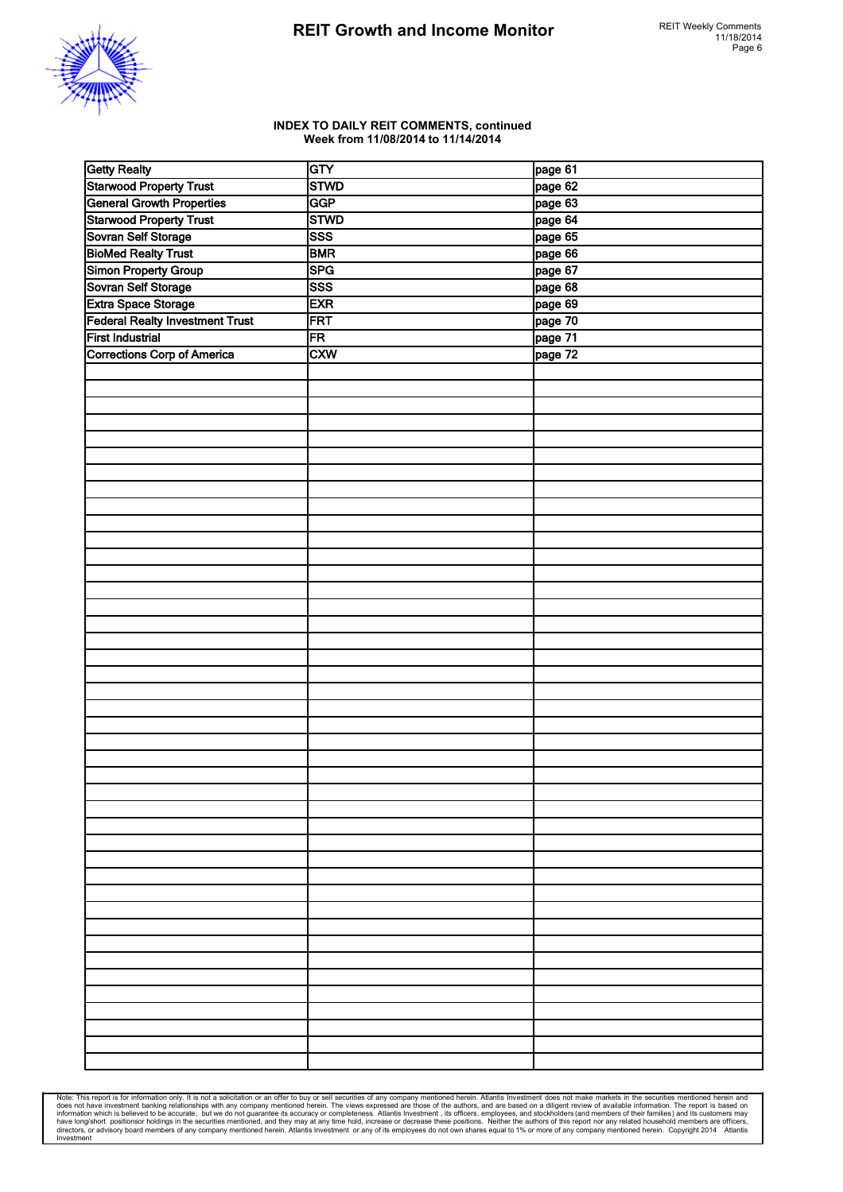

#### **INDEX TO DAILY REIT COMMENTS, continued Week from 11/08/2014 to 11/14/2014**

| <b>Getty Realty</b>                    | GTY         | page 61 |
|----------------------------------------|-------------|---------|
| <b>Starwood Property Trust</b>         | <b>STWD</b> | page 62 |
| <b>General Growth Properties</b>       | <b>GGP</b>  | page 63 |
| <b>Starwood Property Trust</b>         | <b>STWD</b> | page 64 |
| Sovran Self Storage                    | <b>SSS</b>  | page 65 |
| <b>BioMed Realty Trust</b>             | <b>BMR</b>  | page 66 |
| Simon Property Group                   | <b>SPG</b>  | page 67 |
| Sovran Self Storage                    | <b>SSS</b>  | page 68 |
| Extra Space Storage                    | <b>EXR</b>  | page 69 |
| <b>Federal Realty Investment Trust</b> | FRT         | page 70 |
| <b>First Industrial</b>                | FR          | page 71 |
| Corrections Corp of America            | <b>CXW</b>  | page 72 |
|                                        |             |         |
|                                        |             |         |
|                                        |             |         |
|                                        |             |         |
|                                        |             |         |
|                                        |             |         |
|                                        |             |         |
|                                        |             |         |
|                                        |             |         |
|                                        |             |         |
|                                        |             |         |
|                                        |             |         |
|                                        |             |         |
|                                        |             |         |
|                                        |             |         |
|                                        |             |         |
|                                        |             |         |
|                                        |             |         |
|                                        |             |         |
|                                        |             |         |
|                                        |             |         |
|                                        |             |         |
|                                        |             |         |
|                                        |             |         |
|                                        |             |         |
|                                        |             |         |
|                                        |             |         |
|                                        |             |         |
|                                        |             |         |
|                                        |             |         |
|                                        |             |         |
|                                        |             |         |
|                                        |             |         |
|                                        |             |         |
|                                        |             |         |
|                                        |             |         |
|                                        |             |         |
|                                        |             |         |
|                                        |             |         |
|                                        |             |         |
|                                        |             |         |
|                                        |             |         |
|                                        |             |         |
|                                        |             |         |

Note: This report is for information only. It is not a solicitation or an offer to buy or sell securities of any company mentioned herein. Atlantis Investment does not make markets in the securities mentioned herein and do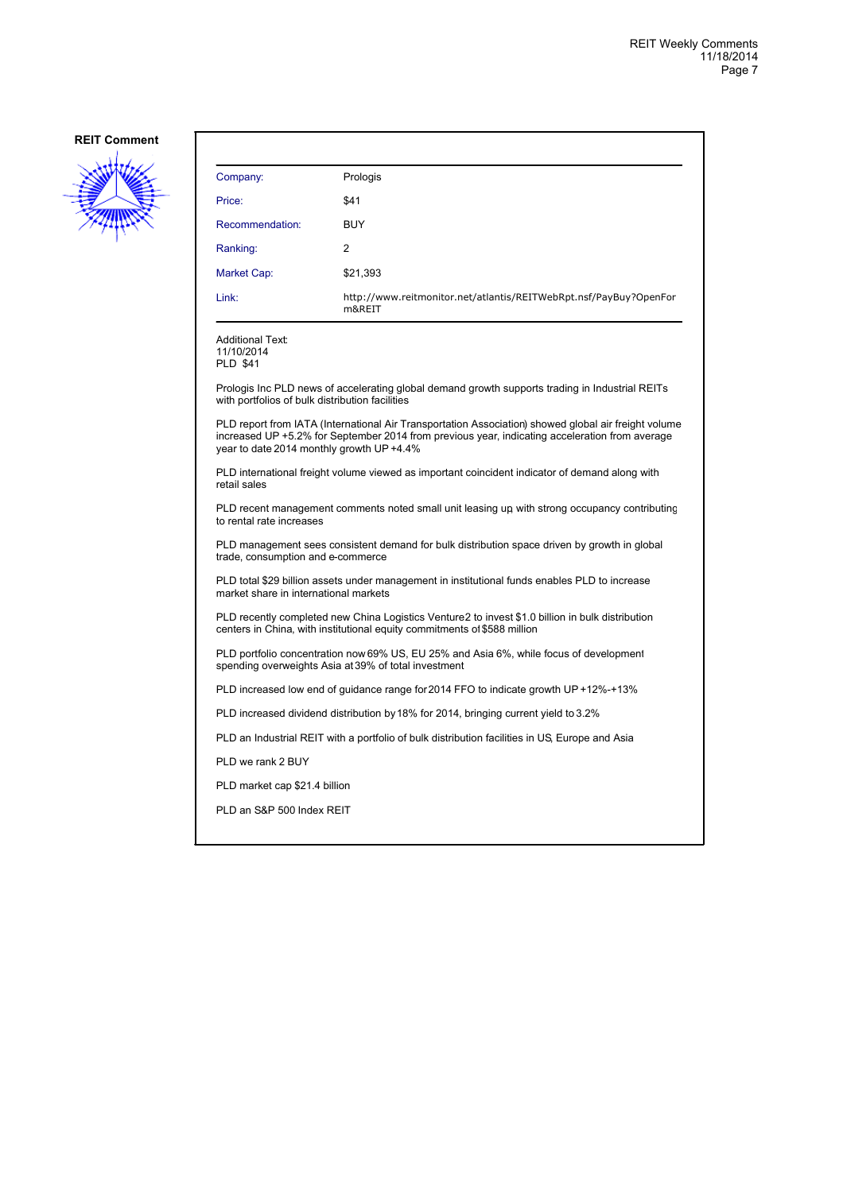

| Company:                                                                                                                                                                     | Prologis                                                                                                                                                                                               |  |  |
|------------------------------------------------------------------------------------------------------------------------------------------------------------------------------|--------------------------------------------------------------------------------------------------------------------------------------------------------------------------------------------------------|--|--|
| Price:                                                                                                                                                                       | \$41                                                                                                                                                                                                   |  |  |
| Recommendation:                                                                                                                                                              | <b>BUY</b>                                                                                                                                                                                             |  |  |
| Ranking:                                                                                                                                                                     | $\overline{c}$                                                                                                                                                                                         |  |  |
| Market Cap:                                                                                                                                                                  | \$21,393                                                                                                                                                                                               |  |  |
| Link:                                                                                                                                                                        | http://www.reitmonitor.net/atlantis/REITWebRpt.nsf/PayBuy?OpenFor<br>m&REIT                                                                                                                            |  |  |
| <b>Additional Text:</b><br>11/10/2014<br><b>PLD \$41</b>                                                                                                                     |                                                                                                                                                                                                        |  |  |
| with portfolios of bulk distribution facilities                                                                                                                              | Prologis Inc PLD news of accelerating global demand growth supports trading in Industrial REITs                                                                                                        |  |  |
| year to date 2014 monthly growth UP +4.4%                                                                                                                                    | PLD report from IATA (International Air Transportation Association) showed global air freight volume<br>increased UP +5.2% for September 2014 from previous year, indicating acceleration from average |  |  |
| PLD international freight volume viewed as important coincident indicator of demand along with<br>retail sales                                                               |                                                                                                                                                                                                        |  |  |
| PLD recent management comments noted small unit leasing up with strong occupancy contributing<br>to rental rate increases                                                    |                                                                                                                                                                                                        |  |  |
| PLD management sees consistent demand for bulk distribution space driven by growth in global<br>trade, consumption and e-commerce                                            |                                                                                                                                                                                                        |  |  |
| PLD total \$29 billion assets under management in institutional funds enables PLD to increase<br>market share in international markets                                       |                                                                                                                                                                                                        |  |  |
| PLD recently completed new China Logistics Venture2 to invest \$1.0 billion in bulk distribution<br>centers in China, with institutional equity commitments of \$588 million |                                                                                                                                                                                                        |  |  |
| PLD portfolio concentration now 69% US, EU 25% and Asia 6%, while focus of development<br>spending overweights Asia at 39% of total investment                               |                                                                                                                                                                                                        |  |  |
| PLD increased low end of guidance range for 2014 FFO to indicate growth UP +12%-+13%                                                                                         |                                                                                                                                                                                                        |  |  |
| PLD increased dividend distribution by 18% for 2014, bringing current yield to 3.2%                                                                                          |                                                                                                                                                                                                        |  |  |
| PLD an Industrial REIT with a portfolio of bulk distribution facilities in US, Europe and Asia                                                                               |                                                                                                                                                                                                        |  |  |
| PLD we rank 2 BUY                                                                                                                                                            |                                                                                                                                                                                                        |  |  |
|                                                                                                                                                                              | PLD market cap \$21.4 billion                                                                                                                                                                          |  |  |
| PLD an S&P 500 Index REIT                                                                                                                                                    |                                                                                                                                                                                                        |  |  |
|                                                                                                                                                                              |                                                                                                                                                                                                        |  |  |
|                                                                                                                                                                              |                                                                                                                                                                                                        |  |  |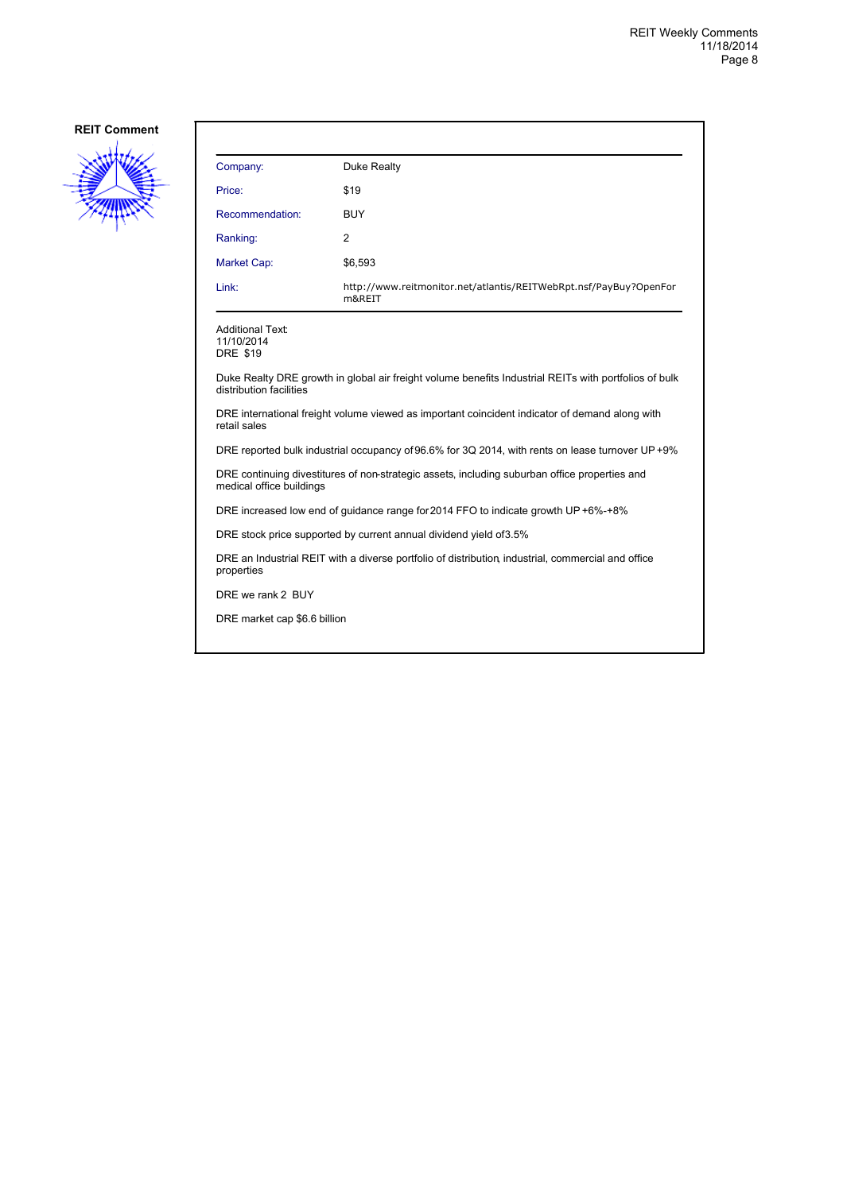

| Company:                                                                                                                         | Duke Realty                                                                 |  |
|----------------------------------------------------------------------------------------------------------------------------------|-----------------------------------------------------------------------------|--|
| Price:                                                                                                                           | \$19                                                                        |  |
| Recommendation:                                                                                                                  | <b>BUY</b>                                                                  |  |
| Ranking:                                                                                                                         | 2                                                                           |  |
| <b>Market Cap:</b>                                                                                                               | \$6,593                                                                     |  |
| Link:                                                                                                                            | http://www.reitmonitor.net/atlantis/REITWebRpt.nsf/PayBuy?OpenFor<br>m&REIT |  |
| <b>Additional Text:</b><br>11/10/2014<br><b>DRE \$19</b>                                                                         |                                                                             |  |
| Duke Realty DRE growth in global air freight volume benefits Industrial REITs with portfolios of bulk<br>distribution facilities |                                                                             |  |
| DRE international freight volume viewed as important coincident indicator of demand along with<br>retail sales                   |                                                                             |  |
| DRE reported bulk industrial occupancy of 96.6% for 3Q 2014, with rents on lease turnover UP +9%                                 |                                                                             |  |
| DRE continuing divestitures of non-strategic assets, including suburban office properties and<br>medical office buildings        |                                                                             |  |
| DRE increased low end of guidance range for 2014 FFO to indicate growth UP +6%-+8%                                               |                                                                             |  |
| DRE stock price supported by current annual dividend yield of 3.5%                                                               |                                                                             |  |
| DRE an Industrial REIT with a diverse portfolio of distribution, industrial, commercial and office<br>properties                 |                                                                             |  |
| DRE we rank 2 BUY                                                                                                                |                                                                             |  |
| DRE market cap \$6.6 billion                                                                                                     |                                                                             |  |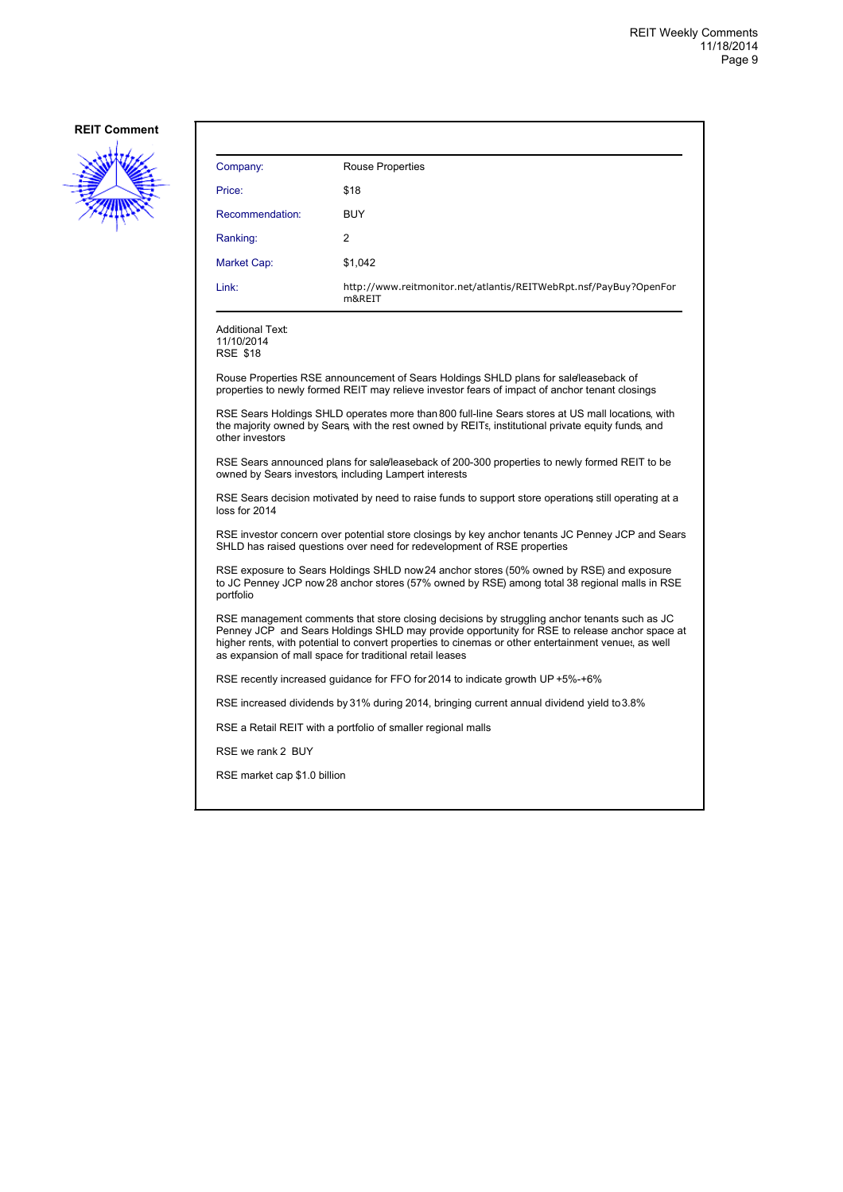

| Company:                                                                                                                                                                                                                                                                                                                                                          | <b>Rouse Properties</b>                                                                                                                                                                |  |  |
|-------------------------------------------------------------------------------------------------------------------------------------------------------------------------------------------------------------------------------------------------------------------------------------------------------------------------------------------------------------------|----------------------------------------------------------------------------------------------------------------------------------------------------------------------------------------|--|--|
| Price:                                                                                                                                                                                                                                                                                                                                                            | \$18                                                                                                                                                                                   |  |  |
| Recommendation:                                                                                                                                                                                                                                                                                                                                                   | <b>BUY</b>                                                                                                                                                                             |  |  |
| Ranking:                                                                                                                                                                                                                                                                                                                                                          | 2                                                                                                                                                                                      |  |  |
| Market Cap:                                                                                                                                                                                                                                                                                                                                                       | \$1,042                                                                                                                                                                                |  |  |
| Link:                                                                                                                                                                                                                                                                                                                                                             | http://www.reitmonitor.net/atlantis/REITWebRpt.nsf/PayBuy?OpenFor<br>m&REIT                                                                                                            |  |  |
| <b>Additional Text:</b><br>11/10/2014<br><b>RSE \$18</b>                                                                                                                                                                                                                                                                                                          |                                                                                                                                                                                        |  |  |
|                                                                                                                                                                                                                                                                                                                                                                   | Rouse Properties RSE announcement of Sears Holdings SHLD plans for sale leaseback of<br>properties to newly formed REIT may relieve investor fears of impact of anchor tenant closings |  |  |
| RSE Sears Holdings SHLD operates more than 800 full-line Sears stores at US mall locations, with<br>the majority owned by Sears, with the rest owned by REITs, institutional private equity funds, and<br>other investors                                                                                                                                         |                                                                                                                                                                                        |  |  |
| RSE Sears announced plans for sale/leaseback of 200-300 properties to newly formed REIT to be<br>owned by Sears investors, including Lampert interests                                                                                                                                                                                                            |                                                                                                                                                                                        |  |  |
| RSE Sears decision motivated by need to raise funds to support store operations still operating at a<br>loss for 2014                                                                                                                                                                                                                                             |                                                                                                                                                                                        |  |  |
| RSE investor concern over potential store closings by key anchor tenants JC Penney JCP and Sears<br>SHLD has raised questions over need for redevelopment of RSE properties                                                                                                                                                                                       |                                                                                                                                                                                        |  |  |
| RSE exposure to Sears Holdings SHLD now 24 anchor stores (50% owned by RSE) and exposure<br>to JC Penney JCP now 28 anchor stores (57% owned by RSE) among total 38 regional malls in RSE<br>portfolio                                                                                                                                                            |                                                                                                                                                                                        |  |  |
| RSE management comments that store closing decisions by struggling anchor tenants such as JC<br>Penney JCP and Sears Holdings SHLD may provide opportunity for RSE to release anchor space at<br>higher rents, with potential to convert properties to cinemas or other entertainment venues, as well<br>as expansion of mall space for traditional retail leases |                                                                                                                                                                                        |  |  |
| RSE recently increased guidance for FFO for 2014 to indicate growth UP +5%-+6%                                                                                                                                                                                                                                                                                    |                                                                                                                                                                                        |  |  |
| RSE increased dividends by 31% during 2014, bringing current annual dividend yield to 3.8%                                                                                                                                                                                                                                                                        |                                                                                                                                                                                        |  |  |
| RSE a Retail REIT with a portfolio of smaller regional malls                                                                                                                                                                                                                                                                                                      |                                                                                                                                                                                        |  |  |
| RSE we rank 2 BUY                                                                                                                                                                                                                                                                                                                                                 |                                                                                                                                                                                        |  |  |
| RSE market cap \$1.0 billion                                                                                                                                                                                                                                                                                                                                      |                                                                                                                                                                                        |  |  |
|                                                                                                                                                                                                                                                                                                                                                                   |                                                                                                                                                                                        |  |  |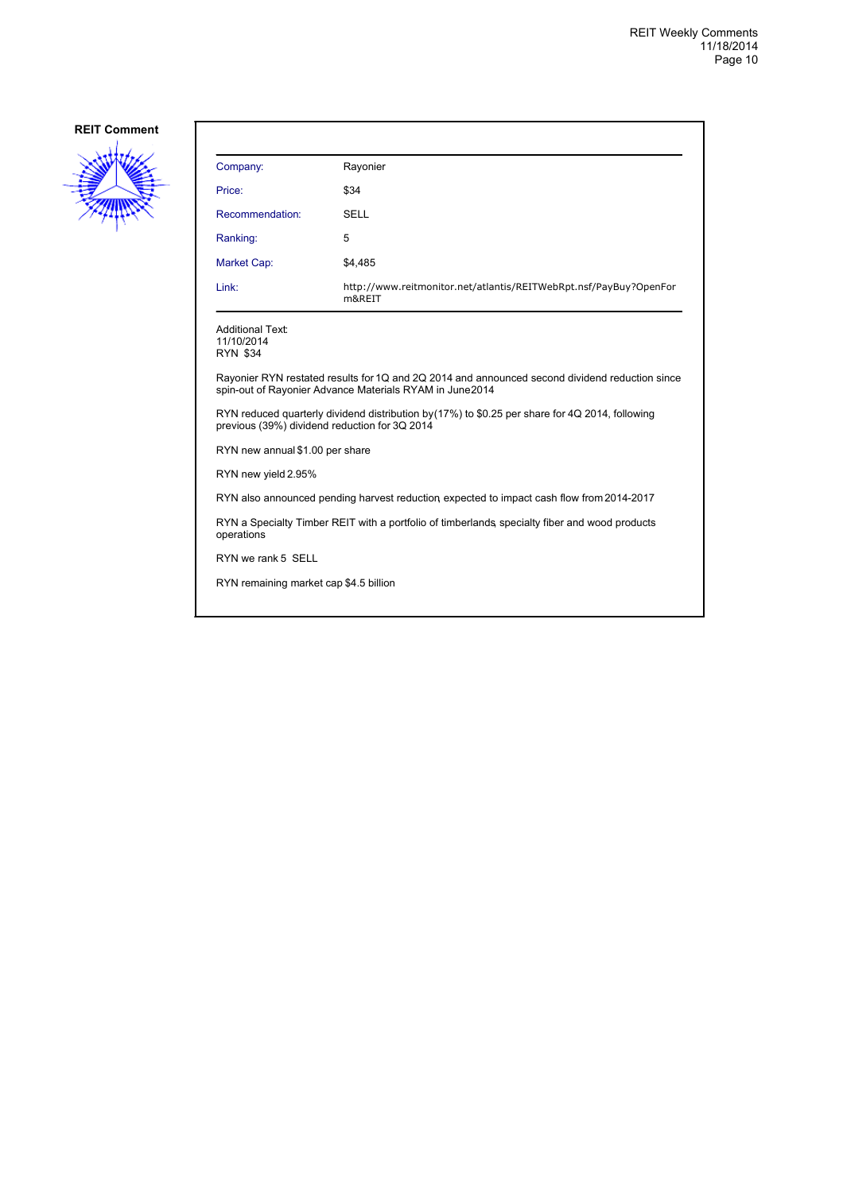

| Company:                                                                                                                                                  | Rayonier                                                                    |  |
|-----------------------------------------------------------------------------------------------------------------------------------------------------------|-----------------------------------------------------------------------------|--|
| Price:                                                                                                                                                    | \$34                                                                        |  |
| Recommendation:                                                                                                                                           | <b>SELL</b>                                                                 |  |
| Ranking:                                                                                                                                                  | 5                                                                           |  |
| Market Cap:                                                                                                                                               | \$4,485                                                                     |  |
| Link:                                                                                                                                                     | http://www.reitmonitor.net/atlantis/REITWebRpt.nsf/PayBuy?OpenFor<br>m&REIT |  |
| Additional Text:<br>11/10/2014<br>RYN \$34                                                                                                                |                                                                             |  |
| Rayonier RYN restated results for 1Q and 2Q 2014 and announced second dividend reduction since<br>spin-out of Rayonier Advance Materials RYAM in June2014 |                                                                             |  |
| RYN reduced quarterly dividend distribution by (17%) to \$0.25 per share for 4Q 2014, following<br>previous (39%) dividend reduction for 3Q 2014          |                                                                             |  |
| RYN new annual \$1.00 per share                                                                                                                           |                                                                             |  |
| RYN new yield 2.95%                                                                                                                                       |                                                                             |  |
| RYN also announced pending harvest reduction expected to impact cash flow from 2014-2017                                                                  |                                                                             |  |
| RYN a Specialty Timber REIT with a portfolio of timberlands, specialty fiber and wood products<br>operations                                              |                                                                             |  |
| RYN we rank 5 SELL                                                                                                                                        |                                                                             |  |
| RYN remaining market cap \$4.5 billion                                                                                                                    |                                                                             |  |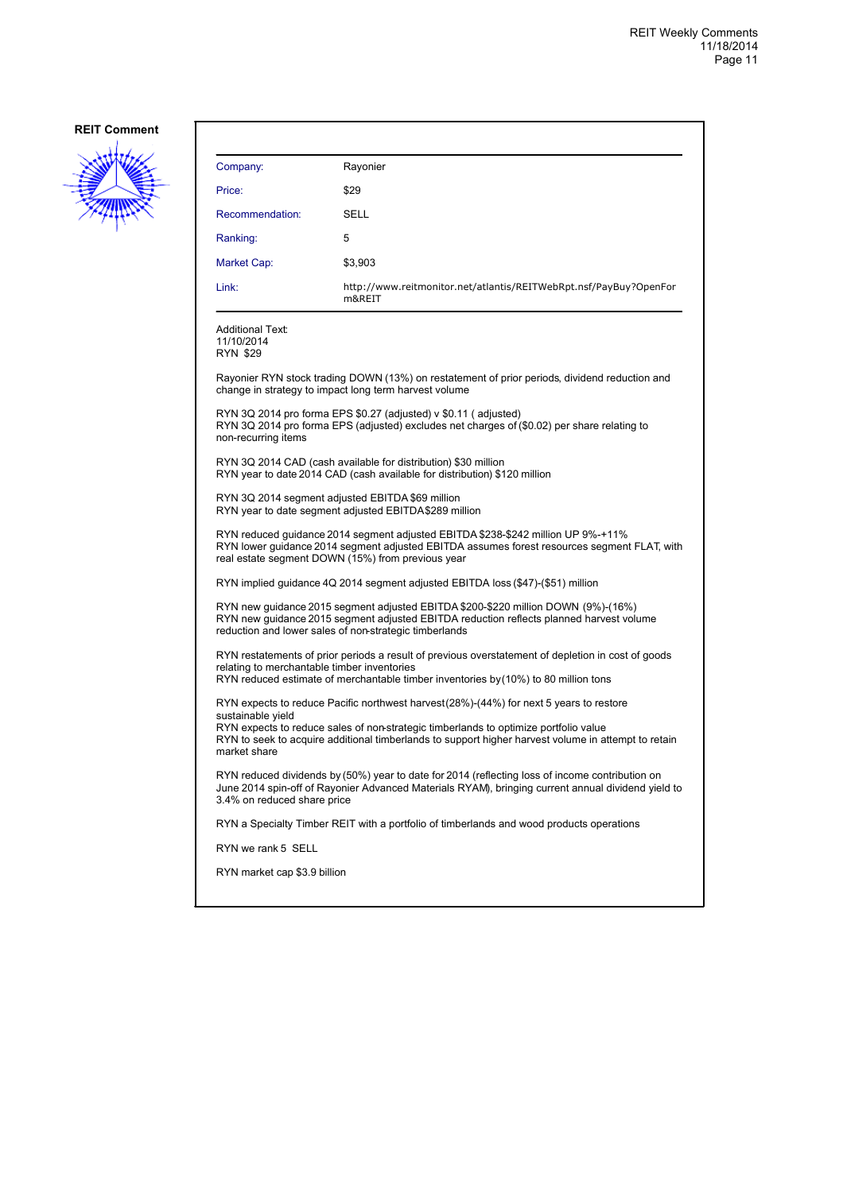

| Company:                                                                                                                                                                                                                                                                                                                    | Rayonier                                                                                                                                                       |  |  |
|-----------------------------------------------------------------------------------------------------------------------------------------------------------------------------------------------------------------------------------------------------------------------------------------------------------------------------|----------------------------------------------------------------------------------------------------------------------------------------------------------------|--|--|
| Price:                                                                                                                                                                                                                                                                                                                      | \$29                                                                                                                                                           |  |  |
| Recommendation:                                                                                                                                                                                                                                                                                                             | SELL                                                                                                                                                           |  |  |
| Ranking:                                                                                                                                                                                                                                                                                                                    | 5                                                                                                                                                              |  |  |
| Market Cap:                                                                                                                                                                                                                                                                                                                 | \$3,903                                                                                                                                                        |  |  |
| Link:                                                                                                                                                                                                                                                                                                                       | http://www.reitmonitor.net/atlantis/REITWebRpt.nsf/PayBuy?OpenFor<br>m&REIT                                                                                    |  |  |
| <b>Additional Text:</b><br>11/10/2014<br>RYN \$29                                                                                                                                                                                                                                                                           |                                                                                                                                                                |  |  |
|                                                                                                                                                                                                                                                                                                                             | Rayonier RYN stock trading DOWN (13%) on restatement of prior periods, dividend reduction and<br>change in strategy to impact long term harvest volume         |  |  |
| non-recurring items                                                                                                                                                                                                                                                                                                         | RYN 3Q 2014 pro forma EPS \$0.27 (adjusted) v \$0.11 (adjusted)<br>RYN 3Q 2014 pro forma EPS (adjusted) excludes net charges of (\$0.02) per share relating to |  |  |
|                                                                                                                                                                                                                                                                                                                             | RYN 3Q 2014 CAD (cash available for distribution) \$30 million<br>RYN year to date 2014 CAD (cash available for distribution) \$120 million                    |  |  |
| RYN 3Q 2014 segment adjusted EBITDA \$69 million<br>RYN year to date segment adjusted EBITDA\$289 million                                                                                                                                                                                                                   |                                                                                                                                                                |  |  |
| RYN reduced guidance 2014 segment adjusted EBITDA \$238-\$242 million UP 9%-+11%<br>RYN lower guidance 2014 segment adjusted EBITDA assumes forest resources segment FLAT, with<br>real estate segment DOWN (15%) from previous year                                                                                        |                                                                                                                                                                |  |  |
|                                                                                                                                                                                                                                                                                                                             | RYN implied guidance 4Q 2014 segment adjusted EBITDA loss (\$47)-(\$51) million                                                                                |  |  |
| RYN new guidance 2015 segment adjusted EBITDA \$200-\$220 million DOWN (9%)-(16%)<br>RYN new guidance 2015 segment adjusted EBITDA reduction reflects planned harvest volume<br>reduction and lower sales of non-strategic timberlands                                                                                      |                                                                                                                                                                |  |  |
| RYN restatements of prior periods a result of previous overstatement of depletion in cost of goods<br>relating to merchantable timber inventories<br>RYN reduced estimate of merchantable timber inventories by (10%) to 80 million tons                                                                                    |                                                                                                                                                                |  |  |
| RYN expects to reduce Pacific northwest harvest (28%)-(44%) for next 5 years to restore<br>sustainable vield<br>RYN expects to reduce sales of non-strategic timberlands to optimize portfolio value<br>RYN to seek to acquire additional timberlands to support higher harvest volume in attempt to retain<br>market share |                                                                                                                                                                |  |  |
| RYN reduced dividends by (50%) year to date for 2014 (reflecting loss of income contribution on<br>June 2014 spin-off of Rayonier Advanced Materials RYAM), bringing current annual dividend yield to<br>3.4% on reduced share price                                                                                        |                                                                                                                                                                |  |  |
|                                                                                                                                                                                                                                                                                                                             | RYN a Specialty Timber REIT with a portfolio of timberlands and wood products operations                                                                       |  |  |
| RYN we rank 5 SELL                                                                                                                                                                                                                                                                                                          |                                                                                                                                                                |  |  |
| RYN market cap \$3.9 billion                                                                                                                                                                                                                                                                                                |                                                                                                                                                                |  |  |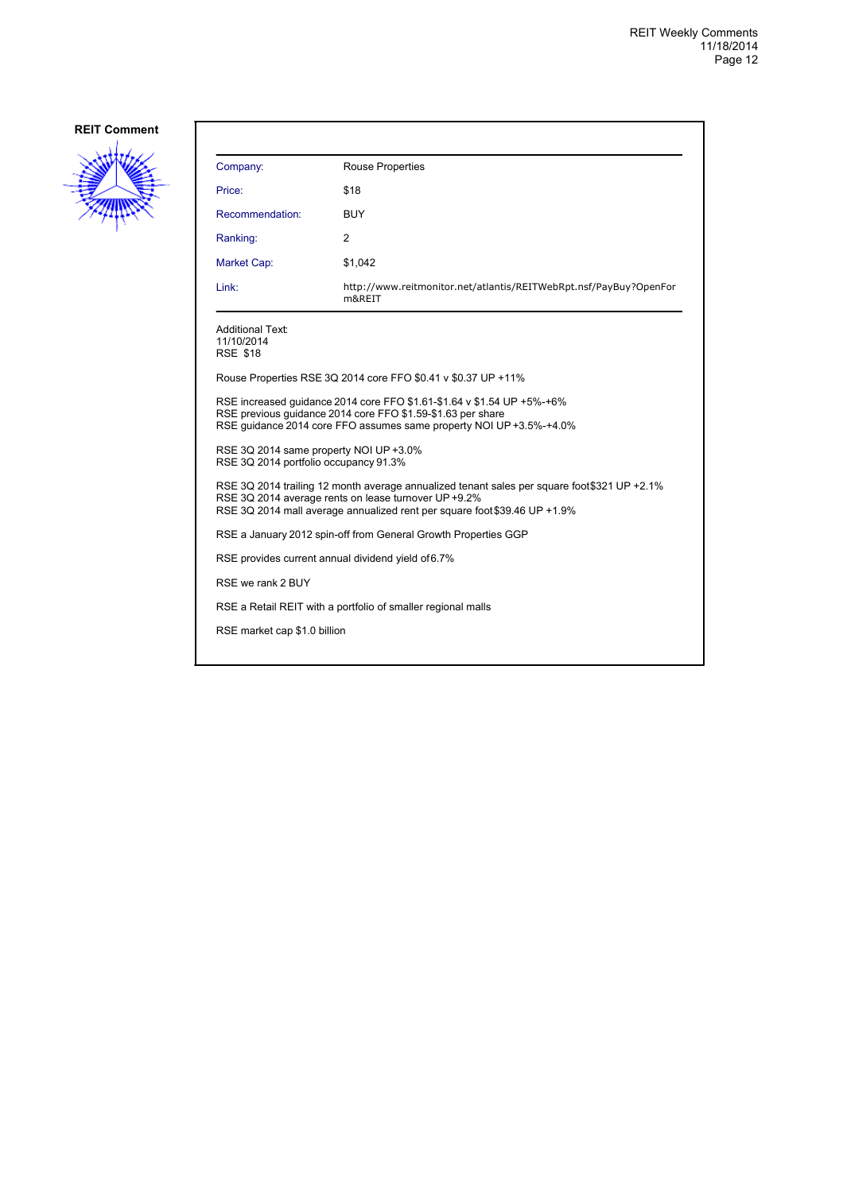

| Company:                                                                                                                                                                                                                         | <b>Rouse Properties</b>                                                     |  |
|----------------------------------------------------------------------------------------------------------------------------------------------------------------------------------------------------------------------------------|-----------------------------------------------------------------------------|--|
| Price:                                                                                                                                                                                                                           | \$18                                                                        |  |
| Recommendation:                                                                                                                                                                                                                  | <b>BUY</b>                                                                  |  |
| Ranking:                                                                                                                                                                                                                         | 2                                                                           |  |
| Market Cap:                                                                                                                                                                                                                      | \$1,042                                                                     |  |
| Link:                                                                                                                                                                                                                            | http://www.reitmonitor.net/atlantis/REITWebRpt.nsf/PayBuy?OpenFor<br>m&REIT |  |
| <b>Additional Text:</b><br>11/10/2014<br><b>RSE \$18</b>                                                                                                                                                                         |                                                                             |  |
|                                                                                                                                                                                                                                  | Rouse Properties RSE 3Q 2014 core FFO \$0.41 v \$0.37 UP +11%               |  |
| RSE increased quidance 2014 core FFO \$1.61-\$1.64 v \$1.54 UP +5%-+6%<br>RSE previous quidance 2014 core FFO \$1.59-\$1.63 per share<br>RSE quidance 2014 core FFO assumes same property NOI UP +3.5%-+4.0%                     |                                                                             |  |
| RSE 3Q 2014 same property NOI UP +3.0%<br>RSE 3Q 2014 portfolio occupancy 91.3%                                                                                                                                                  |                                                                             |  |
| RSE 3Q 2014 trailing 12 month average annualized tenant sales per square foot\$321 UP +2.1%<br>RSE 3Q 2014 average rents on lease turnover UP +9.2%<br>RSE 3Q 2014 mall average annualized rent per square foot \$39.46 UP +1.9% |                                                                             |  |
| RSE a January 2012 spin-off from General Growth Properties GGP                                                                                                                                                                   |                                                                             |  |
| RSE provides current annual dividend yield of 6.7%                                                                                                                                                                               |                                                                             |  |
| RSE we rank 2 BUY                                                                                                                                                                                                                |                                                                             |  |
| RSE a Retail REIT with a portfolio of smaller regional malls                                                                                                                                                                     |                                                                             |  |
| RSE market cap \$1.0 billion                                                                                                                                                                                                     |                                                                             |  |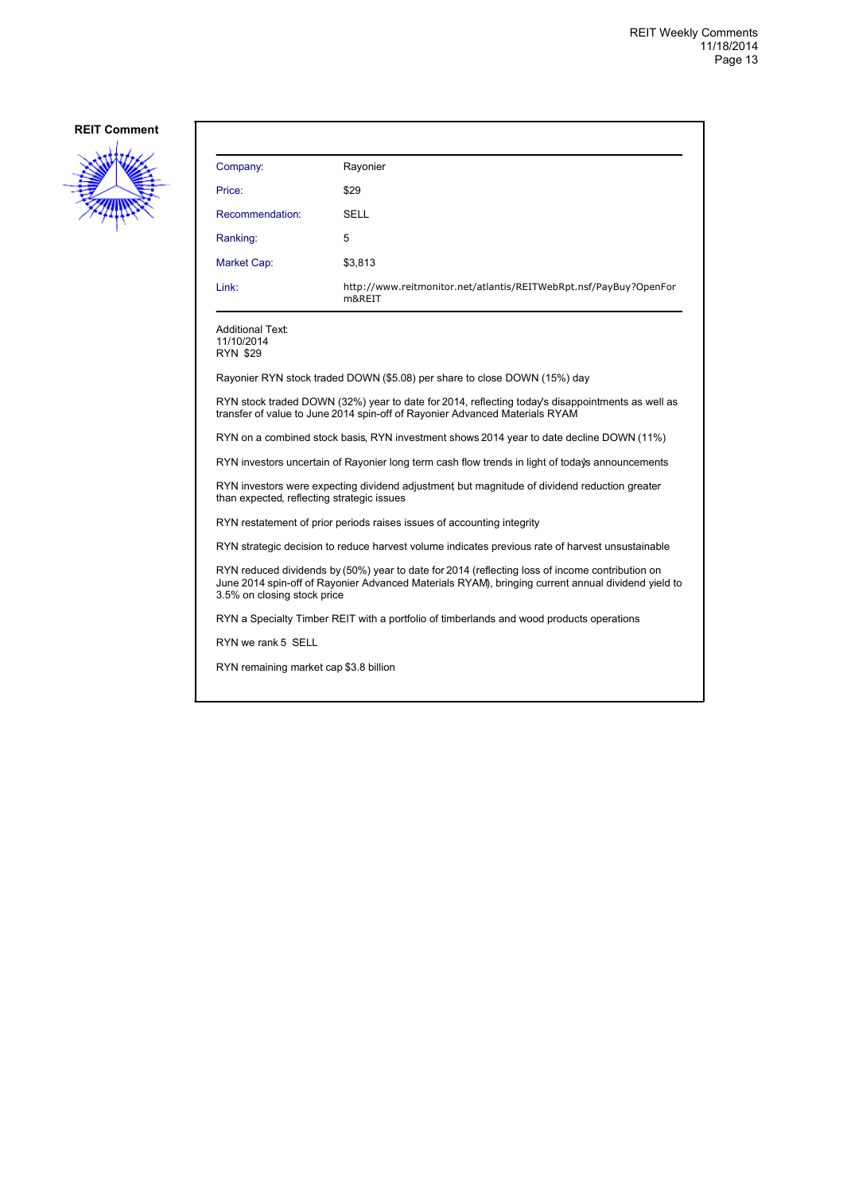

| Company:                                                                                                                                                                                                                             | Rayonier                                                                                         |  |  |
|--------------------------------------------------------------------------------------------------------------------------------------------------------------------------------------------------------------------------------------|--------------------------------------------------------------------------------------------------|--|--|
| Price:                                                                                                                                                                                                                               | \$29                                                                                             |  |  |
| Recommendation:                                                                                                                                                                                                                      | SELL                                                                                             |  |  |
| Ranking:                                                                                                                                                                                                                             | 5                                                                                                |  |  |
| Market Cap:                                                                                                                                                                                                                          | \$3,813                                                                                          |  |  |
| Link:                                                                                                                                                                                                                                | http://www.reitmonitor.net/atlantis/REITWebRpt.nsf/PayBuy?OpenFor<br>m&REIT                      |  |  |
| <b>Additional Text:</b><br>11/10/2014<br><b>RYN \$29</b>                                                                                                                                                                             |                                                                                                  |  |  |
|                                                                                                                                                                                                                                      | Rayonier RYN stock traded DOWN (\$5.08) per share to close DOWN (15%) day                        |  |  |
| RYN stock traded DOWN (32%) year to date for 2014, reflecting today's disappointments as well as<br>transfer of value to June 2014 spin-off of Rayonier Advanced Materials RYAM                                                      |                                                                                                  |  |  |
| RYN on a combined stock basis, RYN investment shows 2014 year to date decline DOWN (11%)                                                                                                                                             |                                                                                                  |  |  |
|                                                                                                                                                                                                                                      | RYN investors uncertain of Rayonier long term cash flow trends in light of today's announcements |  |  |
| RYN investors were expecting dividend adjustment but magnitude of dividend reduction greater<br>than expected, reflecting strategic issues                                                                                           |                                                                                                  |  |  |
| RYN restatement of prior periods raises issues of accounting integrity                                                                                                                                                               |                                                                                                  |  |  |
|                                                                                                                                                                                                                                      | RYN strategic decision to reduce harvest volume indicates previous rate of harvest unsustainable |  |  |
| RYN reduced dividends by (50%) year to date for 2014 (reflecting loss of income contribution on<br>June 2014 spin-off of Rayonier Advanced Materials RYAM), bringing current annual dividend yield to<br>3.5% on closing stock price |                                                                                                  |  |  |
| RYN a Specialty Timber REIT with a portfolio of timberlands and wood products operations                                                                                                                                             |                                                                                                  |  |  |
| RYN we rank 5 SELL                                                                                                                                                                                                                   |                                                                                                  |  |  |
|                                                                                                                                                                                                                                      | RYN remaining market cap \$3.8 billion                                                           |  |  |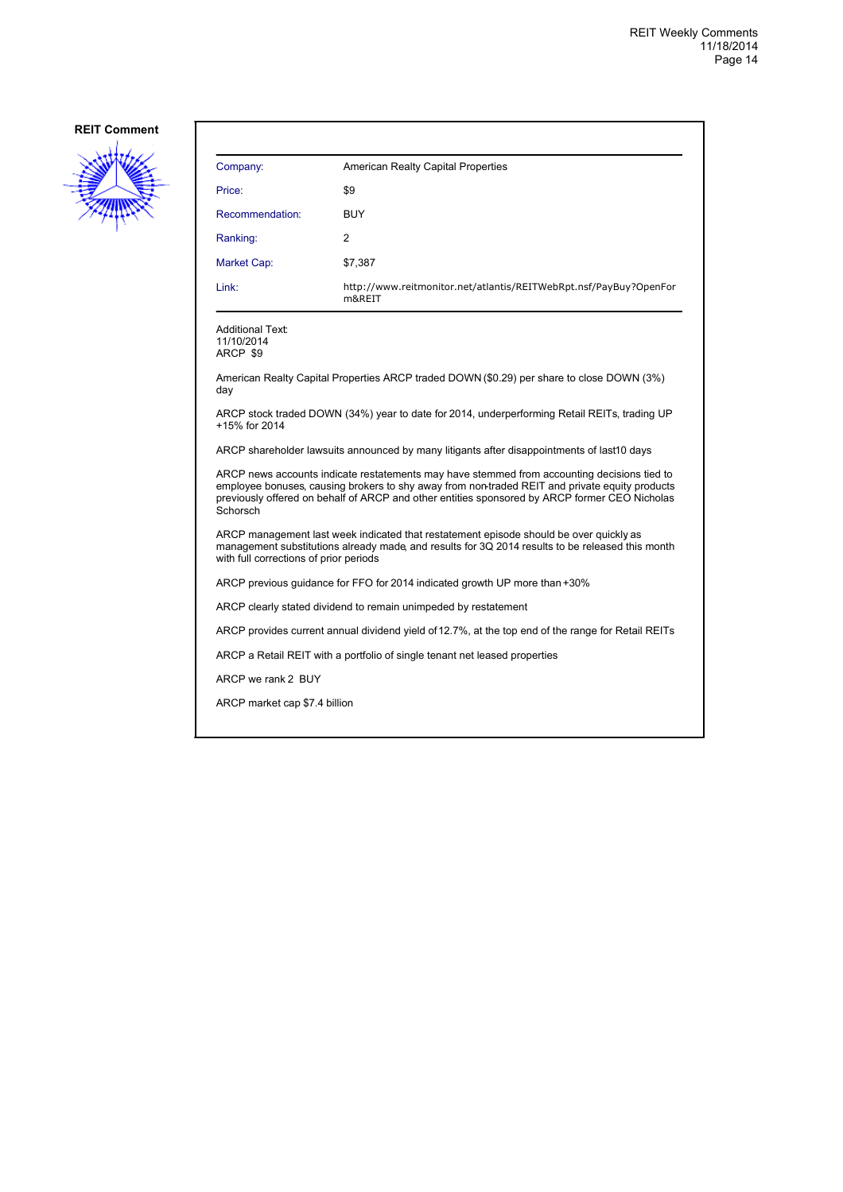

| Company:                                                                                                                                                                                                                                                                                                   | American Realty Capital Properties                                                         |  |
|------------------------------------------------------------------------------------------------------------------------------------------------------------------------------------------------------------------------------------------------------------------------------------------------------------|--------------------------------------------------------------------------------------------|--|
| Price:                                                                                                                                                                                                                                                                                                     | \$9                                                                                        |  |
| Recommendation:                                                                                                                                                                                                                                                                                            | BUY                                                                                        |  |
| Ranking:                                                                                                                                                                                                                                                                                                   | 2                                                                                          |  |
| Market Cap:                                                                                                                                                                                                                                                                                                | \$7,387                                                                                    |  |
| Link:                                                                                                                                                                                                                                                                                                      | http://www.reitmonitor.net/atlantis/REITWebRpt.nsf/PayBuy?OpenFor<br>m&REIT                |  |
| Additional Text:<br>11/10/2014<br>ARCP \$9                                                                                                                                                                                                                                                                 |                                                                                            |  |
| day                                                                                                                                                                                                                                                                                                        | American Realty Capital Properties ARCP traded DOWN (\$0.29) per share to close DOWN (3%)  |  |
| ARCP stock traded DOWN (34%) year to date for 2014, underperforming Retail REITs, trading UP<br>+15% for 2014                                                                                                                                                                                              |                                                                                            |  |
|                                                                                                                                                                                                                                                                                                            | ARCP shareholder lawsuits announced by many litigants after disappointments of last10 days |  |
| ARCP news accounts indicate restatements may have stemmed from accounting decisions tied to<br>employee bonuses, causing brokers to shy away from non-traded REIT and private equity products<br>previously offered on behalf of ARCP and other entities sponsored by ARCP former CEO Nicholas<br>Schorsch |                                                                                            |  |
| ARCP management last week indicated that restatement episode should be over quickly as<br>management substitutions already made, and results for 3Q 2014 results to be released this month<br>with full corrections of prior periods                                                                       |                                                                                            |  |
| ARCP previous quidance for FFO for 2014 indicated growth UP more than +30%                                                                                                                                                                                                                                 |                                                                                            |  |
| ARCP clearly stated dividend to remain unimpeded by restatement                                                                                                                                                                                                                                            |                                                                                            |  |
| ARCP provides current annual dividend yield of 12.7%, at the top end of the range for Retail REITs                                                                                                                                                                                                         |                                                                                            |  |
| ARCP a Retail REIT with a portfolio of single tenant net leased properties                                                                                                                                                                                                                                 |                                                                                            |  |
| ARCP we rank 2 BUY                                                                                                                                                                                                                                                                                         |                                                                                            |  |

ARCP market cap \$7.4 billion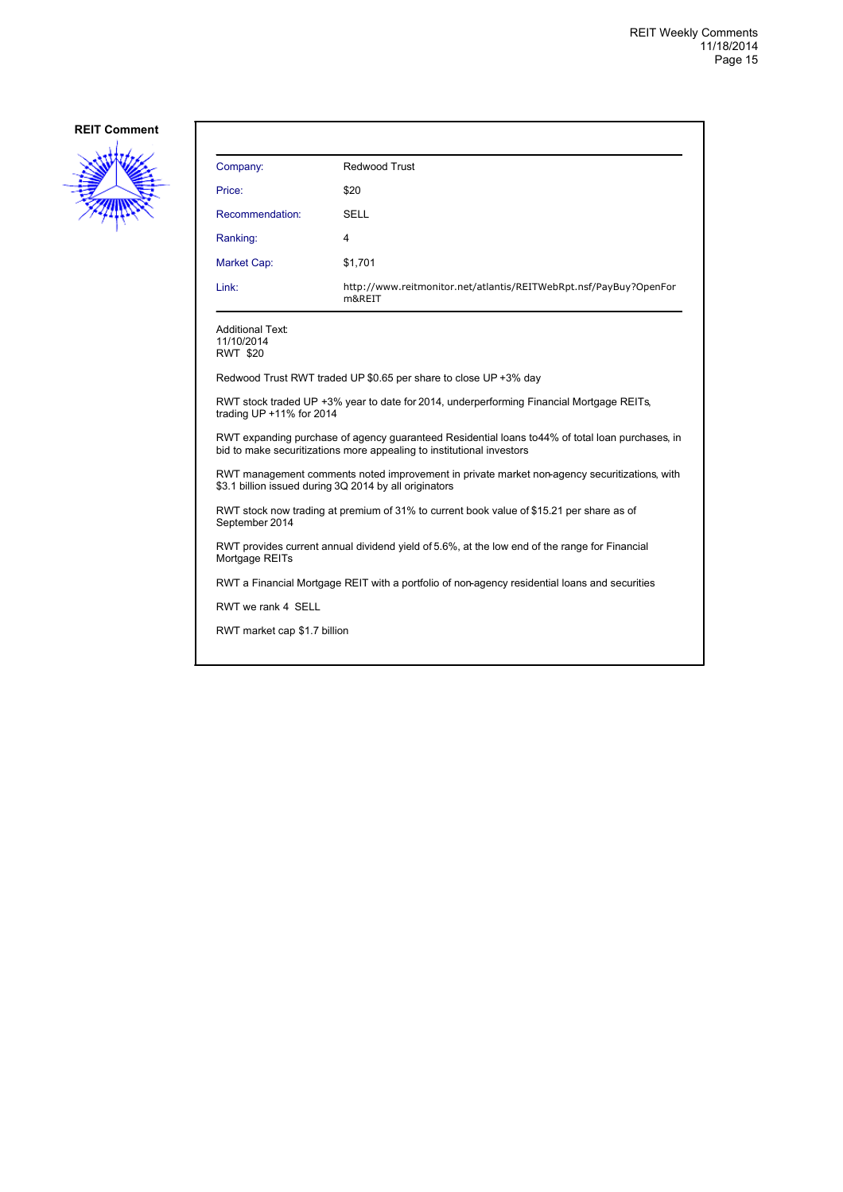

| Company:                                   | Redwood Trust                                                               |
|--------------------------------------------|-----------------------------------------------------------------------------|
| Price:                                     | \$20                                                                        |
| Recommendation:                            | <b>SELL</b>                                                                 |
| Ranking:                                   | 4                                                                           |
| Market Cap:                                | \$1,701                                                                     |
| Link:                                      | http://www.reitmonitor.net/atlantis/REITWebRpt.nsf/PayBuy?OpenFor<br>m&REIT |
| Additional Text:<br>11/10/2014<br>RWT \$20 |                                                                             |

Redwood Trust RWT traded UP \$0.65 per share to close UP +3% day

RWT stock traded UP +3% year to date for 2014, underperforming Financial Mortgage REITs, trading UP +11% for 2014

RWT expanding purchase of agency guaranteed Residential loans to 44% of total loan purchases, in bid to make securitizations more appealing to institutional investors

RWT management comments noted improvement in private market non-agency securitizations, with \$3.1 billion issued during 3Q 2014 by all originators

RWT stock now trading at premium of 31% to current book value of \$15.21 per share as of September 2014

RWT provides current annual dividend yield of 5.6%, at the low end of the range for Financial Mortgage REITs

RWT a Financial Mortgage REIT with a portfolio of non-agency residential loans and securities

RWT we rank 4 SELL

RWT market cap \$1.7 billion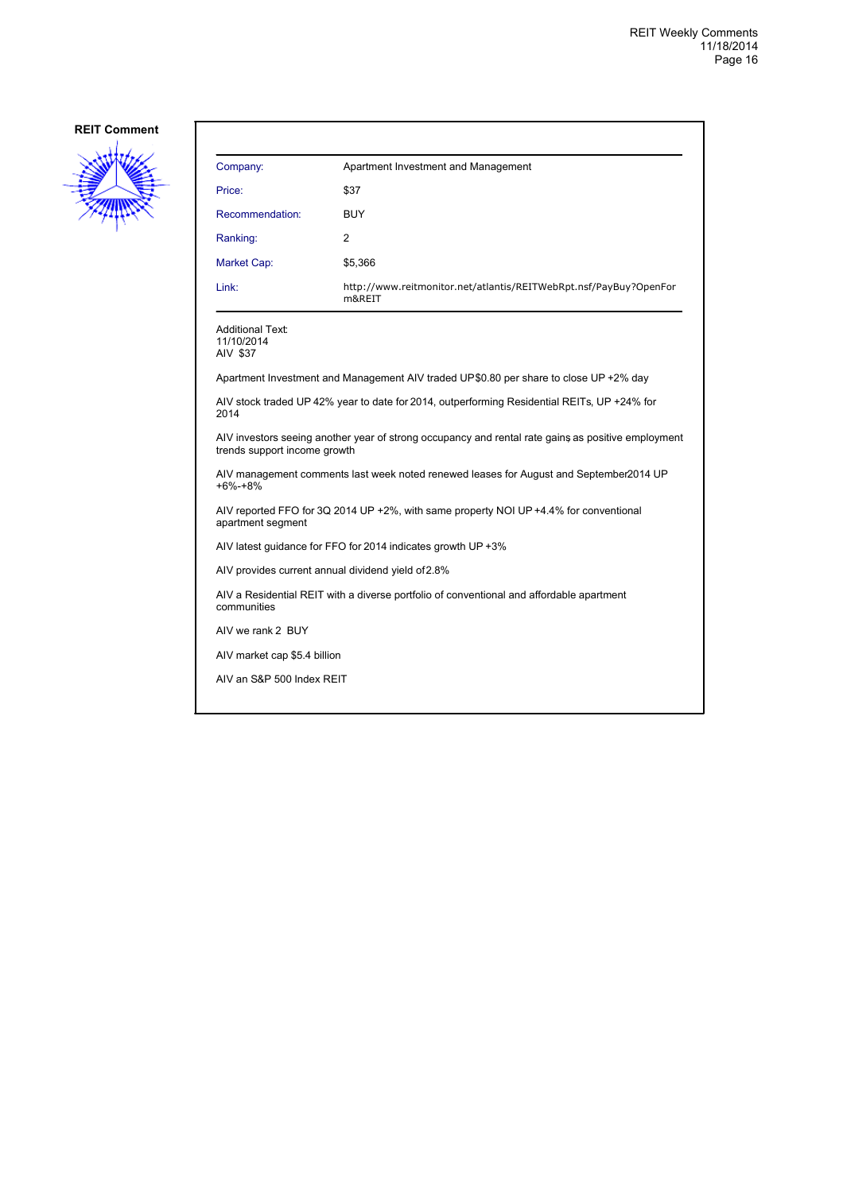

| Company:                                           | Apartment Investment and Management                                                                |
|----------------------------------------------------|----------------------------------------------------------------------------------------------------|
| Price:                                             | \$37                                                                                               |
| Recommendation:                                    | <b>BUY</b>                                                                                         |
| Ranking:                                           | 2                                                                                                  |
| Market Cap:                                        | \$5,366                                                                                            |
| Link:                                              | http://www.reitmonitor.net/atlantis/REITWebRpt.nsf/PayBuy?OpenFor<br>m&REIT                        |
| Additional Text:<br>11/10/2014<br>AIV \$37         |                                                                                                    |
|                                                    | Apartment Investment and Management AIV traded UP\$0.80 per share to close UP +2% day              |
| 2014                                               | AIV stock traded UP 42% year to date for 2014, outperforming Residential REITs, UP +24% for        |
| trends support income growth                       | AIV investors seeing another year of strong occupancy and rental rate gains as positive employment |
| $+6% -+8%$                                         | AIV management comments last week noted renewed leases for August and September 2014 UP            |
| apartment segment                                  | AIV reported FFO for 3Q 2014 UP +2%, with same property NOI UP +4.4% for conventional              |
|                                                    | AIV latest guidance for FFO for 2014 indicates growth UP +3%                                       |
| AIV provides current annual dividend yield of 2.8% |                                                                                                    |
| communities                                        | AIV a Residential REIT with a diverse portfolio of conventional and affordable apartment           |
| AIV we rank 2 BUY                                  |                                                                                                    |
| AIV market cap \$5.4 billion                       |                                                                                                    |
| AIV an S&P 500 Index REIT                          |                                                                                                    |
|                                                    |                                                                                                    |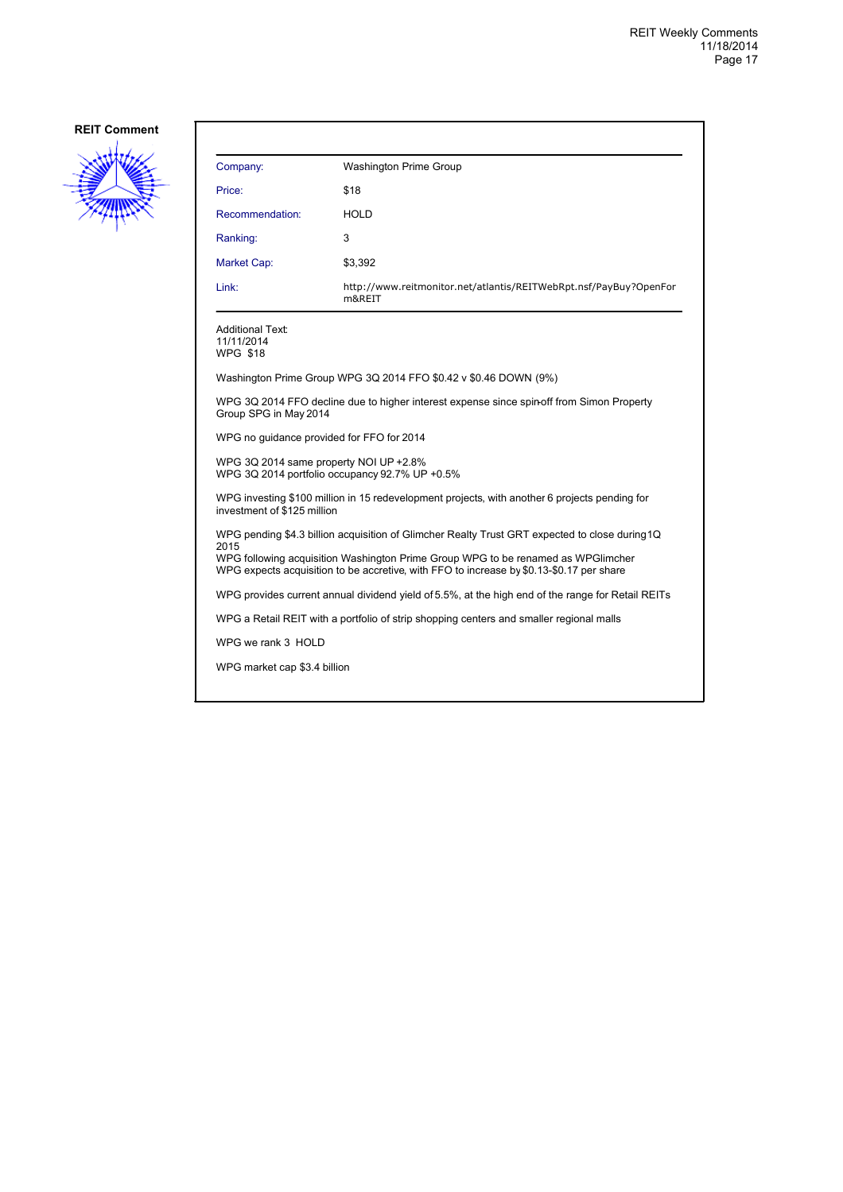

| Company:                                                                                                                                                                                                                                                                               | <b>Washington Prime Group</b>                                               |  |
|----------------------------------------------------------------------------------------------------------------------------------------------------------------------------------------------------------------------------------------------------------------------------------------|-----------------------------------------------------------------------------|--|
| Price:                                                                                                                                                                                                                                                                                 | \$18                                                                        |  |
| Recommendation:                                                                                                                                                                                                                                                                        | <b>HOLD</b>                                                                 |  |
| Ranking:                                                                                                                                                                                                                                                                               | 3                                                                           |  |
| Market Cap:                                                                                                                                                                                                                                                                            | \$3,392                                                                     |  |
| Link:                                                                                                                                                                                                                                                                                  | http://www.reitmonitor.net/atlantis/REITWebRpt.nsf/PayBuy?OpenFor<br>m&REIT |  |
| <b>Additional Text:</b><br>11/11/2014<br><b>WPG \$18</b>                                                                                                                                                                                                                               |                                                                             |  |
|                                                                                                                                                                                                                                                                                        | Washington Prime Group WPG 3Q 2014 FFO \$0.42 v \$0.46 DOWN (9%)            |  |
| WPG 3Q 2014 FFO decline due to higher interest expense since spin-off from Simon Property<br>Group SPG in May 2014                                                                                                                                                                     |                                                                             |  |
| WPG no guidance provided for FFO for 2014                                                                                                                                                                                                                                              |                                                                             |  |
| WPG 3Q 2014 same property NOI UP +2.8%<br>WPG 3Q 2014 portfolio occupancy 92.7% UP +0.5%                                                                                                                                                                                               |                                                                             |  |
| WPG investing \$100 million in 15 redevelopment projects, with another 6 projects pending for<br>investment of \$125 million                                                                                                                                                           |                                                                             |  |
| WPG pending \$4.3 billion acquisition of Glimcher Realty Trust GRT expected to close during 1Q<br>2015<br>WPG following acquisition Washington Prime Group WPG to be renamed as WPGI mcher<br>WPG expects acquisition to be accretive, with FFO to increase by \$0.13-\$0.17 per share |                                                                             |  |
| WPG provides current annual dividend yield of 5.5%, at the high end of the range for Retail REITs                                                                                                                                                                                      |                                                                             |  |
| WPG a Retail REIT with a portfolio of strip shopping centers and smaller regional malls                                                                                                                                                                                                |                                                                             |  |

WPG we rank 3 HOLD

WPG market cap \$3.4 billion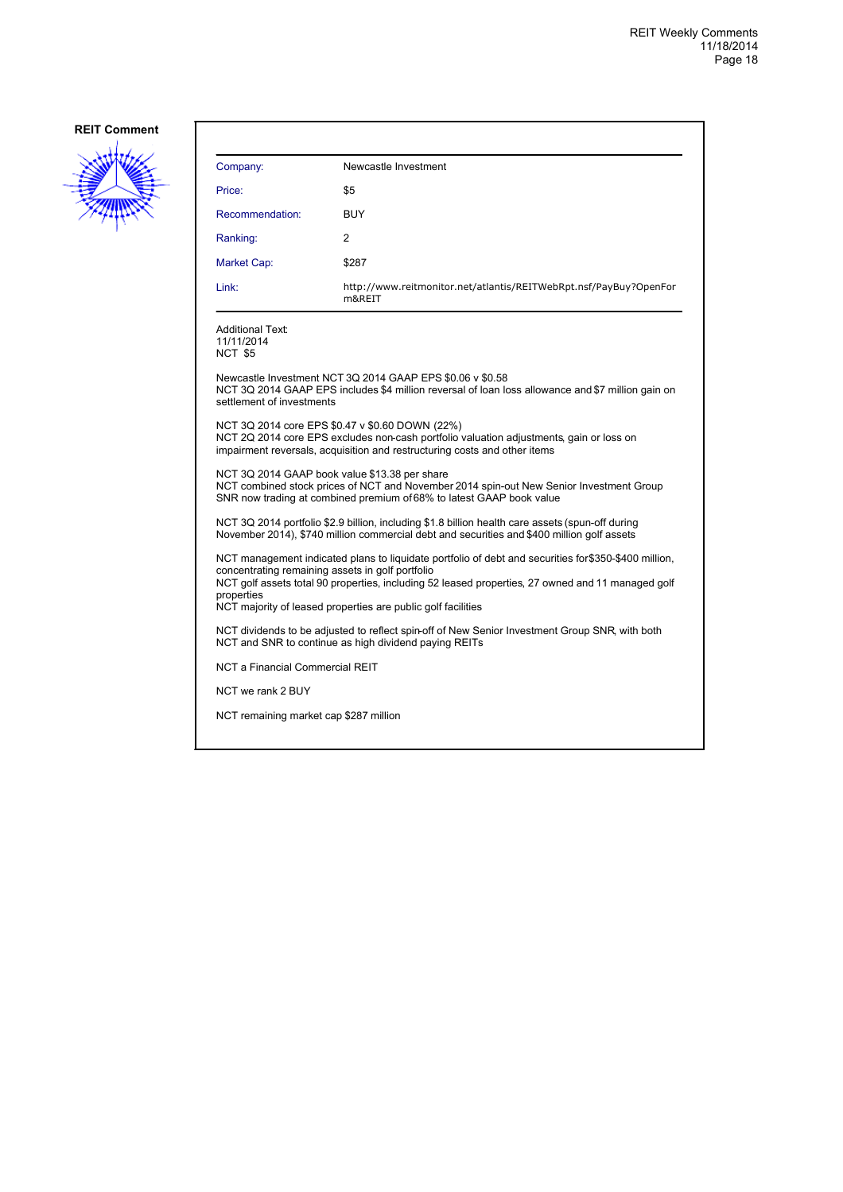

| Company:                                                                                                                                                | Newcastle Investment                                                                                                                                                                                                                                                      |
|---------------------------------------------------------------------------------------------------------------------------------------------------------|---------------------------------------------------------------------------------------------------------------------------------------------------------------------------------------------------------------------------------------------------------------------------|
| Price:                                                                                                                                                  | \$5                                                                                                                                                                                                                                                                       |
| Recommendation:                                                                                                                                         | <b>BUY</b>                                                                                                                                                                                                                                                                |
| Ranking:                                                                                                                                                | 2                                                                                                                                                                                                                                                                         |
| Market Cap:                                                                                                                                             | \$287                                                                                                                                                                                                                                                                     |
| Link:                                                                                                                                                   | http://www.reitmonitor.net/atlantis/REITWebRpt.nsf/PayBuy?OpenFor<br>m&REIT                                                                                                                                                                                               |
| Additional Text:<br>11/11/2014<br>NCT \$5                                                                                                               |                                                                                                                                                                                                                                                                           |
| settlement of investments                                                                                                                               | Newcastle Investment NCT 3Q 2014 GAAP EPS \$0.06 v \$0.58<br>NCT 3Q 2014 GAAP EPS includes \$4 million reversal of loan loss allowance and \$7 million gain on                                                                                                            |
|                                                                                                                                                         | NCT 3Q 2014 core EPS \$0.47 v \$0.60 DOWN (22%)<br>NCT 2Q 2014 core EPS excludes non-cash portfolio valuation adjustments, gain or loss on<br>impairment reversals, acquisition and restructuring costs and other items                                                   |
| NCT 3Q 2014 GAAP book value \$13.38 per share                                                                                                           | NCT combined stock prices of NCT and November 2014 spin-out New Senior Investment Group<br>SNR now trading at combined premium of 68% to latest GAAP book value                                                                                                           |
|                                                                                                                                                         | NCT 3Q 2014 portfolio \$2.9 billion, including \$1.8 billion health care assets (spun-off during<br>November 2014), \$740 million commercial debt and securities and \$400 million golf assets                                                                            |
| concentrating remaining assets in golf portfolio<br>properties                                                                                          | NCT management indicated plans to liquidate portfolio of debt and securities for\$350-\$400 million,<br>NCT golf assets total 90 properties, including 52 leased properties, 27 owned and 11 managed golf<br>NCT majority of leased properties are public golf facilities |
| NCT dividends to be adjusted to reflect spin-off of New Senior Investment Group SNR, with both<br>NCT and SNR to continue as high dividend paying REITs |                                                                                                                                                                                                                                                                           |
| NCT a Financial Commercial REIT                                                                                                                         |                                                                                                                                                                                                                                                                           |
| NCT we rank 2 BUY                                                                                                                                       |                                                                                                                                                                                                                                                                           |
| NCT remaining market cap \$287 million                                                                                                                  |                                                                                                                                                                                                                                                                           |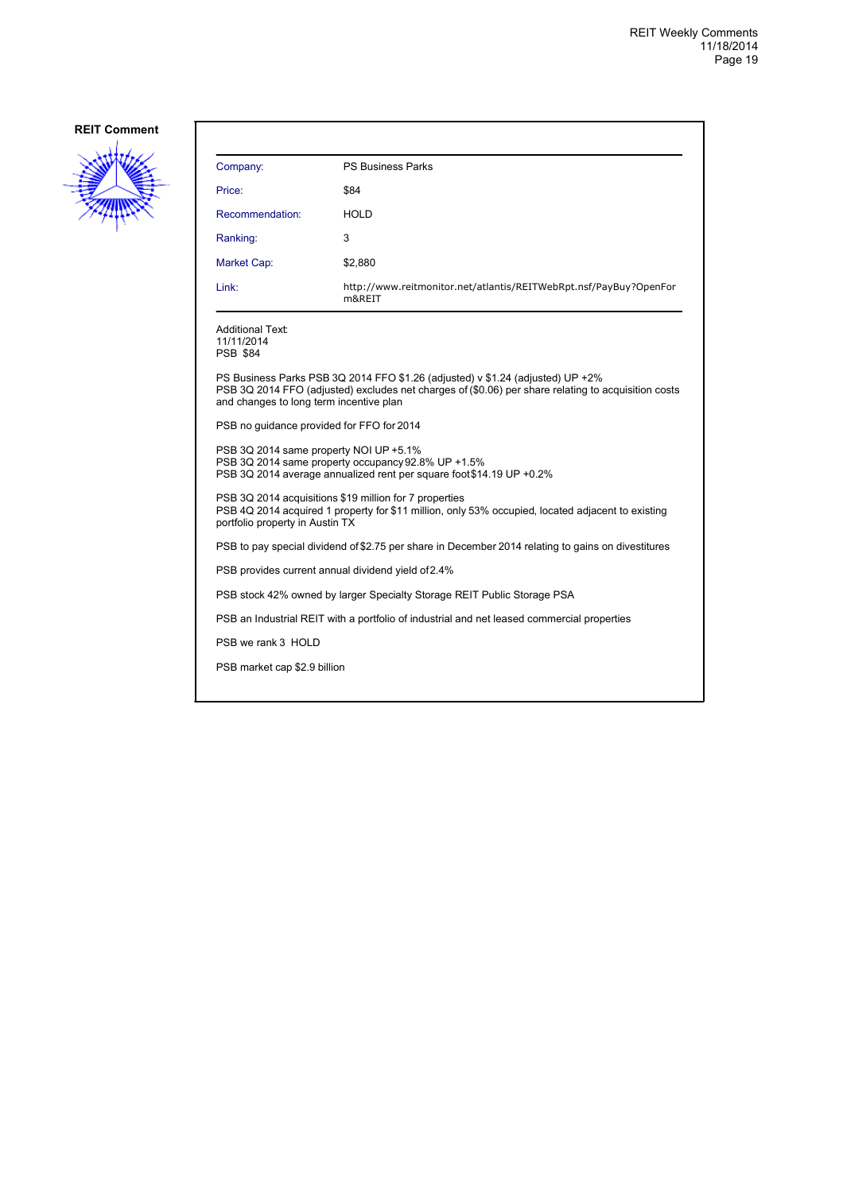

| Company:                                                 | <b>PS Business Parks</b>                                                                                                                                                              |  |
|----------------------------------------------------------|---------------------------------------------------------------------------------------------------------------------------------------------------------------------------------------|--|
| Price:                                                   | \$84                                                                                                                                                                                  |  |
| Recommendation:                                          | <b>HOLD</b>                                                                                                                                                                           |  |
| Ranking:                                                 | 3                                                                                                                                                                                     |  |
| Market Cap:                                              | \$2,880                                                                                                                                                                               |  |
| Link:                                                    | http://www.reitmonitor.net/atlantis/REITWebRpt.nsf/PayBuy?OpenFor<br>m&REIT                                                                                                           |  |
| <b>Additional Text:</b><br>11/11/2014<br><b>PSB \$84</b> |                                                                                                                                                                                       |  |
| and changes to long term incentive plan                  | PS Business Parks PSB 3Q 2014 FFO \$1.26 (adjusted) v \$1.24 (adjusted) UP +2%<br>PSB 3Q 2014 FFO (adjusted) excludes net charges of (\$0.06) per share relating to acquisition costs |  |
| PSB no guidance provided for FFO for 2014                |                                                                                                                                                                                       |  |
| PSB 3Q 2014 same property NOI UP +5.1%                   | PSB 3Q 2014 same property occupancy 92.8% UP +1.5%<br>PSB 3Q 2014 average annualized rent per square foot \$14.19 UP +0.2%                                                            |  |
| portfolio property in Austin TX                          | PSB 3Q 2014 acquisitions \$19 million for 7 properties<br>PSB 4Q 2014 acquired 1 property for \$11 million, only 53% occupied, located adjacent to existing                           |  |
|                                                          | PSB to pay special dividend of \$2.75 per share in December 2014 relating to gains on divestitures                                                                                    |  |
| PSB provides current annual dividend yield of 2.4%       |                                                                                                                                                                                       |  |
|                                                          | PSB stock 42% owned by larger Specialty Storage REIT Public Storage PSA                                                                                                               |  |
|                                                          | PSB an Industrial REIT with a portfolio of industrial and net leased commercial properties                                                                                            |  |
| PSB we rank 3 HOLD                                       |                                                                                                                                                                                       |  |
| PSB market cap \$2.9 billion                             |                                                                                                                                                                                       |  |
|                                                          |                                                                                                                                                                                       |  |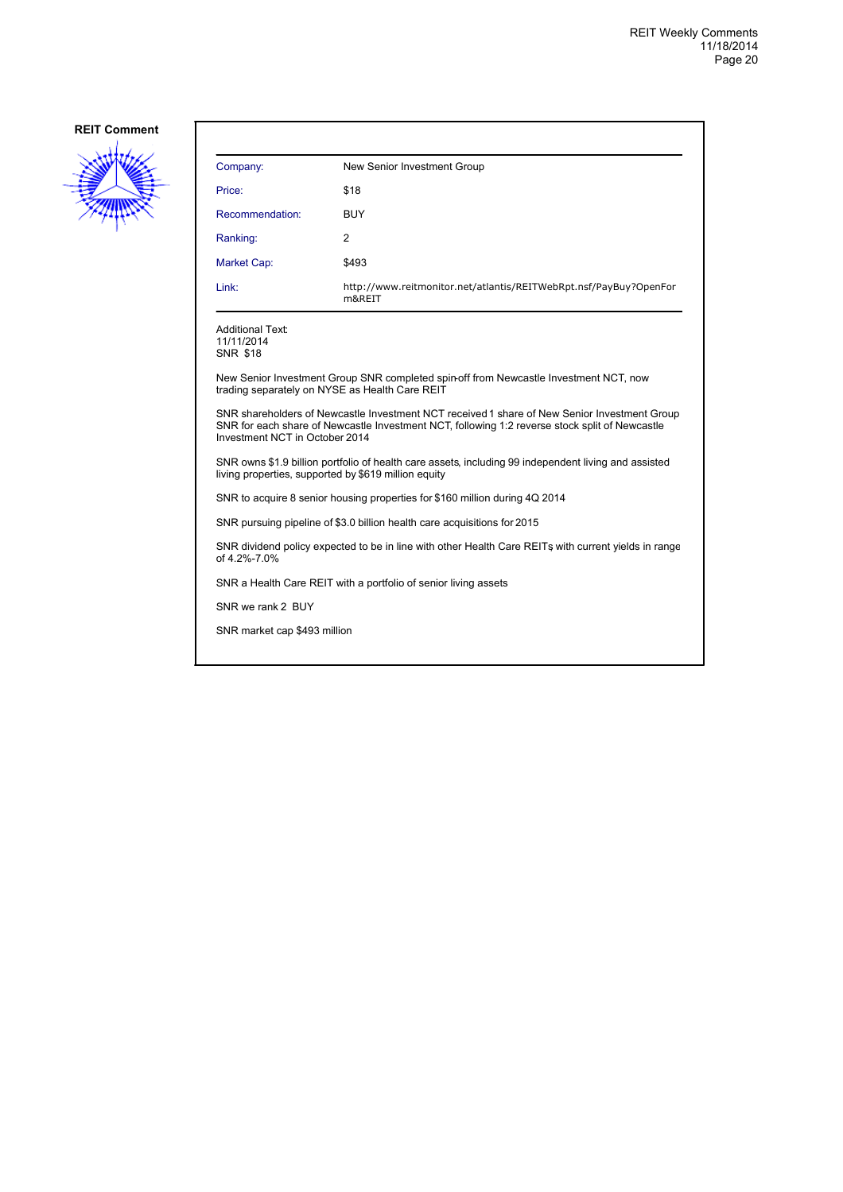

| Company:                                                                                                                                                                                                                         | New Senior Investment Group                                                           |  |
|----------------------------------------------------------------------------------------------------------------------------------------------------------------------------------------------------------------------------------|---------------------------------------------------------------------------------------|--|
| Price:                                                                                                                                                                                                                           | \$18                                                                                  |  |
| Recommendation:                                                                                                                                                                                                                  | <b>BUY</b>                                                                            |  |
| Ranking:                                                                                                                                                                                                                         | 2                                                                                     |  |
| Market Cap:                                                                                                                                                                                                                      | \$493                                                                                 |  |
| Link:                                                                                                                                                                                                                            | http://www.reitmonitor.net/atlantis/REITWebRpt.nsf/PayBuy?OpenFor<br>m&REIT           |  |
| <b>Additional Text:</b><br>11/11/2014<br><b>SNR \$18</b>                                                                                                                                                                         |                                                                                       |  |
| trading separately on NYSE as Health Care REIT                                                                                                                                                                                   | New Senior Investment Group SNR completed spin-off from Newcastle Investment NCT, now |  |
| SNR shareholders of Newcastle Investment NCT received 1 share of New Senior Investment Group<br>SNR for each share of Newcastle Investment NCT, following 1:2 reverse stock split of Newcastle<br>Investment NCT in October 2014 |                                                                                       |  |
| SNR owns \$1.9 billion portfolio of health care assets, including 99 independent living and assisted<br>living properties, supported by \$619 million equity                                                                     |                                                                                       |  |
| SNR to acquire 8 senior housing properties for \$160 million during 4Q 2014                                                                                                                                                      |                                                                                       |  |
|                                                                                                                                                                                                                                  | SNR pursuing pipeline of \$3.0 billion health care acquisitions for 2015              |  |
| SNR dividend policy expected to be in line with other Health Care REITs with current yields in range<br>of 4.2%-7.0%                                                                                                             |                                                                                       |  |
| SNR a Health Care REIT with a portfolio of senior living assets                                                                                                                                                                  |                                                                                       |  |
| SNR we rank 2 BUY                                                                                                                                                                                                                |                                                                                       |  |
| SNR market cap \$493 million                                                                                                                                                                                                     |                                                                                       |  |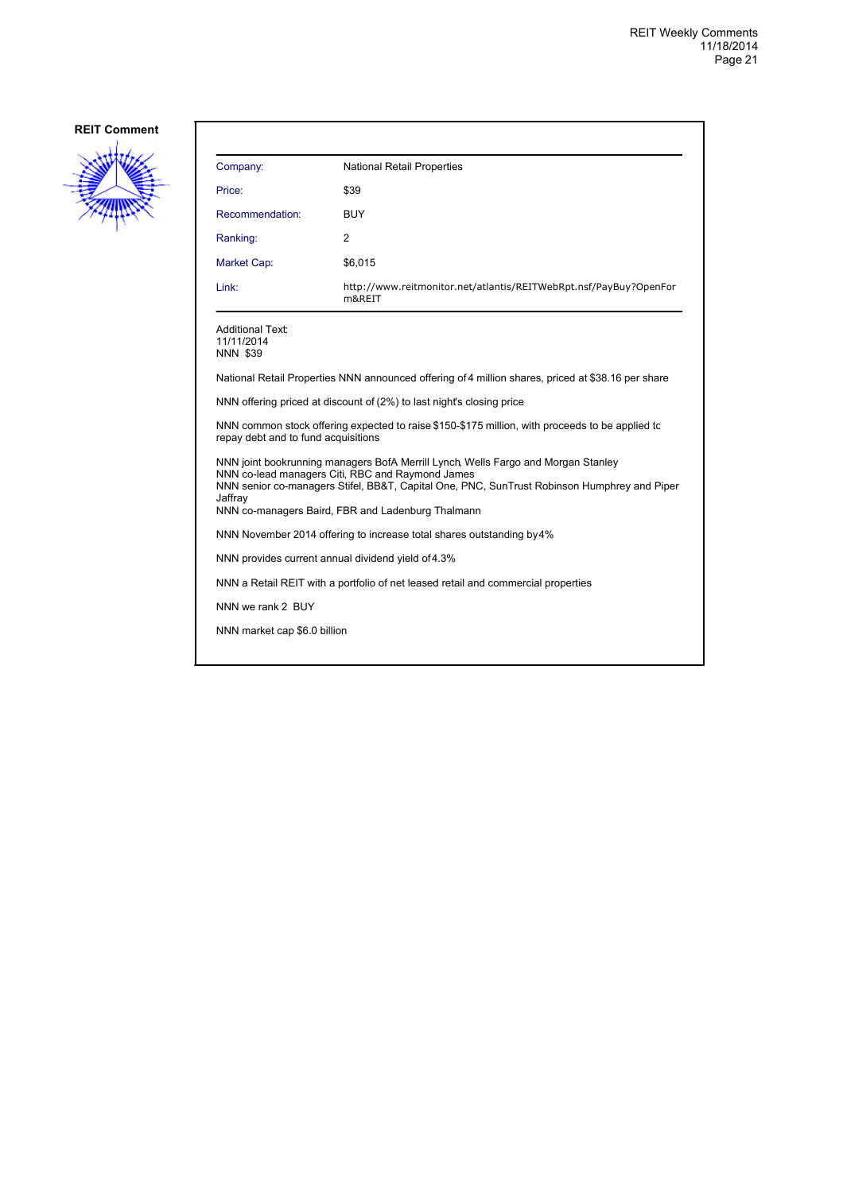

| Company:                                                                          | <b>National Retail Properties</b>                                                                                                                                                                                                                                                         |  |
|-----------------------------------------------------------------------------------|-------------------------------------------------------------------------------------------------------------------------------------------------------------------------------------------------------------------------------------------------------------------------------------------|--|
| Price:                                                                            | \$39                                                                                                                                                                                                                                                                                      |  |
| Recommendation:                                                                   | <b>BUY</b>                                                                                                                                                                                                                                                                                |  |
| Ranking:                                                                          | 2                                                                                                                                                                                                                                                                                         |  |
| <b>Market Cap:</b>                                                                | \$6,015                                                                                                                                                                                                                                                                                   |  |
| Link:                                                                             | http://www.reitmonitor.net/atlantis/REITWebRpt.nsf/PayBuy?OpenFor<br>m&REIT                                                                                                                                                                                                               |  |
| Additional Text:<br>11/11/2014<br><b>NNN \$39</b>                                 |                                                                                                                                                                                                                                                                                           |  |
|                                                                                   | National Retail Properties NNN announced offering of 4 million shares, priced at \$38.16 per share                                                                                                                                                                                        |  |
|                                                                                   | NNN offering priced at discount of (2%) to last night's closing price                                                                                                                                                                                                                     |  |
| repay debt and to fund acquisitions                                               | NNN common stock offering expected to raise \$150-\$175 million, with proceeds to be applied to                                                                                                                                                                                           |  |
| Jaffray                                                                           | NNN joint bookrunning managers BofA Merrill Lynch, Wells Fargo and Morgan Stanley<br>NNN co-lead managers Citi, RBC and Raymond James<br>NNN senior co-managers Stifel, BB&T, Capital One, PNC, SunTrust Robinson Humphrey and Piper<br>NNN co-managers Baird, FBR and Ladenburg Thalmann |  |
|                                                                                   | NNN November 2014 offering to increase total shares outstanding by 4%                                                                                                                                                                                                                     |  |
| NNN provides current annual dividend yield of 4.3%                                |                                                                                                                                                                                                                                                                                           |  |
| NNN a Retail REIT with a portfolio of net leased retail and commercial properties |                                                                                                                                                                                                                                                                                           |  |
| NNN we rank 2 BUY                                                                 |                                                                                                                                                                                                                                                                                           |  |
| NNN market cap \$6.0 billion                                                      |                                                                                                                                                                                                                                                                                           |  |
|                                                                                   |                                                                                                                                                                                                                                                                                           |  |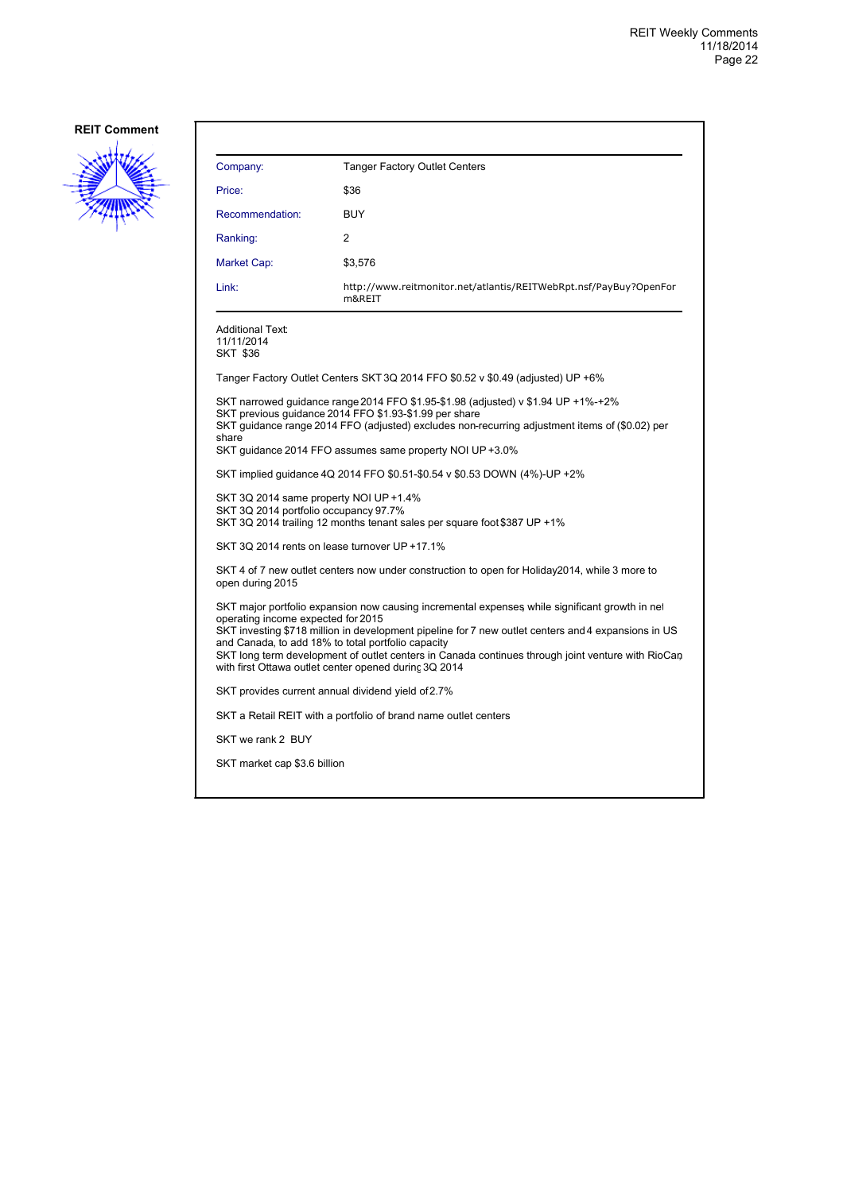

| Company:                                                                                                                                                                                                                                                                                                                                                                                                                                                        | <b>Tanger Factory Outlet Centers</b>                                                                                                                                                                                                                                                                      |
|-----------------------------------------------------------------------------------------------------------------------------------------------------------------------------------------------------------------------------------------------------------------------------------------------------------------------------------------------------------------------------------------------------------------------------------------------------------------|-----------------------------------------------------------------------------------------------------------------------------------------------------------------------------------------------------------------------------------------------------------------------------------------------------------|
| Price:                                                                                                                                                                                                                                                                                                                                                                                                                                                          | \$36                                                                                                                                                                                                                                                                                                      |
| Recommendation:                                                                                                                                                                                                                                                                                                                                                                                                                                                 | <b>BUY</b>                                                                                                                                                                                                                                                                                                |
| Ranking:                                                                                                                                                                                                                                                                                                                                                                                                                                                        | 2                                                                                                                                                                                                                                                                                                         |
| Market Cap:                                                                                                                                                                                                                                                                                                                                                                                                                                                     | \$3,576                                                                                                                                                                                                                                                                                                   |
| Link:                                                                                                                                                                                                                                                                                                                                                                                                                                                           | http://www.reitmonitor.net/atlantis/REITWebRpt.nsf/PayBuy?OpenFor<br>m&REIT                                                                                                                                                                                                                               |
| <b>Additional Text:</b><br>11/11/2014<br><b>SKT \$36</b>                                                                                                                                                                                                                                                                                                                                                                                                        |                                                                                                                                                                                                                                                                                                           |
|                                                                                                                                                                                                                                                                                                                                                                                                                                                                 | Tanger Factory Outlet Centers SKT 3Q 2014 FFO \$0.52 v \$0.49 (adjusted) UP +6%                                                                                                                                                                                                                           |
| share                                                                                                                                                                                                                                                                                                                                                                                                                                                           | SKT narrowed guidance range 2014 FFO \$1.95-\$1.98 (adjusted) v \$1.94 UP +1%-+2%<br>SKT previous quidance 2014 FFO \$1.93-\$1.99 per share<br>SKT guidance range 2014 FFO (adjusted) excludes non-recurring adjustment items of (\$0.02) per<br>SKT quidance 2014 FFO assumes same property NOI UP +3.0% |
|                                                                                                                                                                                                                                                                                                                                                                                                                                                                 | SKT implied guidance 4Q 2014 FFO \$0.51-\$0.54 v \$0.53 DOWN (4%)-UP +2%                                                                                                                                                                                                                                  |
| SKT 3Q 2014 same property NOI UP +1.4%<br>SKT 3Q 2014 portfolio occupancy 97.7%                                                                                                                                                                                                                                                                                                                                                                                 | SKT 3Q 2014 trailing 12 months tenant sales per square foot \$387 UP +1%                                                                                                                                                                                                                                  |
| SKT 3Q 2014 rents on lease turnover UP +17.1%                                                                                                                                                                                                                                                                                                                                                                                                                   |                                                                                                                                                                                                                                                                                                           |
| open during 2015                                                                                                                                                                                                                                                                                                                                                                                                                                                | SKT 4 of 7 new outlet centers now under construction to open for Holiday2014, while 3 more to                                                                                                                                                                                                             |
| SKT major portfolio expansion now causing incremental expenses while significant growth in net<br>operating income expected for 2015<br>SKT investing \$718 million in development pipeline for 7 new outlet centers and 4 expansions in US<br>and Canada, to add 18% to total portfolio capacity<br>SKT long term development of outlet centers in Canada continues through joint venture with RioCan<br>with first Ottawa outlet center opened during 3Q 2014 |                                                                                                                                                                                                                                                                                                           |
| SKT provides current annual dividend yield of 2.7%                                                                                                                                                                                                                                                                                                                                                                                                              |                                                                                                                                                                                                                                                                                                           |
|                                                                                                                                                                                                                                                                                                                                                                                                                                                                 | SKT a Retail REIT with a portfolio of brand name outlet centers                                                                                                                                                                                                                                           |
| SKT we rank 2 BUY                                                                                                                                                                                                                                                                                                                                                                                                                                               |                                                                                                                                                                                                                                                                                                           |
| SKT market cap \$3.6 billion                                                                                                                                                                                                                                                                                                                                                                                                                                    |                                                                                                                                                                                                                                                                                                           |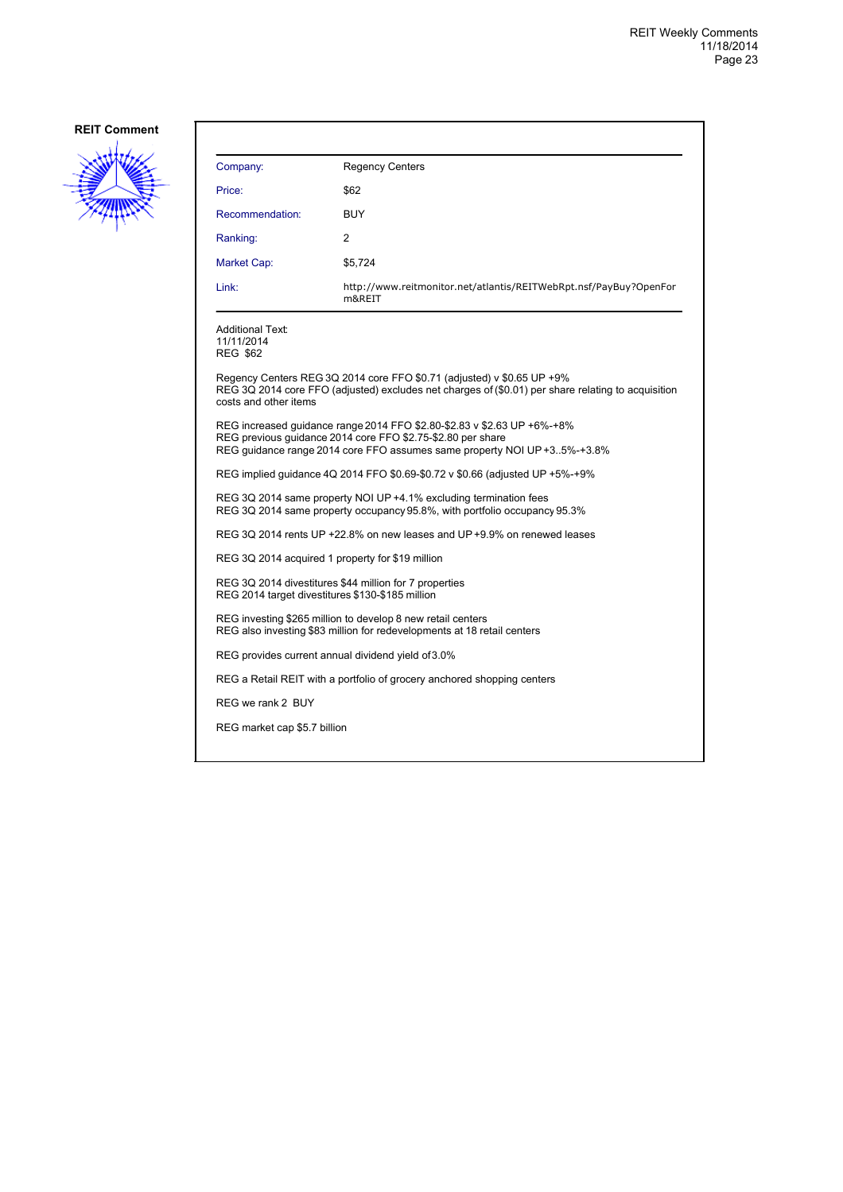

| Company:                                                 | <b>Regency Centers</b>                                                                                                                                                                                             |  |
|----------------------------------------------------------|--------------------------------------------------------------------------------------------------------------------------------------------------------------------------------------------------------------------|--|
| Price:                                                   | \$62                                                                                                                                                                                                               |  |
| Recommendation:                                          | BUY                                                                                                                                                                                                                |  |
| Ranking:                                                 | 2                                                                                                                                                                                                                  |  |
| Market Cap:                                              | \$5,724                                                                                                                                                                                                            |  |
| Link:                                                    | http://www.reitmonitor.net/atlantis/REITWebRpt.nsf/PayBuy?OpenFor<br>m&REIT                                                                                                                                        |  |
| <b>Additional Text:</b><br>11/11/2014<br><b>REG \$62</b> |                                                                                                                                                                                                                    |  |
| costs and other items                                    | Regency Centers REG 3Q 2014 core FFO \$0.71 (adjusted) v \$0.65 UP $+9\%$<br>REG 3Q 2014 core FFO (adjusted) excludes net charges of (\$0.01) per share relating to acquisition                                    |  |
|                                                          | REG increased quidance range 2014 FFO \$2.80-\$2.83 v \$2.63 UP +6%-+8%<br>REG previous guidance 2014 core FFO \$2.75-\$2.80 per share<br>REG quidance range 2014 core FFO assumes same property NOI UP +35%-+3.8% |  |
|                                                          | REG implied quidance 4Q 2014 FFO \$0.69-\$0.72 v \$0.66 (adjusted UP +5%-+9%)                                                                                                                                      |  |
|                                                          | REG 3Q 2014 same property NOI UP +4.1% excluding termination fees<br>REG 3Q 2014 same property occupancy 95.8%, with portfolio occupancy 95.3%                                                                     |  |
|                                                          | REG 3Q 2014 rents UP +22.8% on new leases and UP +9.9% on renewed leases                                                                                                                                           |  |
|                                                          | REG 3Q 2014 acquired 1 property for \$19 million                                                                                                                                                                   |  |
|                                                          | REG 3Q 2014 divestitures \$44 million for 7 properties<br>REG 2014 target divestitures \$130-\$185 million                                                                                                         |  |
|                                                          | REG investing \$265 million to develop 8 new retail centers<br>REG also investing \$83 million for redevelopments at 18 retail centers                                                                             |  |
|                                                          | REG provides current annual dividend yield of 3.0%                                                                                                                                                                 |  |
|                                                          | REG a Retail REIT with a portfolio of grocery anchored shopping centers                                                                                                                                            |  |
| REG we rank 2 BUY                                        |                                                                                                                                                                                                                    |  |
| REG market cap \$5.7 billion                             |                                                                                                                                                                                                                    |  |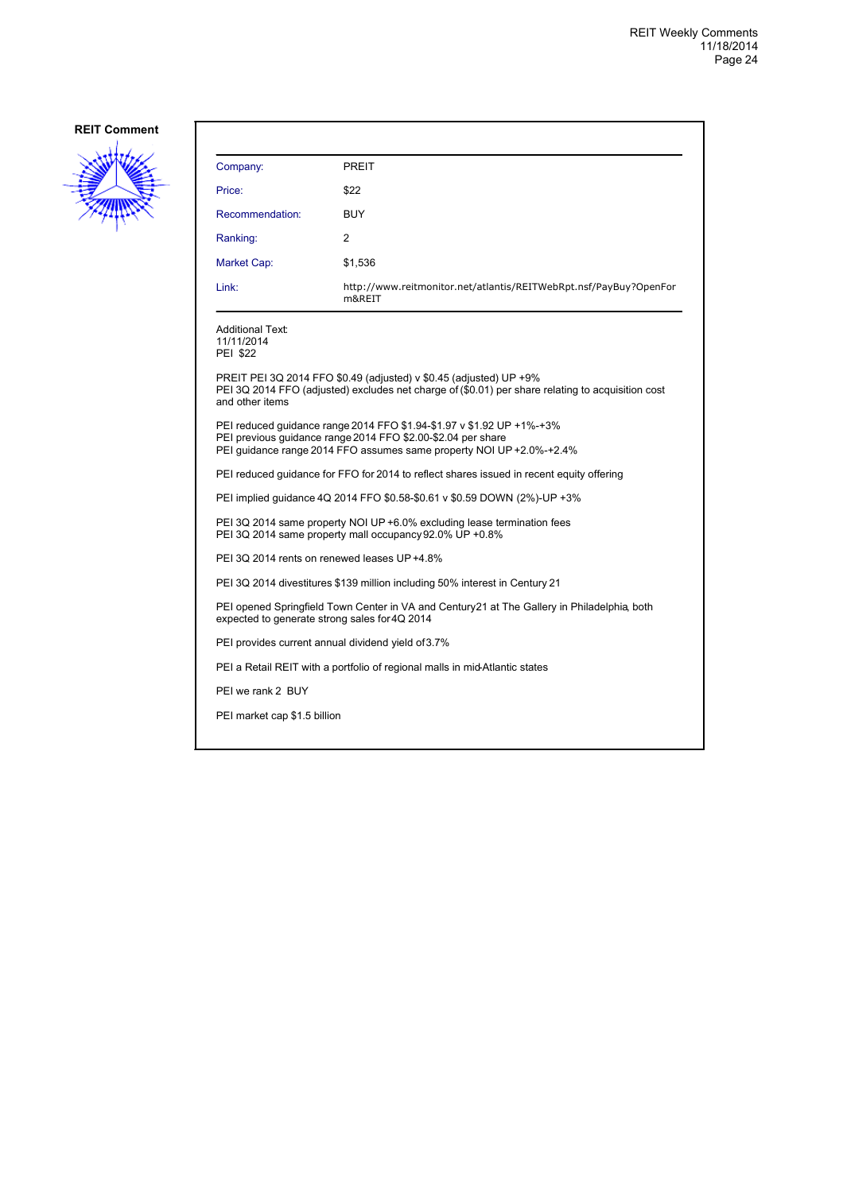

| Company:                                                                                                                                     | <b>PREIT</b>                                                                                                                                                                                                  |  |
|----------------------------------------------------------------------------------------------------------------------------------------------|---------------------------------------------------------------------------------------------------------------------------------------------------------------------------------------------------------------|--|
| Price:                                                                                                                                       | \$22                                                                                                                                                                                                          |  |
| Recommendation:                                                                                                                              | <b>BUY</b>                                                                                                                                                                                                    |  |
| Ranking:                                                                                                                                     | 2                                                                                                                                                                                                             |  |
| Market Cap:                                                                                                                                  | \$1,536                                                                                                                                                                                                       |  |
| Link:                                                                                                                                        | http://www.reitmonitor.net/atlantis/REITWebRpt.nsf/PayBuy?OpenFor<br>m&REIT                                                                                                                                   |  |
| <b>Additional Text:</b><br>11/11/2014<br><b>PEI \$22</b>                                                                                     |                                                                                                                                                                                                               |  |
| and other items                                                                                                                              | PREIT PEI 3Q 2014 FFO \$0.49 (adjusted) v \$0.45 (adjusted) UP +9%<br>PEI 3Q 2014 FFO (adjusted) excludes net charge of (\$0.01) per share relating to acquisition cost                                       |  |
|                                                                                                                                              | PEI reduced quidance range 2014 FFO \$1.94-\$1.97 v \$1.92 UP +1%-+3%<br>PEI previous guidance range 2014 FFO \$2.00-\$2.04 per share<br>PEI guidance range 2014 FFO assumes same property NOI UP +2.0%-+2.4% |  |
| PEI reduced guidance for FFO for 2014 to reflect shares issued in recent equity offering                                                     |                                                                                                                                                                                                               |  |
| PEI implied guidance 4Q 2014 FFO \$0.58-\$0.61 v \$0.59 DOWN (2%)-UP +3%                                                                     |                                                                                                                                                                                                               |  |
| PEI 3Q 2014 same property NOI UP +6.0% excluding lease termination fees<br>PEI 3Q 2014 same property mall occupancy 92.0% UP +0.8%           |                                                                                                                                                                                                               |  |
| PEI 3Q 2014 rents on renewed leases UP+4.8%                                                                                                  |                                                                                                                                                                                                               |  |
|                                                                                                                                              | PEI 3Q 2014 divestitures \$139 million including 50% interest in Century 21                                                                                                                                   |  |
| PEI opened Springfield Town Center in VA and Century21 at The Gallery in Philadelphia, both<br>expected to generate strong sales for 4Q 2014 |                                                                                                                                                                                                               |  |
|                                                                                                                                              | PEI provides current annual dividend yield of 3.7%                                                                                                                                                            |  |
|                                                                                                                                              | PEI a Retail REIT with a portfolio of regional malls in mid-Atlantic states                                                                                                                                   |  |
| PEI we rank 2 BUY                                                                                                                            |                                                                                                                                                                                                               |  |
| PEI market cap \$1.5 billion                                                                                                                 |                                                                                                                                                                                                               |  |
|                                                                                                                                              |                                                                                                                                                                                                               |  |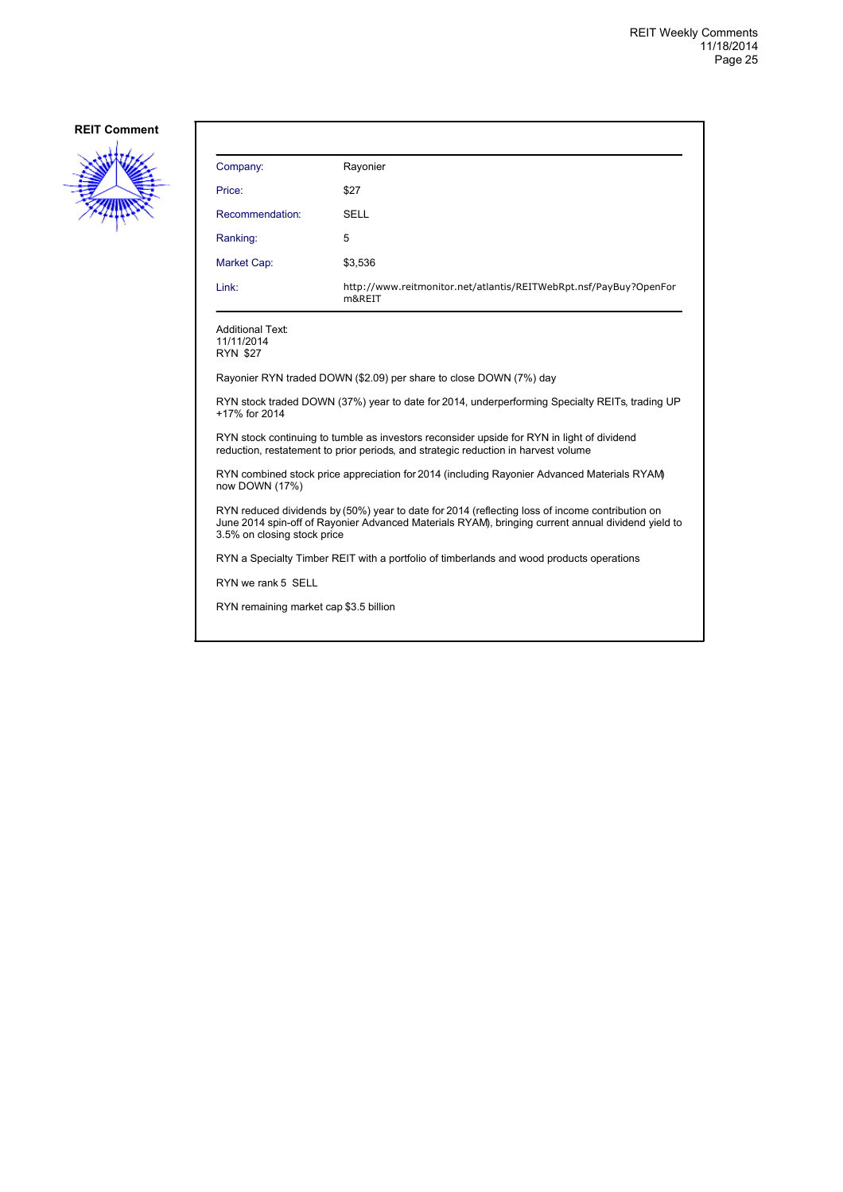

| Company:                                                 | Rayonier                                                                                                                                                                                              |
|----------------------------------------------------------|-------------------------------------------------------------------------------------------------------------------------------------------------------------------------------------------------------|
| Price:                                                   | \$27                                                                                                                                                                                                  |
| Recommendation:                                          | SELL                                                                                                                                                                                                  |
| Ranking:                                                 | 5                                                                                                                                                                                                     |
| <b>Market Cap:</b>                                       | \$3,536                                                                                                                                                                                               |
| Link:                                                    | http://www.reitmonitor.net/atlantis/REITWebRpt.nsf/PayBuy?OpenFor<br>m&REIT                                                                                                                           |
| <b>Additional Text:</b><br>11/11/2014<br><b>RYN \$27</b> |                                                                                                                                                                                                       |
|                                                          | Rayonier RYN traded DOWN (\$2.09) per share to close DOWN (7%) day                                                                                                                                    |
| +17% for 2014                                            | RYN stock traded DOWN (37%) year to date for 2014, underperforming Specialty REITs, trading UP                                                                                                        |
|                                                          | RYN stock continuing to tumble as investors reconsider upside for RYN in light of dividend<br>reduction, restatement to prior periods, and strategic reduction in harvest volume                      |
| now DOWN (17%)                                           | RYN combined stock price appreciation for 2014 (including Rayonier Advanced Materials RYAM)                                                                                                           |
| 3.5% on closing stock price                              | RYN reduced dividends by (50%) year to date for 2014 (reflecting loss of income contribution on<br>June 2014 spin-off of Rayonier Advanced Materials RYAM), bringing current annual dividend yield to |
|                                                          | RYN a Specialty Timber REIT with a portfolio of timberlands and wood products operations                                                                                                              |
| RYN we rank 5 SELL                                       |                                                                                                                                                                                                       |
| RYN remaining market cap \$3.5 billion                   |                                                                                                                                                                                                       |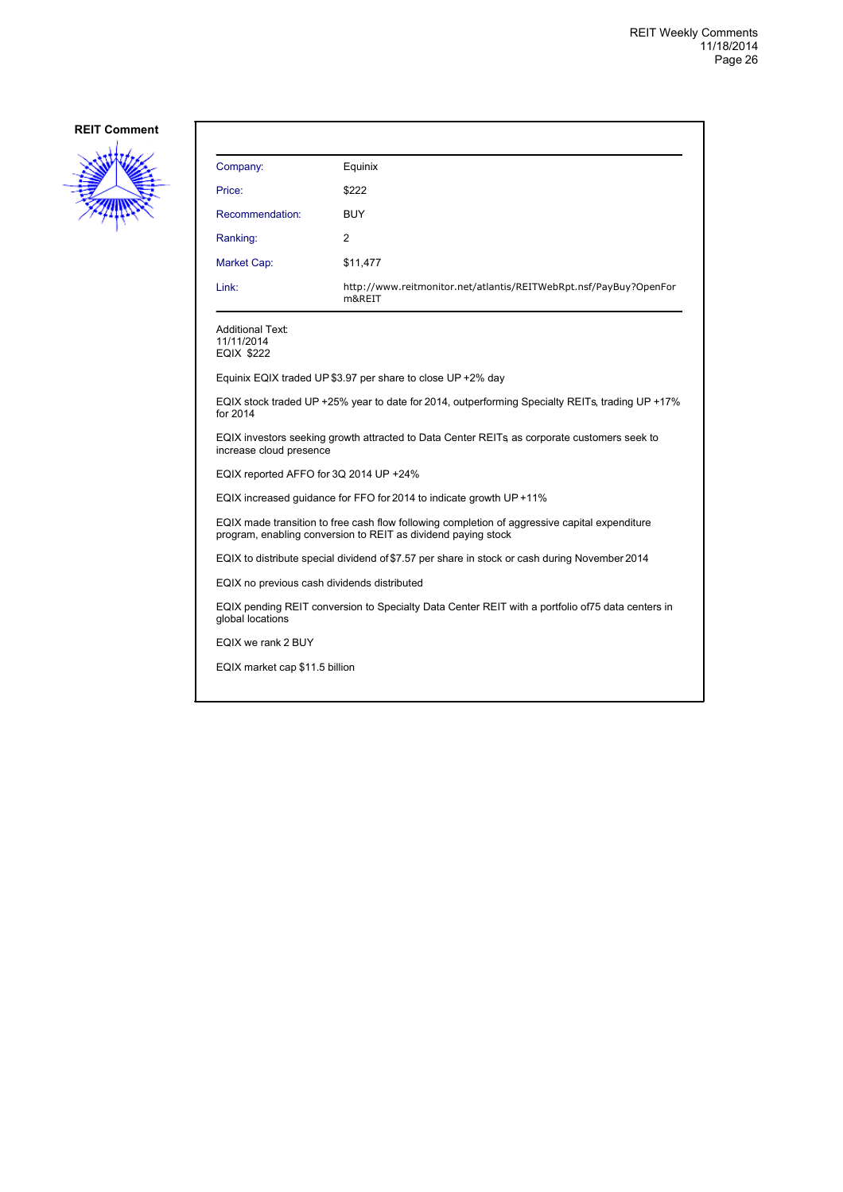

| Company:                                                   | Equinix                                                                                                                                                        |
|------------------------------------------------------------|----------------------------------------------------------------------------------------------------------------------------------------------------------------|
| Price:                                                     | \$222                                                                                                                                                          |
| Recommendation:                                            | <b>BUY</b>                                                                                                                                                     |
| Ranking:                                                   | 2                                                                                                                                                              |
| Market Cap:                                                | \$11,477                                                                                                                                                       |
| Link:                                                      | http://www.reitmonitor.net/atlantis/REITWebRpt.nsf/PayBuy?OpenFor<br>m&REIT                                                                                    |
| <b>Additional Text:</b><br>11/11/2014<br><b>EQIX \$222</b> |                                                                                                                                                                |
|                                                            | Equinix EQIX traded UP \$3.97 per share to close UP $+2\%$ day                                                                                                 |
| for 2014                                                   | EQIX stock traded UP +25% year to date for 2014, outperforming Specialty REITs, trading UP +17%                                                                |
| increase cloud presence                                    | EQIX investors seeking growth attracted to Data Center REITs as corporate customers seek to                                                                    |
| EQIX reported AFFO for 3Q 2014 UP +24%                     |                                                                                                                                                                |
|                                                            | EQIX increased guidance for FFO for 2014 to indicate growth UP +11%                                                                                            |
|                                                            | EQIX made transition to free cash flow following completion of aggressive capital expenditure<br>program, enabling conversion to REIT as dividend paying stock |
|                                                            | EQIX to distribute special dividend of \$7.57 per share in stock or cash during November 2014                                                                  |
| EQIX no previous cash dividends distributed                |                                                                                                                                                                |
| global locations                                           | EQIX pending REIT conversion to Specialty Data Center REIT with a portfolio of 75 data centers in                                                              |
| EQIX we rank 2 BUY                                         |                                                                                                                                                                |
| EQIX market cap \$11.5 billion                             |                                                                                                                                                                |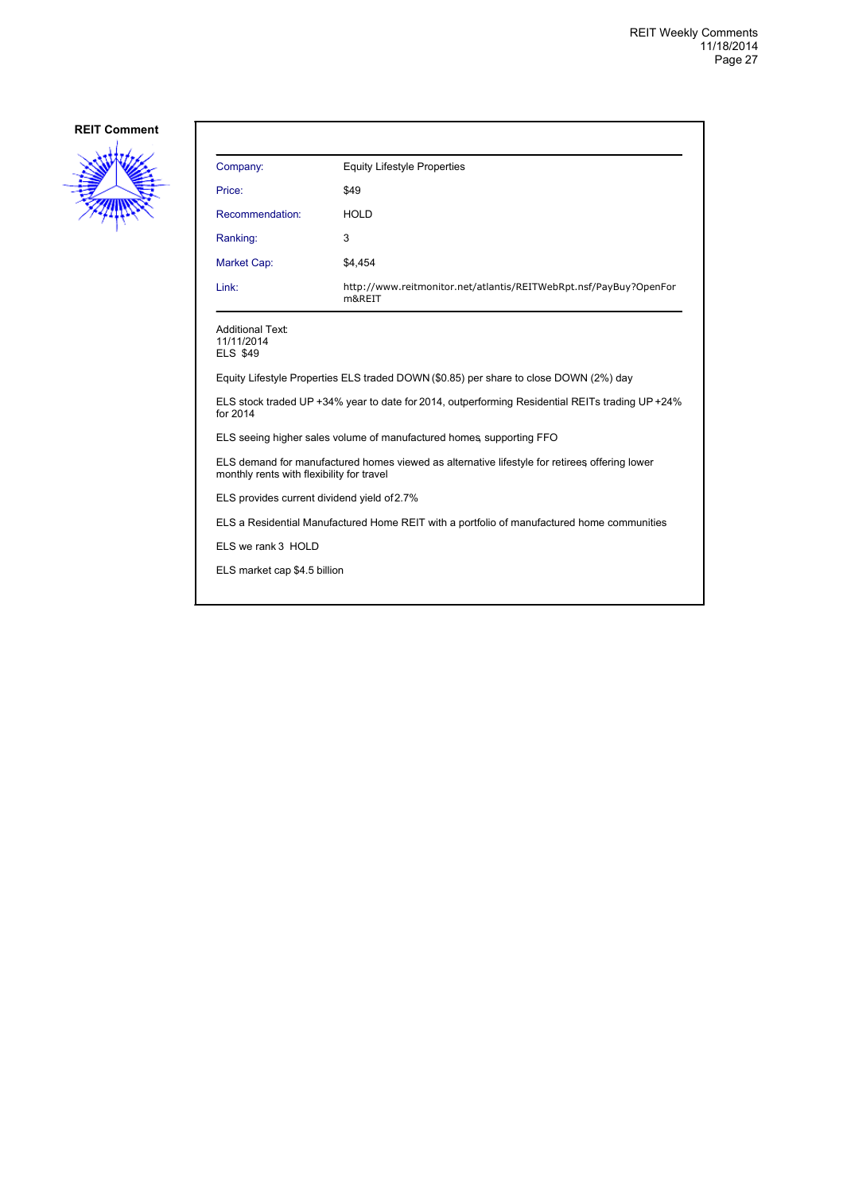

| Company:                                                                                                                                   | <b>Equity Lifestyle Properties</b>                                          |
|--------------------------------------------------------------------------------------------------------------------------------------------|-----------------------------------------------------------------------------|
| Price:                                                                                                                                     | \$49                                                                        |
| Recommendation:                                                                                                                            | <b>HOLD</b>                                                                 |
| Ranking:                                                                                                                                   | 3                                                                           |
| Market Cap:                                                                                                                                | \$4,454                                                                     |
| Link:                                                                                                                                      | http://www.reitmonitor.net/atlantis/REITWebRpt.nsf/PayBuy?OpenFor<br>m&REIT |
| <b>Additional Text:</b><br>11/11/2014<br><b>ELS \$49</b>                                                                                   |                                                                             |
| Equity Lifestyle Properties ELS traded DOWN (\$0.85) per share to close DOWN (2%) day                                                      |                                                                             |
| ELS stock traded UP +34% year to date for 2014, outperforming Residential REITs trading UP +24%<br>for 2014                                |                                                                             |
| ELS seeing higher sales volume of manufactured homes, supporting FFO                                                                       |                                                                             |
| ELS demand for manufactured homes viewed as alternative lifestyle for retirees offering lower<br>monthly rents with flexibility for travel |                                                                             |
| ELS provides current dividend yield of 2.7%                                                                                                |                                                                             |
| ELS a Residential Manufactured Home REIT with a portfolio of manufactured home communities                                                 |                                                                             |
| ELS we rank 3 HOLD                                                                                                                         |                                                                             |
| ELS market cap \$4.5 billion                                                                                                               |                                                                             |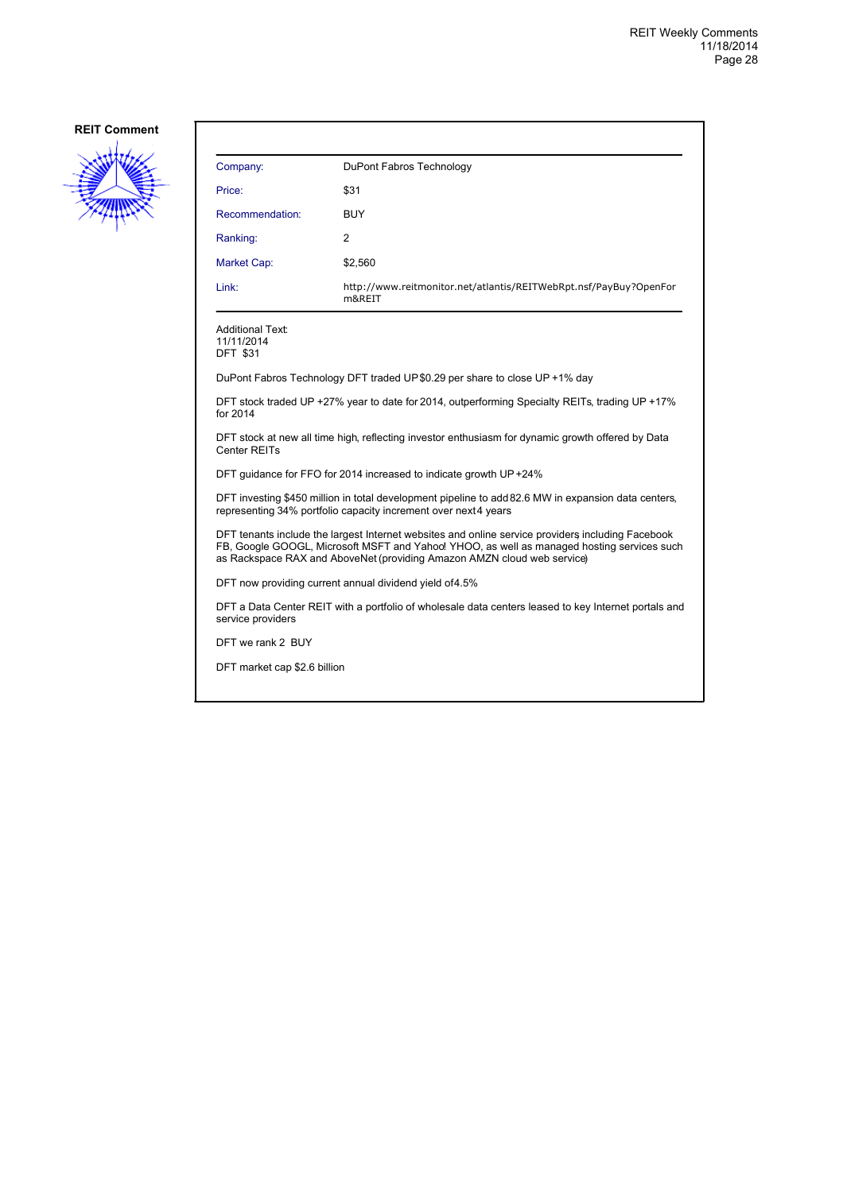

| Company:                                                                                                                                                                                                                                                                   | DuPont Fabros Technology                                                    |  |
|----------------------------------------------------------------------------------------------------------------------------------------------------------------------------------------------------------------------------------------------------------------------------|-----------------------------------------------------------------------------|--|
| Price:                                                                                                                                                                                                                                                                     | \$31                                                                        |  |
| Recommendation:                                                                                                                                                                                                                                                            | <b>BUY</b>                                                                  |  |
| Ranking:                                                                                                                                                                                                                                                                   | 2                                                                           |  |
| <b>Market Cap:</b>                                                                                                                                                                                                                                                         | \$2,560                                                                     |  |
| Link:                                                                                                                                                                                                                                                                      | http://www.reitmonitor.net/atlantis/REITWebRpt.nsf/PayBuy?OpenFor<br>m&REIT |  |
| <b>Additional Text:</b><br>11/11/2014<br><b>DFT \$31</b>                                                                                                                                                                                                                   |                                                                             |  |
|                                                                                                                                                                                                                                                                            | DuPont Fabros Technology DFT traded UP\$0.29 per share to close UP +1% day  |  |
| DFT stock traded UP +27% year to date for 2014, outperforming Specialty REITs, trading UP +17%<br>for 2014                                                                                                                                                                 |                                                                             |  |
| DFT stock at new all time high, reflecting investor enthusiasm for dynamic growth offered by Data<br>Center REITs                                                                                                                                                          |                                                                             |  |
| DFT guidance for FFO for 2014 increased to indicate growth UP+24%                                                                                                                                                                                                          |                                                                             |  |
| DFT investing \$450 million in total development pipeline to add 82.6 MW in expansion data centers,<br>representing 34% portfolio capacity increment over next4 years                                                                                                      |                                                                             |  |
| DFT tenants include the largest Internet websites and online service providers including Facebook<br>FB, Google GOOGL, Microsoft MSFT and Yahoo! YHOO, as well as managed hosting services such<br>as Rackspace RAX and AboveNet (providing Amazon AMZN cloud web service) |                                                                             |  |
| DFT now providing current annual dividend yield of4.5%                                                                                                                                                                                                                     |                                                                             |  |
| DFT a Data Center REIT with a portfolio of wholesale data centers leased to key Internet portals and<br>service providers                                                                                                                                                  |                                                                             |  |

DFT we rank 2 BUY

DFT market cap \$2.6 billion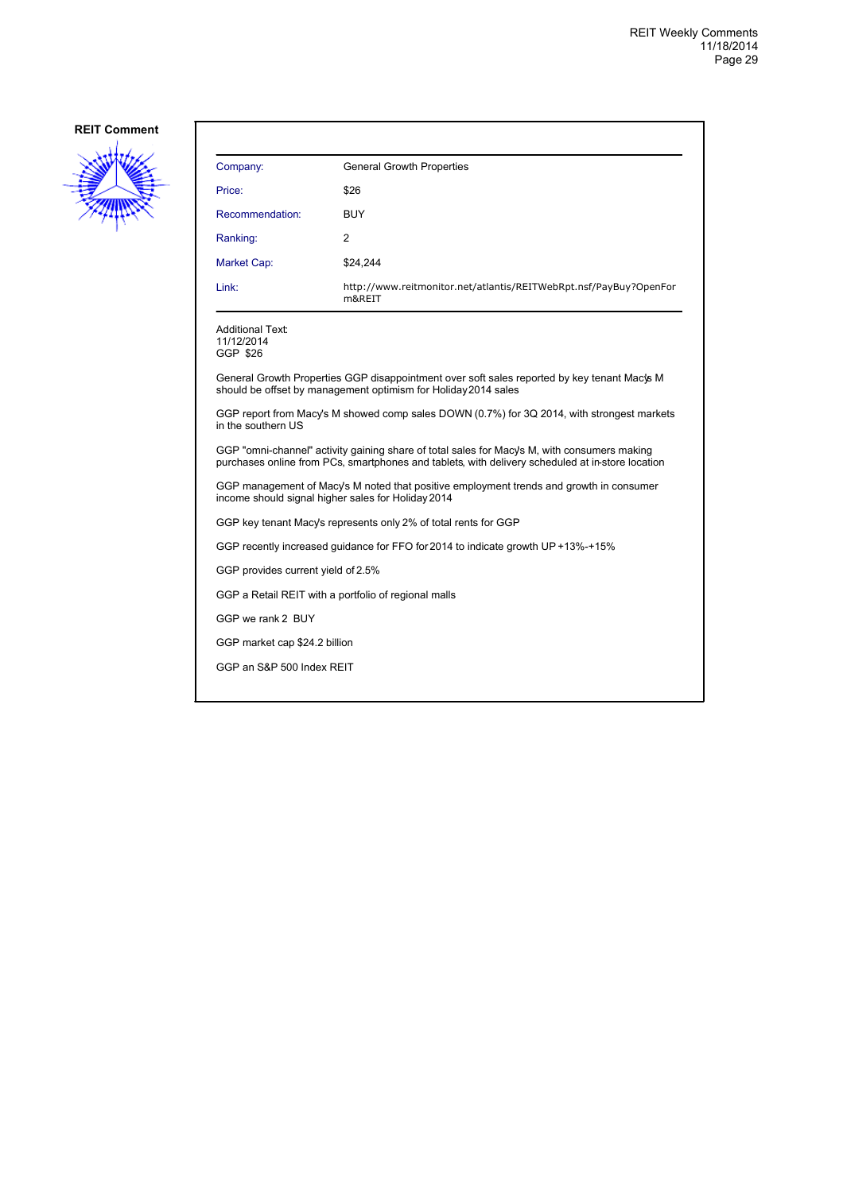

| Company:                                                                                                                                                                                         | <b>General Growth Properties</b>                                            |
|--------------------------------------------------------------------------------------------------------------------------------------------------------------------------------------------------|-----------------------------------------------------------------------------|
| Price:                                                                                                                                                                                           | \$26                                                                        |
| Recommendation:                                                                                                                                                                                  | <b>BUY</b>                                                                  |
| Ranking:                                                                                                                                                                                         | 2                                                                           |
| <b>Market Cap:</b>                                                                                                                                                                               | \$24,244                                                                    |
| Link:                                                                                                                                                                                            | http://www.reitmonitor.net/atlantis/REITWebRpt.nsf/PayBuy?OpenFor<br>m&RFIT |
| Additional Text:<br>11/12/2014<br>GGP \$26                                                                                                                                                       |                                                                             |
| General Growth Properties GGP disappointment over soft sales reported by key tenant Mac's M<br>should be offset by management optimism for Holiday 2014 sales                                    |                                                                             |
| GGP report from Macy's M showed comp sales DOWN (0.7%) for 3Q 2014, with strongest markets<br>in the southern US                                                                                 |                                                                             |
| GGP "omni-channel" activity gaining share of total sales for Macy's M, with consumers making<br>purchases online from PCs, smartphones and tablets, with delivery scheduled at in-store location |                                                                             |
| GGP management of Macy's M noted that positive employment trends and growth in consumer<br>income should signal higher sales for Holiday 2014                                                    |                                                                             |
| GGP key tenant Macy's represents only 2% of total rents for GGP                                                                                                                                  |                                                                             |
| GGP recently increased guidance for FFO for 2014 to indicate growth UP +13%-+15%                                                                                                                 |                                                                             |
| GGP provides current yield of 2.5%                                                                                                                                                               |                                                                             |
| GGP a Retail REIT with a portfolio of regional malls                                                                                                                                             |                                                                             |
| GGP we rank 2 BUY                                                                                                                                                                                |                                                                             |
| GGP market cap \$24.2 billion                                                                                                                                                                    |                                                                             |
| GGP an S&P 500 Index REIT                                                                                                                                                                        |                                                                             |
|                                                                                                                                                                                                  |                                                                             |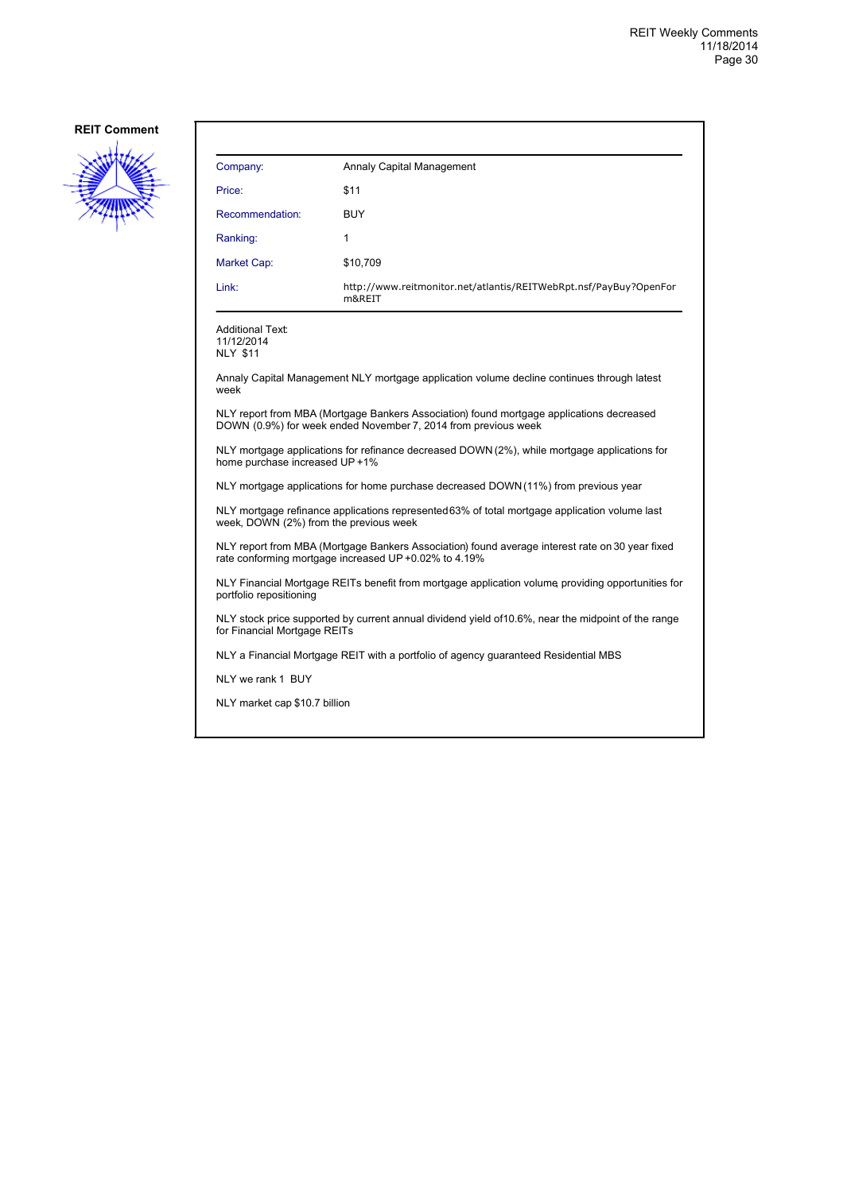

| Annaly Capital Management                                                   |
|-----------------------------------------------------------------------------|
| \$11                                                                        |
| <b>BUY</b>                                                                  |
| 1                                                                           |
| \$10,709                                                                    |
| http://www.reitmonitor.net/atlantis/REITWebRpt.nsf/PayBuy?OpenFor<br>m&REIT |
|                                                                             |

Additional Text: 11/12/2014

NLY \$11

Annaly Capital Management NLY mortgage application volume decline continues through latest week

NLY report from MBA (Mortgage Bankers Association) found mortgage applications decreased DOWN (0.9%) for week ended November 7, 2014 from previous week

NLY mortgage applications for refinance decreased DOWN (2%), while mortgage applications for home purchase increased UP +1%

NLY mortgage applications for home purchase decreased DOWN (11%) from previous year

NLY mortgage refinance applications represented 63% of total mortgage application volume last week, DOWN (2%) from the previous week

NLY report from MBA (Mortgage Bankers Association) found average interest rate on 30 year fixed rate conforming mortgage increased UP +0.02% to 4.19%

NLY Financial Mortgage REITs benefit from mortgage application volume, providing opportunities for portfolio repositioning

NLY stock price supported by current annual dividend yield of 10.6%, near the midpoint of the range for Financial Mortgage REITs

NLY a Financial Mortgage REIT with a portfolio of agency guaranteed Residential MBS

NLY we rank 1 BUY

NLY market cap \$10.7 billion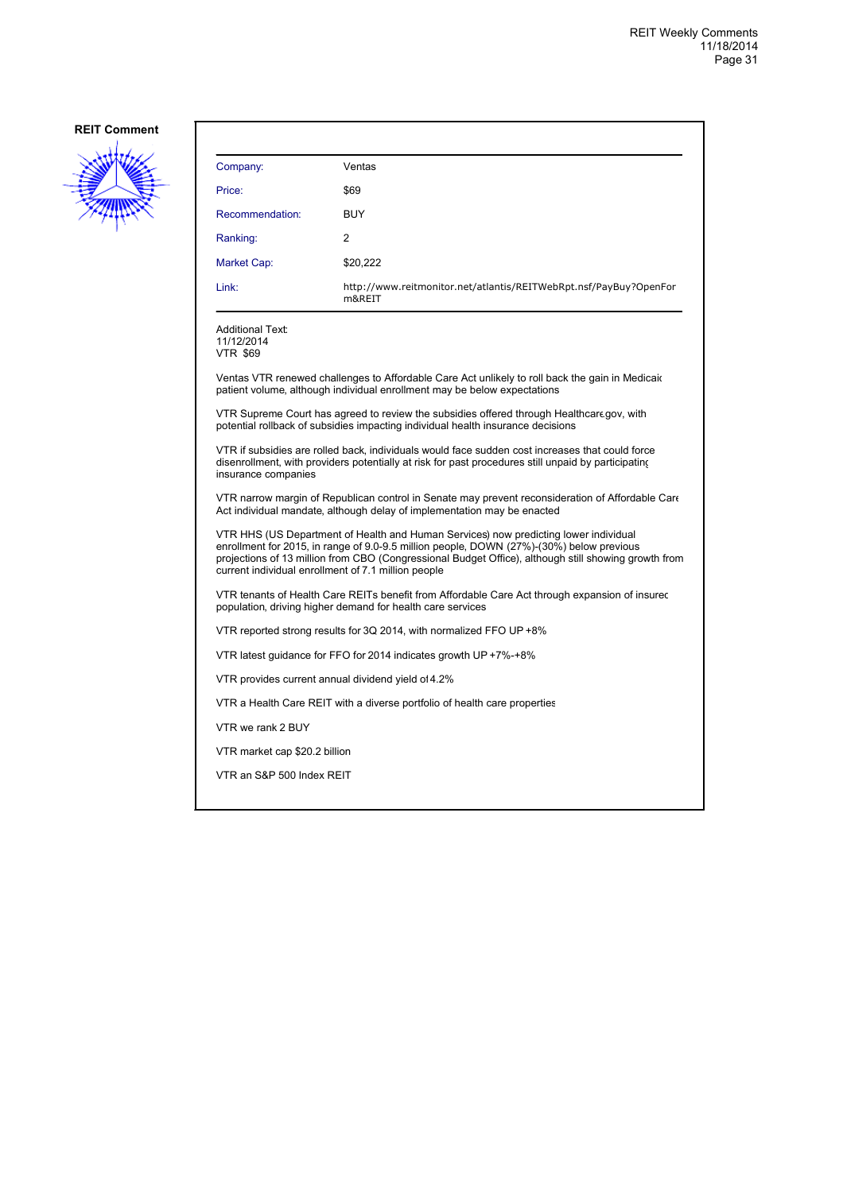

| Company:                                                                                                                                                                                                                                                                                                                                        | Ventas                                                                                                                                                                                                 |
|-------------------------------------------------------------------------------------------------------------------------------------------------------------------------------------------------------------------------------------------------------------------------------------------------------------------------------------------------|--------------------------------------------------------------------------------------------------------------------------------------------------------------------------------------------------------|
| Price:                                                                                                                                                                                                                                                                                                                                          | \$69                                                                                                                                                                                                   |
| Recommendation:                                                                                                                                                                                                                                                                                                                                 | <b>BUY</b>                                                                                                                                                                                             |
| Ranking:                                                                                                                                                                                                                                                                                                                                        | 2                                                                                                                                                                                                      |
| Market Cap:                                                                                                                                                                                                                                                                                                                                     | \$20,222                                                                                                                                                                                               |
| Link:                                                                                                                                                                                                                                                                                                                                           | http://www.reitmonitor.net/atlantis/REITWebRpt.nsf/PayBuy?OpenFor<br>m&REIT                                                                                                                            |
| <b>Additional Text:</b><br>11/12/2014<br><b>VTR \$69</b>                                                                                                                                                                                                                                                                                        |                                                                                                                                                                                                        |
|                                                                                                                                                                                                                                                                                                                                                 | Ventas VTR renewed challenges to Affordable Care Act unlikely to roll back the gain in Medicaic<br>patient volume, although individual enrollment may be below expectations                            |
| VTR Supreme Court has agreed to review the subsidies offered through Healthcare.gov, with<br>potential rollback of subsidies impacting individual health insurance decisions                                                                                                                                                                    |                                                                                                                                                                                                        |
| insurance companies                                                                                                                                                                                                                                                                                                                             | VTR if subsidies are rolled back, individuals would face sudden cost increases that could force<br>disenrollment, with providers potentially at risk for past procedures still unpaid by participating |
| VTR narrow margin of Republican control in Senate may prevent reconsideration of Affordable Care<br>Act individual mandate, although delay of implementation may be enacted                                                                                                                                                                     |                                                                                                                                                                                                        |
| VTR HHS (US Department of Health and Human Services) now predicting lower individual<br>enrollment for 2015, in range of 9.0-9.5 million people, DOWN (27%)-(30%) below previous<br>projections of 13 million from CBO (Congressional Budget Office), although still showing growth from<br>current individual enrollment of 7.1 million people |                                                                                                                                                                                                        |
| VTR tenants of Health Care REITs benefit from Affordable Care Act through expansion of insurec<br>population, driving higher demand for health care services                                                                                                                                                                                    |                                                                                                                                                                                                        |
| VTR reported strong results for 3Q 2014, with normalized FFO UP +8%                                                                                                                                                                                                                                                                             |                                                                                                                                                                                                        |
| VTR latest guidance for FFO for 2014 indicates growth UP +7%-+8%                                                                                                                                                                                                                                                                                |                                                                                                                                                                                                        |
| VTR provides current annual dividend yield of 4.2%                                                                                                                                                                                                                                                                                              |                                                                                                                                                                                                        |
| VTR a Health Care REIT with a diverse portfolio of health care properties                                                                                                                                                                                                                                                                       |                                                                                                                                                                                                        |
| VTR we rank 2 BUY                                                                                                                                                                                                                                                                                                                               |                                                                                                                                                                                                        |
| VTR market cap \$20.2 billion                                                                                                                                                                                                                                                                                                                   |                                                                                                                                                                                                        |
| VTR an S&P 500 Index REIT                                                                                                                                                                                                                                                                                                                       |                                                                                                                                                                                                        |
|                                                                                                                                                                                                                                                                                                                                                 |                                                                                                                                                                                                        |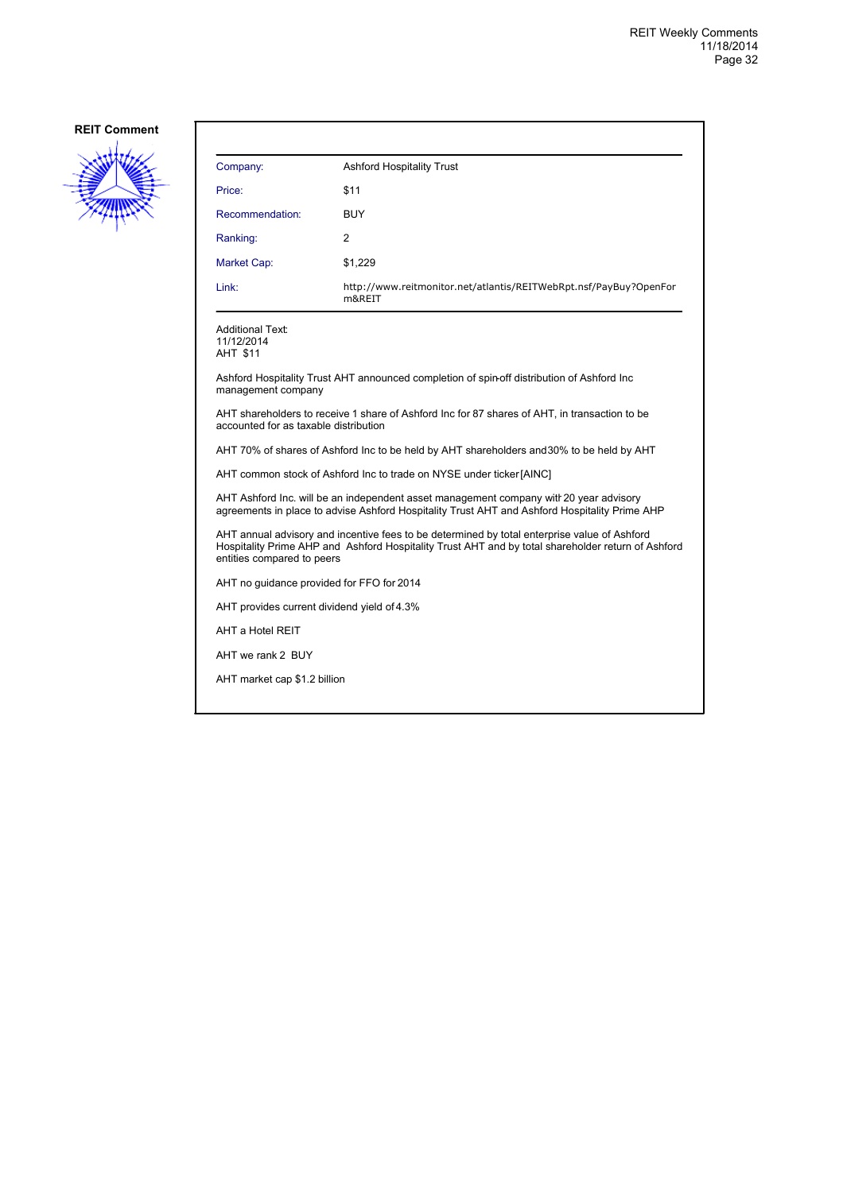

| Company:        | <b>Ashford Hospitality Trust</b>                                            |
|-----------------|-----------------------------------------------------------------------------|
| Price:          | \$11                                                                        |
| Recommendation: | <b>BUY</b>                                                                  |
| Ranking:        | $\overline{2}$                                                              |
| Market Cap:     | \$1,229                                                                     |
| Link:           | http://www.reitmonitor.net/atlantis/REITWebRpt.nsf/PayBuy?OpenFor<br>m&REIT |

Additional Text: 11/12/2014

AHT \$11

Ashford Hospitality Trust AHT announced completion of spin-off distribution of Ashford Inc management company

AHT shareholders to receive 1 share of Ashford Inc for 87 shares of AHT, in transaction to be accounted for as taxable distribution

AHT 70% of shares of Ashford Inc to be held by AHT shareholders and 30% to be held by AHT

AHT common stock of Ashford Inc to trade on NYSE under ticker [AINC]

AHT Ashford Inc. will be an independent asset management company witl 20 year advisory agreements in place to advise Ashford Hospitality Trust AHT and Ashford Hospitality Prime AHP

AHT annual advisory and incentive fees to be determined by total enterprise value of Ashford Hospitality Prime AHP and Ashford Hospitality Trust AHT and by total shareholder return of Ashford entities compared to peers

AHT no guidance provided for FFO for 2014

AHT provides current dividend yield of 4.3%

AHT a Hotel REIT

AHT we rank 2 BUY

AHT market cap \$1.2 billion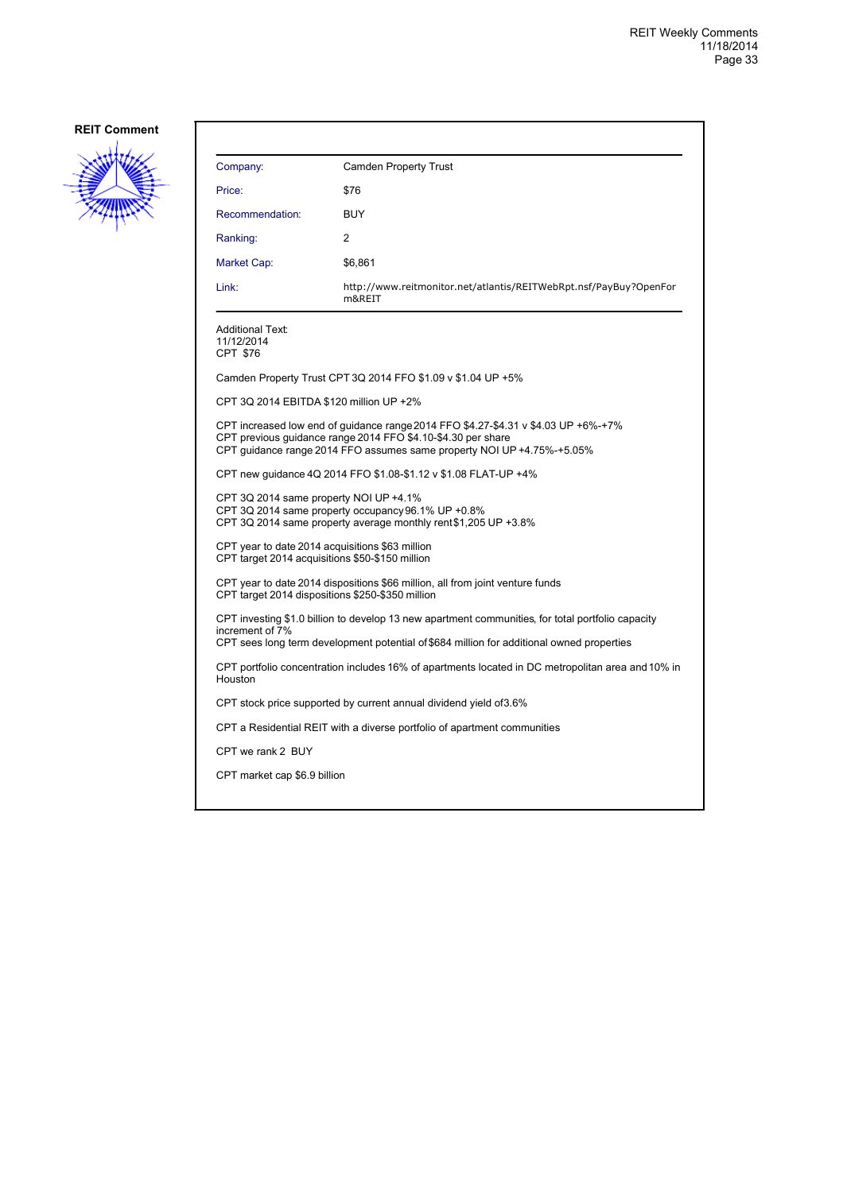

| Company:                                                                                                                                                                                                                     | <b>Camden Property Trust</b>                                                |
|------------------------------------------------------------------------------------------------------------------------------------------------------------------------------------------------------------------------------|-----------------------------------------------------------------------------|
| Price:                                                                                                                                                                                                                       | \$76                                                                        |
| Recommendation:                                                                                                                                                                                                              | <b>BUY</b>                                                                  |
| Ranking:                                                                                                                                                                                                                     | 2                                                                           |
| Market Cap:                                                                                                                                                                                                                  | \$6,861                                                                     |
| Link:                                                                                                                                                                                                                        | http://www.reitmonitor.net/atlantis/REITWebRpt.nsf/PayBuy?OpenFor<br>m&REIT |
| Additional Text:<br>11/12/2014<br>CPT \$76                                                                                                                                                                                   |                                                                             |
|                                                                                                                                                                                                                              | Camden Property Trust CPT 3Q 2014 FFO \$1.09 v \$1.04 UP +5%                |
| CPT 3Q 2014 EBITDA \$120 million UP +2%                                                                                                                                                                                      |                                                                             |
| CPT increased low end of quidance range 2014 FFO \$4.27-\$4.31 v \$4.03 UP +6%-+7%<br>CPT previous quidance range 2014 FFO \$4.10-\$4.30 per share<br>CPT guidance range 2014 FFO assumes same property NOI UP +4.75%-+5.05% |                                                                             |
| CPT new guidance 4Q 2014 FFO \$1.08-\$1.12 v \$1.08 FLAT-UP +4%                                                                                                                                                              |                                                                             |
| CPT 3Q 2014 same property NOI UP +4.1%<br>CPT 3Q 2014 same property occupancy 96.1% UP +0.8%<br>CPT 3Q 2014 same property average monthly rent\$1,205 UP +3.8%                                                               |                                                                             |
| CPT year to date 2014 acquisitions \$63 million<br>CPT target 2014 acquisitions \$50-\$150 million                                                                                                                           |                                                                             |
| CPT year to date 2014 dispositions \$66 million, all from joint venture funds<br>CPT target 2014 dispositions \$250-\$350 million                                                                                            |                                                                             |
| CPT investing \$1.0 billion to develop 13 new apartment communities, for total portfolio capacity<br>increment of 7%<br>CPT sees long term development potential of \$684 million for additional owned properties            |                                                                             |
| CPT portfolio concentration includes 16% of apartments located in DC metropolitan area and 10% in<br>Houston                                                                                                                 |                                                                             |
| CPT stock price supported by current annual dividend yield of 3.6%                                                                                                                                                           |                                                                             |
| CPT a Residential REIT with a diverse portfolio of apartment communities                                                                                                                                                     |                                                                             |
| CPT we rank 2 BUY                                                                                                                                                                                                            |                                                                             |
| CPT market cap \$6.9 billion                                                                                                                                                                                                 |                                                                             |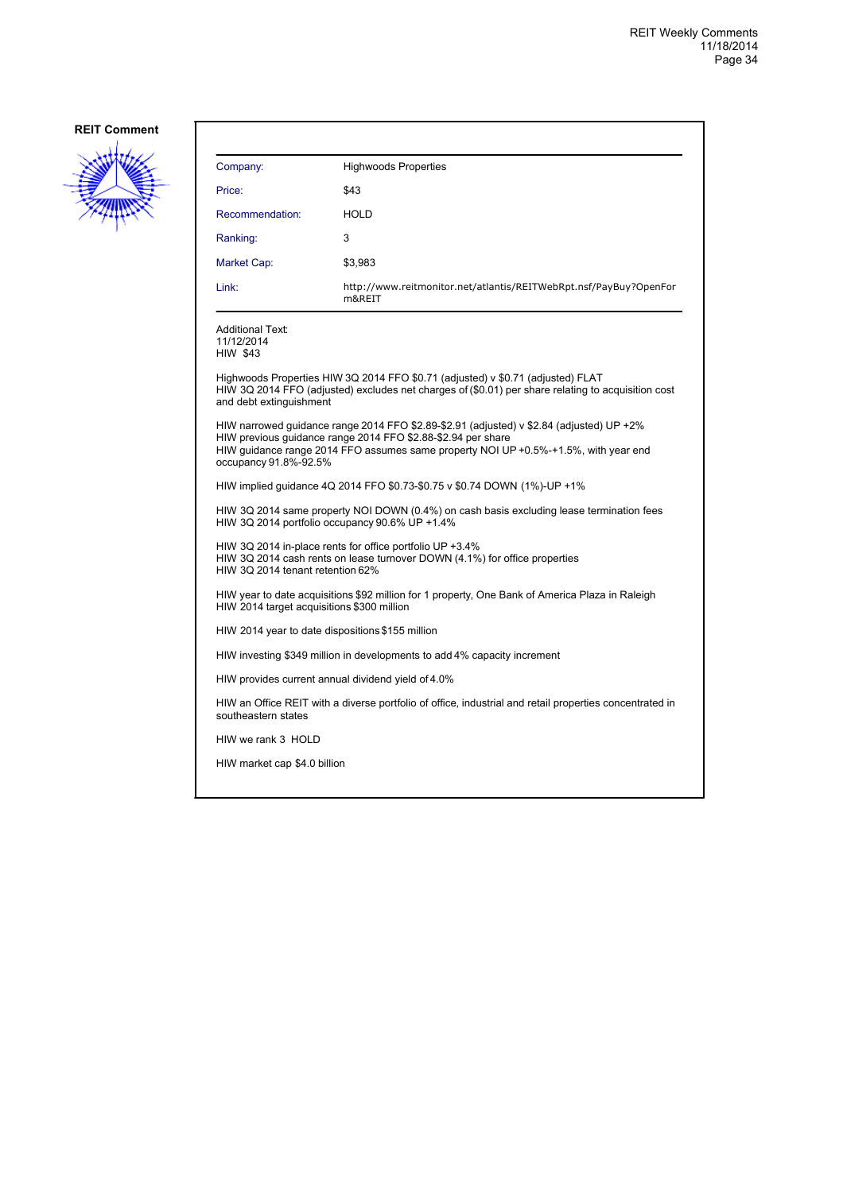

| Company:                                                                                                                                                                                                                                                                 | <b>Highwoods Properties</b>                                                 |
|--------------------------------------------------------------------------------------------------------------------------------------------------------------------------------------------------------------------------------------------------------------------------|-----------------------------------------------------------------------------|
| Price:                                                                                                                                                                                                                                                                   | \$43                                                                        |
| Recommendation:                                                                                                                                                                                                                                                          | <b>HOLD</b>                                                                 |
| Ranking:                                                                                                                                                                                                                                                                 | 3                                                                           |
| Market Cap:                                                                                                                                                                                                                                                              | \$3,983                                                                     |
| Link:                                                                                                                                                                                                                                                                    | http://www.reitmonitor.net/atlantis/REITWebRpt.nsf/PayBuy?OpenFor<br>m&REIT |
| <b>Additional Text:</b><br>11/12/2014<br><b>HIW \$43</b>                                                                                                                                                                                                                 |                                                                             |
| Highwoods Properties HIW 3Q 2014 FFO \$0.71 (adjusted) v \$0.71 (adjusted) FLAT<br>HIW 3Q 2014 FFO (adjusted) excludes net charges of (\$0.01) per share relating to acquisition cost<br>and debt extinguishment                                                         |                                                                             |
| HIW narrowed quidance range 2014 FFO \$2.89-\$2.91 (adjusted) v \$2.84 (adjusted) UP +2%<br>HIW previous quidance range 2014 FFO \$2.88-\$2.94 per share<br>HIW quidance range 2014 FFO assumes same property NOI UP +0.5%-+1.5%, with year end<br>occupancy 91.8%-92.5% |                                                                             |
| HIW implied guidance 4Q 2014 FFO \$0.73-\$0.75 v \$0.74 DOWN (1%)-UP +1%                                                                                                                                                                                                 |                                                                             |
| HIW 3Q 2014 same property NOI DOWN (0.4%) on cash basis excluding lease termination fees<br>HIW 3Q 2014 portfolio occupancy 90.6% UP +1.4%                                                                                                                               |                                                                             |
| HIW 3Q 2014 in-place rents for office portfolio UP +3.4%<br>HIW 3Q 2014 cash rents on lease turnover DOWN (4.1%) for office properties<br>HIW 3Q 2014 tenant retention 62%                                                                                               |                                                                             |
| HIW year to date acquisitions \$92 million for 1 property, One Bank of America Plaza in Raleigh<br>HIW 2014 target acquisitions \$300 million                                                                                                                            |                                                                             |
| HIW 2014 year to date dispositions \$155 million                                                                                                                                                                                                                         |                                                                             |
| HIW investing \$349 million in developments to add 4% capacity increment                                                                                                                                                                                                 |                                                                             |
| HIW provides current annual dividend yield of 4.0%                                                                                                                                                                                                                       |                                                                             |
| HIW an Office REIT with a diverse portfolio of office, industrial and retail properties concentrated in<br>southeastern states                                                                                                                                           |                                                                             |
| HIW we rank 3 HOLD                                                                                                                                                                                                                                                       |                                                                             |
| HIW market cap \$4.0 billion                                                                                                                                                                                                                                             |                                                                             |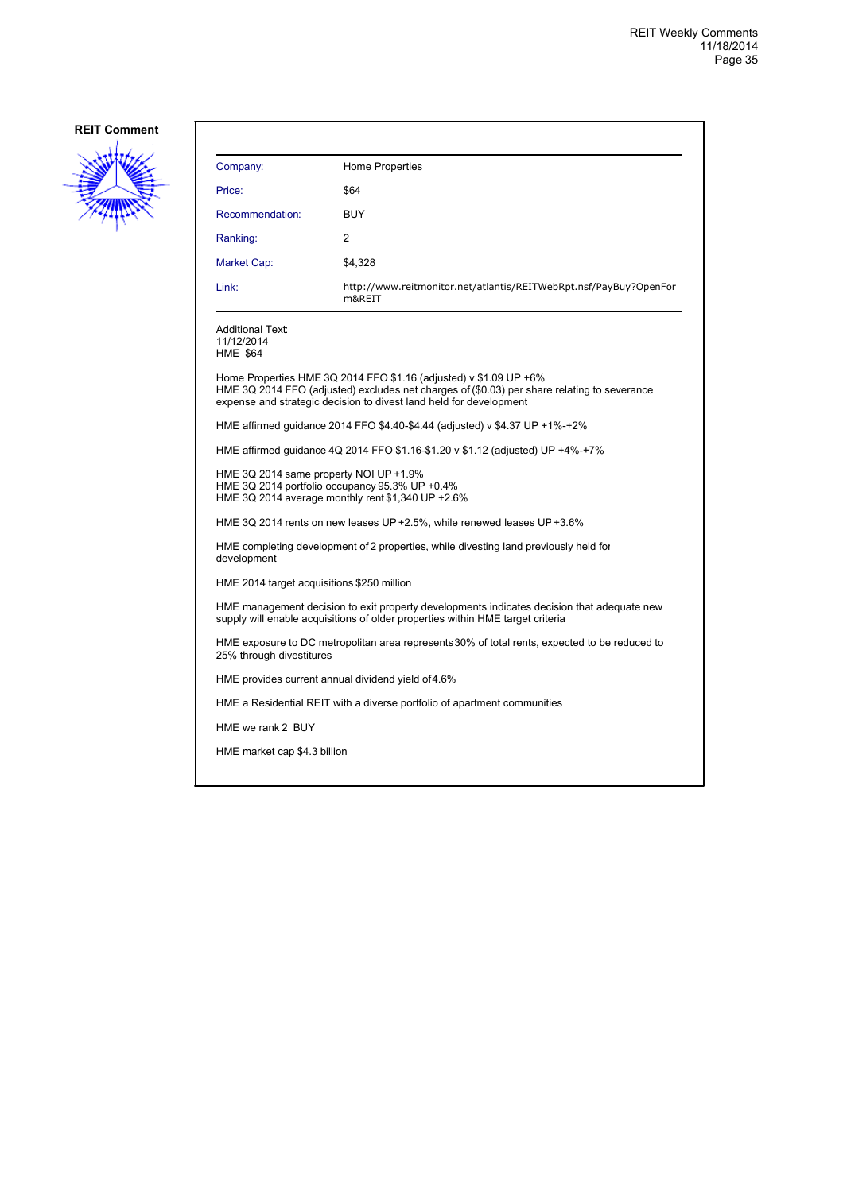

| Company:                                                                                                                                                                                                                               | Home Properties                                                             |  |
|----------------------------------------------------------------------------------------------------------------------------------------------------------------------------------------------------------------------------------------|-----------------------------------------------------------------------------|--|
| Price:                                                                                                                                                                                                                                 | \$64                                                                        |  |
| Recommendation:                                                                                                                                                                                                                        | BUY                                                                         |  |
| Ranking:                                                                                                                                                                                                                               | $\overline{c}$                                                              |  |
| Market Cap:                                                                                                                                                                                                                            | \$4,328                                                                     |  |
| Link:                                                                                                                                                                                                                                  | http://www.reitmonitor.net/atlantis/REITWebRpt.nsf/PayBuy?OpenFor<br>m&REIT |  |
| Additional Text:<br>11/12/2014<br><b>HME \$64</b>                                                                                                                                                                                      |                                                                             |  |
| Home Properties HME 3Q 2014 FFO \$1.16 (adjusted) v \$1.09 UP +6%<br>HME 3Q 2014 FFO (adjusted) excludes net charges of (\$0.03) per share relating to severance<br>expense and strategic decision to divest land held for development |                                                                             |  |
| HME affirmed guidance 2014 FFO \$4.40-\$4.44 (adjusted) v \$4.37 UP +1%-+2%                                                                                                                                                            |                                                                             |  |
| HME affirmed guidance 4Q 2014 FFO \$1.16-\$1.20 v \$1.12 (adjusted) UP +4%-+7%                                                                                                                                                         |                                                                             |  |
| HME 3Q 2014 same property NOI UP +1.9%<br>HME 3Q 2014 portfolio occupancy 95.3% UP +0.4%<br>HME 3Q 2014 average monthly rent \$1,340 UP +2.6%                                                                                          |                                                                             |  |
|                                                                                                                                                                                                                                        | HME 3Q 2014 rents on new leases UP +2.5%, while renewed leases UP +3.6%     |  |
| HME completing development of 2 properties, while divesting land previously held for<br>development                                                                                                                                    |                                                                             |  |
| HME 2014 target acquisitions \$250 million                                                                                                                                                                                             |                                                                             |  |
| HME management decision to exit property developments indicates decision that adequate new<br>supply will enable acquisitions of older properties within HME target criteria                                                           |                                                                             |  |
| HME exposure to DC metropolitan area represents 30% of total rents, expected to be reduced to<br>25% through divestitures                                                                                                              |                                                                             |  |
| HME provides current annual dividend yield of 4.6%                                                                                                                                                                                     |                                                                             |  |
| HME a Residential REIT with a diverse portfolio of apartment communities                                                                                                                                                               |                                                                             |  |
| HME we rank 2 BUY                                                                                                                                                                                                                      |                                                                             |  |
| HME market cap \$4.3 billion                                                                                                                                                                                                           |                                                                             |  |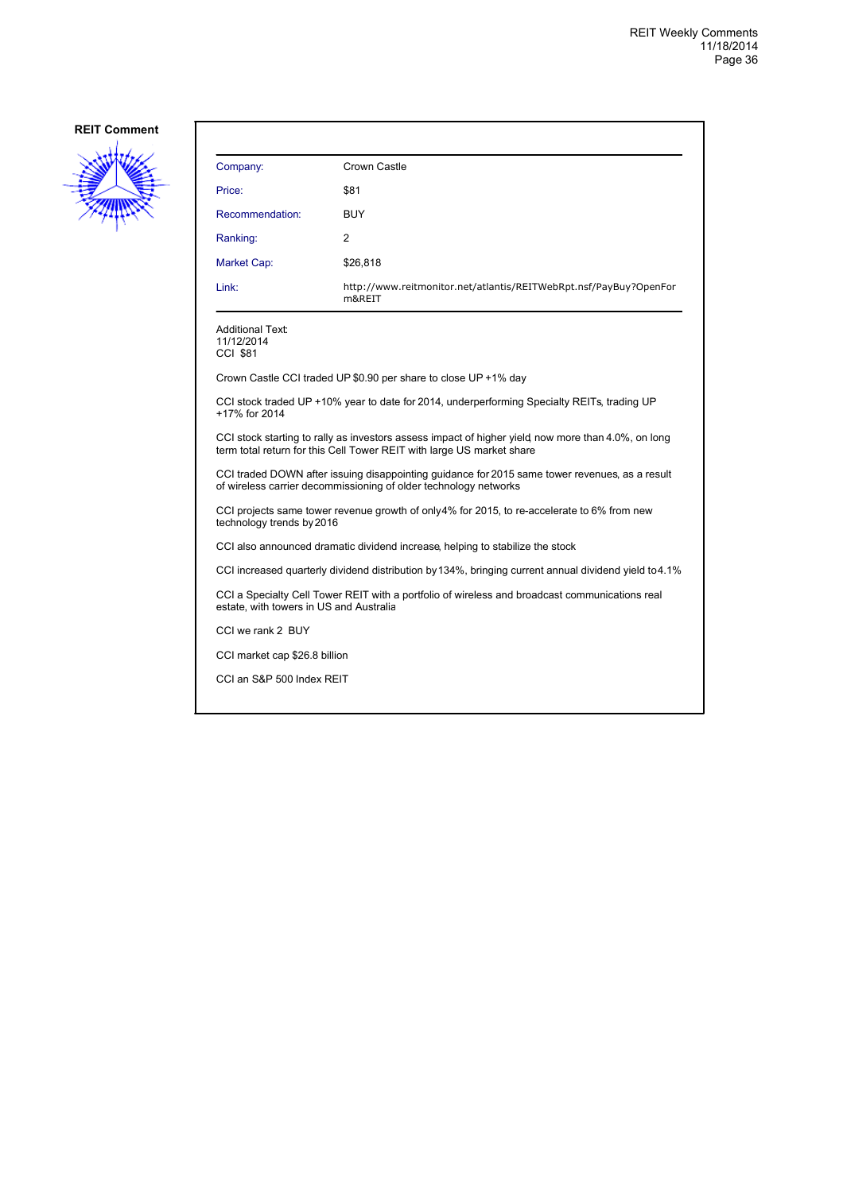

| Company:                                                                                                                                                                    | Crown Castle                                                                                          |  |
|-----------------------------------------------------------------------------------------------------------------------------------------------------------------------------|-------------------------------------------------------------------------------------------------------|--|
| Price:                                                                                                                                                                      | \$81                                                                                                  |  |
| Recommendation:                                                                                                                                                             | <b>BUY</b>                                                                                            |  |
| Ranking:                                                                                                                                                                    | 2                                                                                                     |  |
| Market Cap:                                                                                                                                                                 | \$26,818                                                                                              |  |
| Link:                                                                                                                                                                       | http://www.reitmonitor.net/atlantis/REITWebRpt.nsf/PayBuy?OpenFor<br>m&REIT                           |  |
| <b>Additional Text:</b><br>11/12/2014<br>CCI \$81                                                                                                                           |                                                                                                       |  |
|                                                                                                                                                                             | Crown Castle CCI traded UP \$0.90 per share to close UP +1% day                                       |  |
| CCI stock traded UP +10% year to date for 2014, underperforming Specialty REITs, trading UP<br>+17% for 2014                                                                |                                                                                                       |  |
| CCI stock starting to rally as investors assess impact of higher yield now more than 4.0%, on long<br>term total return for this Cell Tower REIT with large US market share |                                                                                                       |  |
| CCI traded DOWN after issuing disappointing guidance for 2015 same tower revenues, as a result<br>of wireless carrier decommissioning of older technology networks          |                                                                                                       |  |
| CCI projects same tower revenue growth of only4% for 2015, to re-accelerate to 6% from new<br>technology trends by 2016                                                     |                                                                                                       |  |
| CCI also announced dramatic dividend increase, helping to stabilize the stock                                                                                               |                                                                                                       |  |
|                                                                                                                                                                             | CCI increased quarterly dividend distribution by 134%, bringing current annual dividend yield to 4.1% |  |
| CCI a Specialty Cell Tower REIT with a portfolio of wireless and broadcast communications real<br>estate, with towers in US and Australia                                   |                                                                                                       |  |
| CCI we rank 2 BUY                                                                                                                                                           |                                                                                                       |  |
| CCI market cap \$26.8 billion                                                                                                                                               |                                                                                                       |  |
| CCI an S&P 500 Index REIT                                                                                                                                                   |                                                                                                       |  |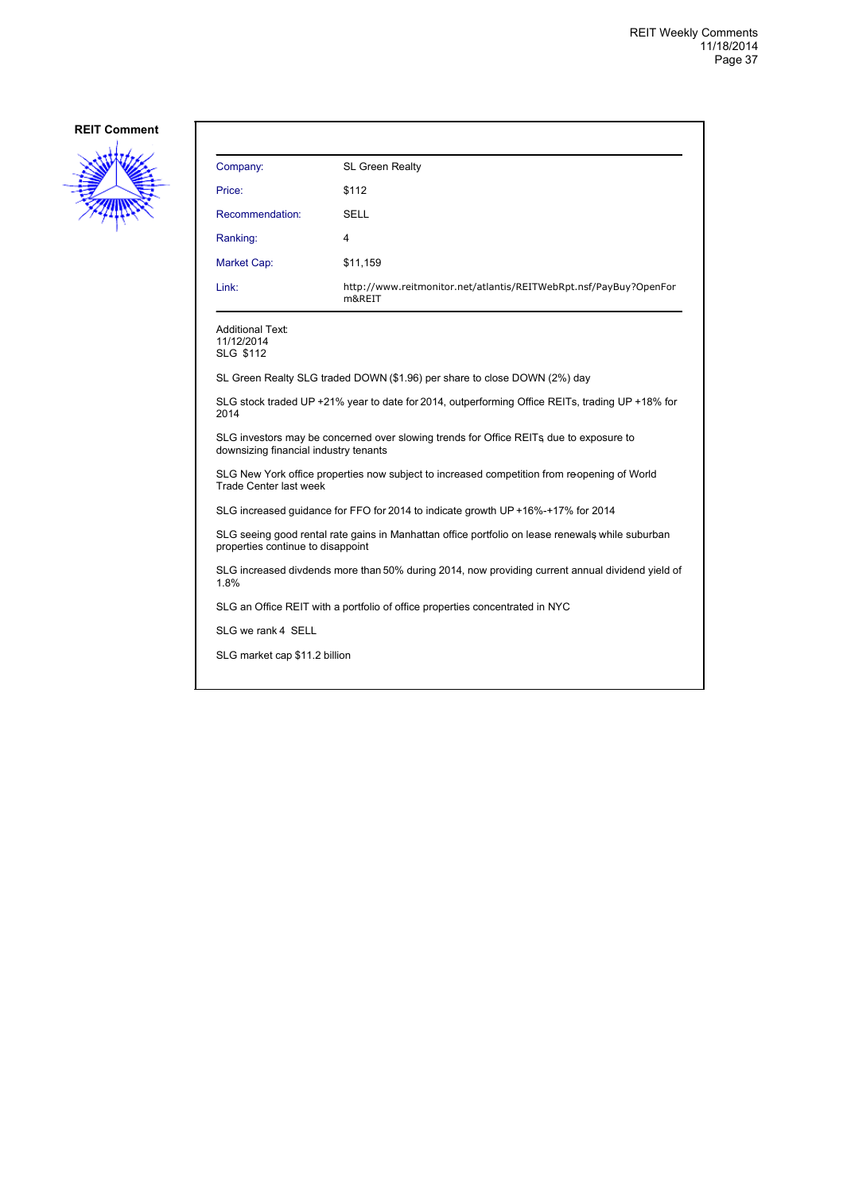

| Company:                                           | SL Green Realty                                                                                  |
|----------------------------------------------------|--------------------------------------------------------------------------------------------------|
| Price:                                             | \$112                                                                                            |
| Recommendation:                                    | SELL                                                                                             |
| Ranking:                                           | 4                                                                                                |
| Market Cap:                                        | \$11,159                                                                                         |
| Link:                                              | http://www.reitmonitor.net/atlantis/REITWebRpt.nsf/PayBuy?OpenFor<br>m&REIT                      |
| <b>Additional Text:</b><br>11/12/2014<br>SLG \$112 |                                                                                                  |
|                                                    | SL Green Realty SLG traded DOWN (\$1.96) per share to close DOWN (2%) day                        |
| 2014                                               | SLG stock traded UP +21% year to date for 2014, outperforming Office REITs, trading UP +18% for  |
| downsizing financial industry tenants              | SLG investors may be concerned over slowing trends for Office REITs, due to exposure to          |
| Trade Center last week                             | SLG New York office properties now subject to increased competition from reopening of World      |
|                                                    | SLG increased quidance for FFO for 2014 to indicate growth UP +16%-+17% for 2014                 |
| properties continue to disappoint                  | SLG seeing good rental rate gains in Manhattan office portfolio on lease renewals while suburban |
| 1.8%                                               | SLG increased divdends more than 50% during 2014, now providing current annual dividend yield of |
|                                                    | SLG an Office REIT with a portfolio of office properties concentrated in NYC                     |
| SLG we rank 4 SELL                                 |                                                                                                  |
| SLG market cap \$11.2 billion                      |                                                                                                  |
|                                                    |                                                                                                  |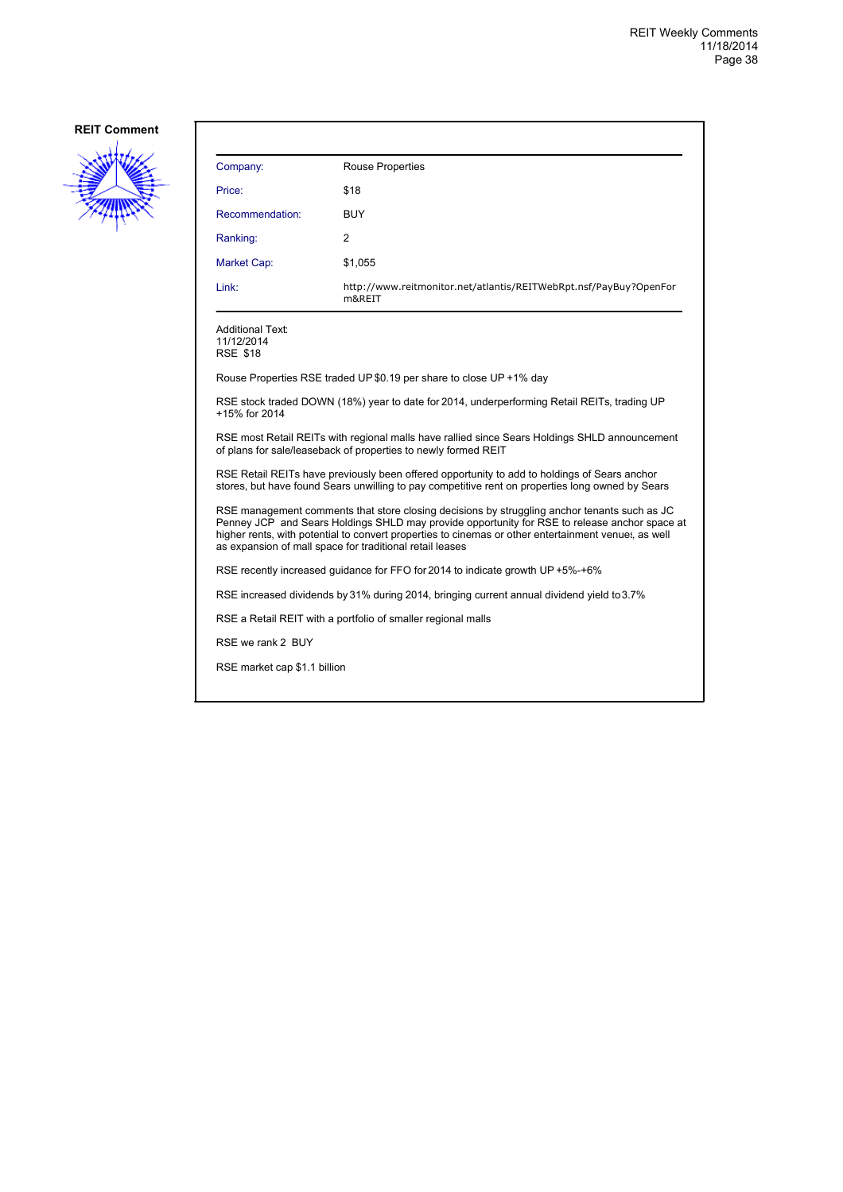

| Company:        | Rouse Properties                                                            |
|-----------------|-----------------------------------------------------------------------------|
| Price:          | \$18                                                                        |
| Recommendation: | <b>BUY</b>                                                                  |
| Ranking:        | 2                                                                           |
| Market Cap:     | \$1,055                                                                     |
| Link:           | http://www.reitmonitor.net/atlantis/REITWebRpt.nsf/PayBuy?OpenFor<br>m&REIT |
|                 |                                                                             |

Additional Text: 11/12/2014 RSE \$18

Rouse Properties RSE traded UP \$0.19 per share to close UP +1% day

RSE stock traded DOWN (18%) year to date for 2014, underperforming Retail REITs, trading UP +15% for 2014

RSE most Retail REITs with regional malls have rallied since Sears Holdings SHLD announcement of plans for sale/leaseback of properties to newly formed REIT

RSE Retail REITs have previously been offered opportunity to add to holdings of Sears anchor stores, but have found Sears unwilling to pay competitive rent on properties long owned by Sears

RSE management comments that store closing decisions by struggling anchor tenants such as JC Penney JCP and Sears Holdings SHLD may provide opportunity for RSE to release anchor space at higher rents, with potential to convert properties to cinemas or other entertainment venues, as well as expansion of mall space for traditional retail leases

RSE recently increased guidance for FFO for 2014 to indicate growth UP +5%-+6%

RSE increased dividends by 31% during 2014, bringing current annual dividend yield to 3.7%

RSE a Retail REIT with a portfolio of smaller regional malls

RSE we rank 2 BUY

RSE market cap \$1.1 billion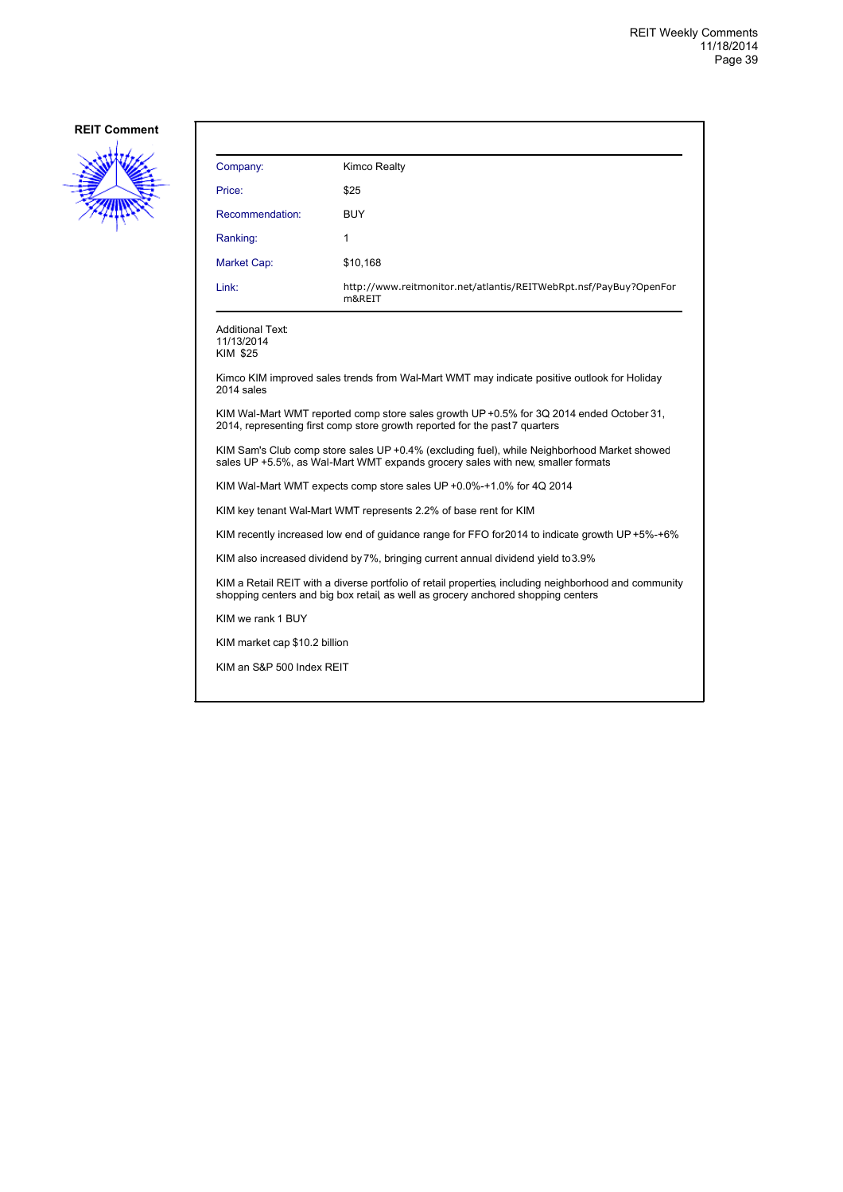

| Company:                                   | Kimco Realty                                                                                                                                                                               |
|--------------------------------------------|--------------------------------------------------------------------------------------------------------------------------------------------------------------------------------------------|
| Price:                                     | \$25                                                                                                                                                                                       |
| Recommendation:                            | <b>BUY</b>                                                                                                                                                                                 |
| Ranking:                                   | 1                                                                                                                                                                                          |
| Market Cap:                                | \$10,168                                                                                                                                                                                   |
| Link:                                      | http://www.reitmonitor.net/atlantis/REITWebRpt.nsf/PayBuy?OpenFor<br>m&REIT                                                                                                                |
| Additional Text:<br>11/13/2014<br>KIM \$25 |                                                                                                                                                                                            |
| 2014 sales                                 | Kimco KIM improved sales trends from Wal-Mart WMT may indicate positive outlook for Holiday                                                                                                |
|                                            | KIM Wal-Mart WMT reported comp store sales growth UP +0.5% for 3Q 2014 ended October 31,<br>2014, representing first comp store growth reported for the past 7 quarters                    |
|                                            | KIM Sam's Club comp store sales UP +0.4% (excluding fuel), while Neighborhood Market showed<br>sales UP +5.5%, as Wal-Mart WMT expands grocery sales with new, smaller formats             |
|                                            | KIM Wal-Mart WMT expects comp store sales UP +0.0%-+1.0% for 4Q 2014                                                                                                                       |
|                                            | KIM key tenant Wal-Mart WMT represents 2.2% of base rent for KIM                                                                                                                           |
|                                            | KIM recently increased low end of quidance range for FFO for 2014 to indicate growth UP+5%-+6%                                                                                             |
|                                            | KIM also increased dividend by 7%, bringing current annual dividend yield to 3.9%                                                                                                          |
|                                            | KIM a Retail REIT with a diverse portfolio of retail properties, including neighborhood and community<br>shopping centers and big box retail, as well as grocery anchored shopping centers |
| KIM we rank 1 BUY                          |                                                                                                                                                                                            |
| KIM market cap \$10.2 billion              |                                                                                                                                                                                            |
| KIM an S&P 500 Index REIT                  |                                                                                                                                                                                            |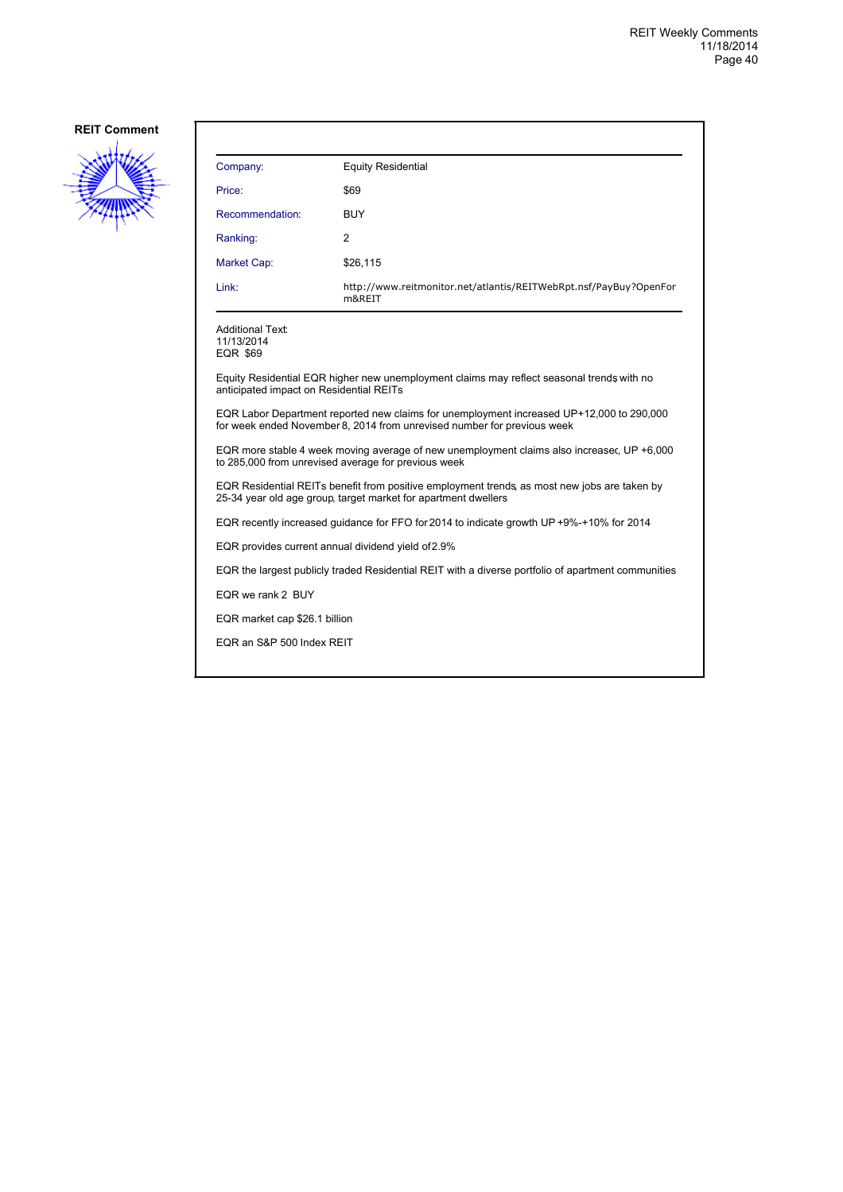

| Company:                                                                                                                                                            | <b>Equity Residential</b>                                                                 |  |
|---------------------------------------------------------------------------------------------------------------------------------------------------------------------|-------------------------------------------------------------------------------------------|--|
| Price:                                                                                                                                                              | \$69                                                                                      |  |
| Recommendation:                                                                                                                                                     | <b>BUY</b>                                                                                |  |
| Ranking:                                                                                                                                                            | 2                                                                                         |  |
| Market Cap:                                                                                                                                                         | \$26,115                                                                                  |  |
| Link:                                                                                                                                                               | http://www.reitmonitor.net/atlantis/REITWebRpt.nsf/PayBuy?OpenFor<br>m&REIT               |  |
| Additional Text:<br>11/13/2014<br>EQR \$69                                                                                                                          |                                                                                           |  |
| anticipated impact on Residential REITs                                                                                                                             | Equity Residential EQR higher new unemployment claims may reflect seasonal trends with no |  |
| EQR Labor Department reported new claims for unemployment increased UP+12,000 to 290,000<br>for week ended November 8, 2014 from unrevised number for previous week |                                                                                           |  |
| EQR more stable 4 week moving average of new unemployment claims also increasec, UP +6,000<br>to 285,000 from unrevised average for previous week                   |                                                                                           |  |
| EQR Residential REITs benefit from positive employment trends, as most new jobs are taken by<br>25-34 year old age group, target market for apartment dwellers      |                                                                                           |  |
| EQR recently increased guidance for FFO for 2014 to indicate growth UP +9%-+10% for 2014                                                                            |                                                                                           |  |
| EQR provides current annual dividend yield of 2.9%                                                                                                                  |                                                                                           |  |
| EQR the largest publicly traded Residential REIT with a diverse portfolio of apartment communities                                                                  |                                                                                           |  |
| EQR we rank 2 BUY                                                                                                                                                   |                                                                                           |  |
| EQR market cap \$26.1 billion                                                                                                                                       |                                                                                           |  |
| EQR an S&P 500 Index REIT                                                                                                                                           |                                                                                           |  |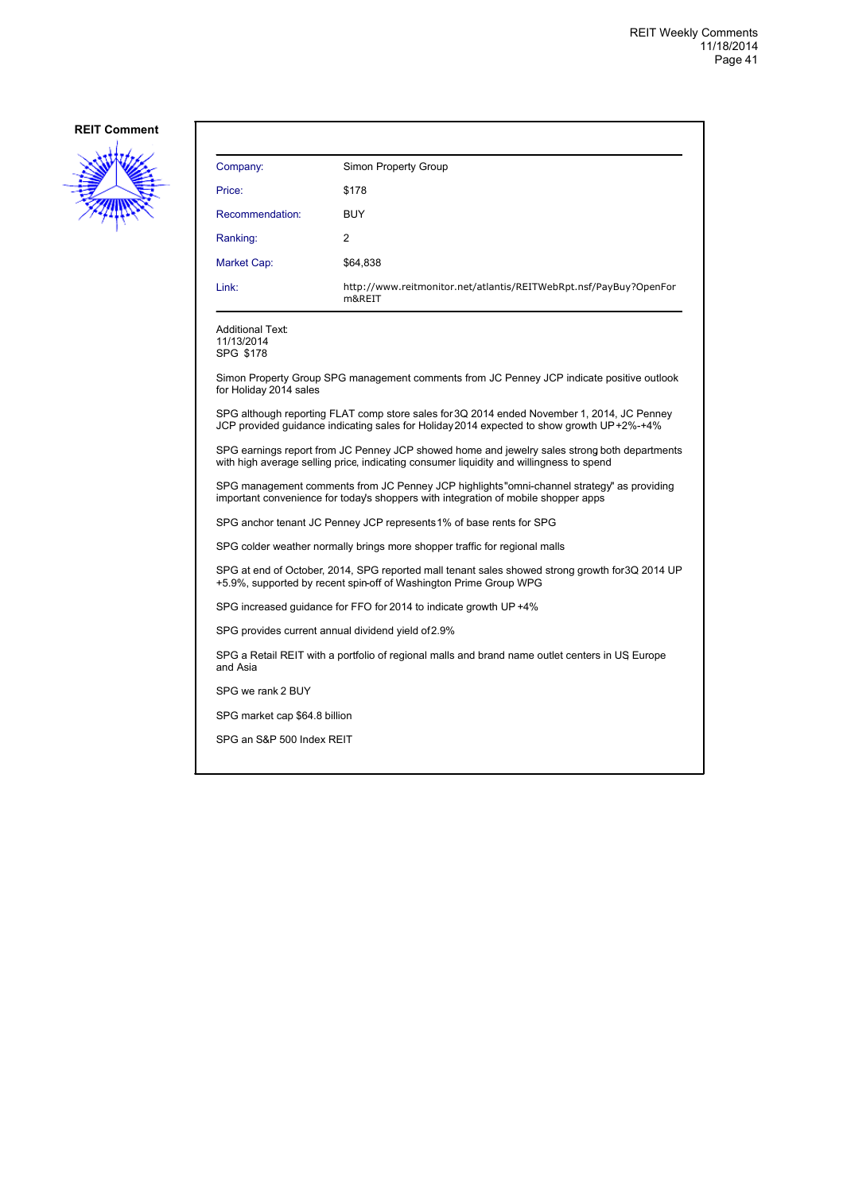

| Company:                                                                                                    | Simon Property Group                                                                                                                                                                    |
|-------------------------------------------------------------------------------------------------------------|-----------------------------------------------------------------------------------------------------------------------------------------------------------------------------------------|
| Price:                                                                                                      | \$178                                                                                                                                                                                   |
| Recommendation:                                                                                             | <b>BUY</b>                                                                                                                                                                              |
| Ranking:                                                                                                    | 2                                                                                                                                                                                       |
| Market Cap:                                                                                                 | \$64,838                                                                                                                                                                                |
| Link:                                                                                                       | http://www.reitmonitor.net/atlantis/REITWebRpt.nsf/PayBuy?OpenFor<br>m&REIT                                                                                                             |
| Additional Text:<br>11/13/2014<br>SPG \$178                                                                 |                                                                                                                                                                                         |
| for Holiday 2014 sales                                                                                      | Simon Property Group SPG management comments from JC Penney JCP indicate positive outlook                                                                                               |
|                                                                                                             | SPG although reporting FLAT comp store sales for 3Q 2014 ended November 1, 2014, JC Penney<br>JCP provided guidance indicating sales for Holiday 2014 expected to show growth UP+2%-+4% |
|                                                                                                             | SPG earnings report from JC Penney JCP showed home and jewelry sales strong both departments<br>with high average selling price, indicating consumer liguidity and willingness to spend |
|                                                                                                             | SPG management comments from JC Penney JCP highlights"omni-channel strategy" as providing<br>important convenience for today's shoppers with integration of mobile shopper apps         |
|                                                                                                             | SPG anchor tenant JC Penney JCP represents 1% of base rents for SPG                                                                                                                     |
|                                                                                                             | SPG colder weather normally brings more shopper traffic for regional malls                                                                                                              |
|                                                                                                             | SPG at end of October, 2014, SPG reported mall tenant sales showed strong growth for 3Q 2014 UP<br>+5.9%, supported by recent spin-off of Washington Prime Group WPG                    |
|                                                                                                             | SPG increased guidance for FFO for 2014 to indicate growth UP +4%                                                                                                                       |
| SPG provides current annual dividend yield of 2.9%                                                          |                                                                                                                                                                                         |
| SPG a Retail REIT with a portfolio of regional malls and brand name outlet centers in US Europe<br>and Asia |                                                                                                                                                                                         |
| SPG we rank 2 BUY                                                                                           |                                                                                                                                                                                         |
| SPG market cap \$64.8 billion                                                                               |                                                                                                                                                                                         |
| SPG an S&P 500 Index REIT                                                                                   |                                                                                                                                                                                         |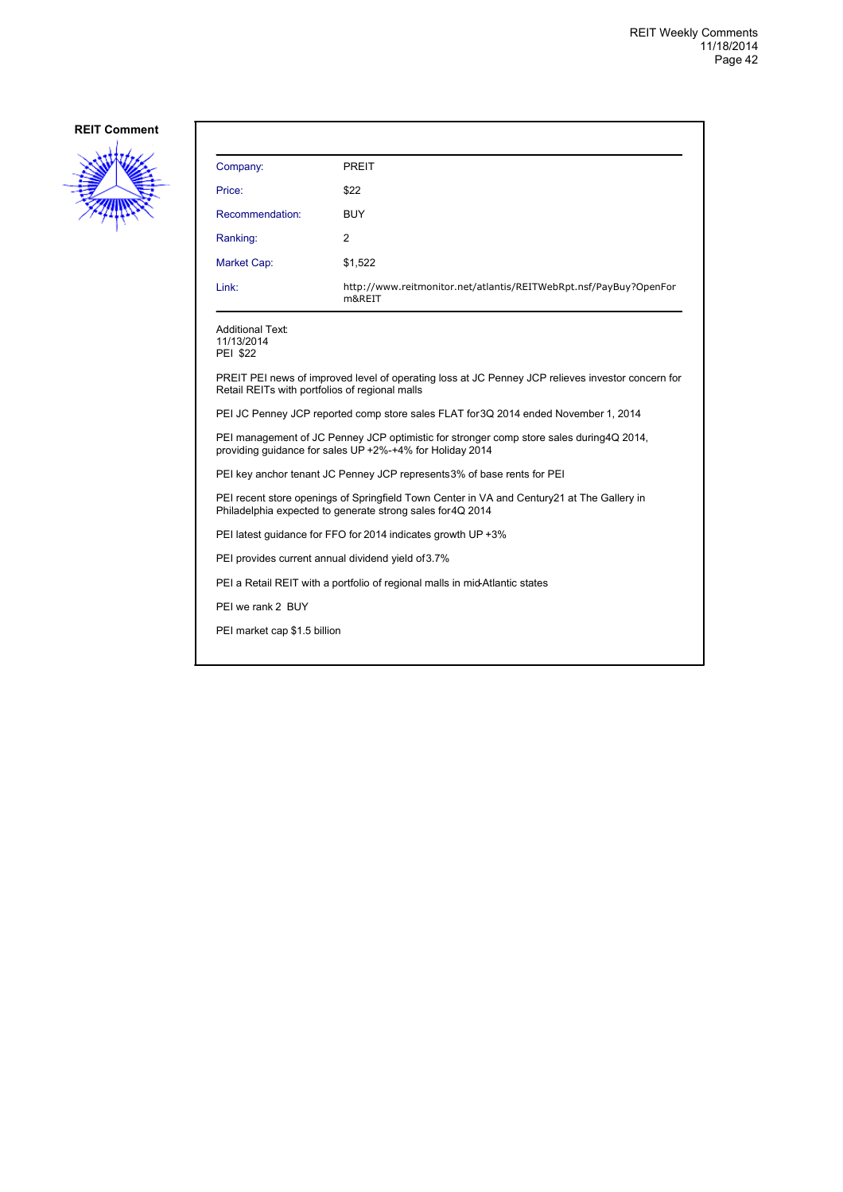

| Company:                                                                                                                                                  | <b>PREIT</b>                                                                                      |  |
|-----------------------------------------------------------------------------------------------------------------------------------------------------------|---------------------------------------------------------------------------------------------------|--|
| Price:                                                                                                                                                    | \$22                                                                                              |  |
| Recommendation:                                                                                                                                           | <b>BUY</b>                                                                                        |  |
| Ranking:                                                                                                                                                  | 2                                                                                                 |  |
| Market Cap:                                                                                                                                               | \$1,522                                                                                           |  |
| Link:                                                                                                                                                     | http://www.reitmonitor.net/atlantis/REITWebRpt.nsf/PayBuy?OpenFor<br>m&REIT                       |  |
| <b>Additional Text:</b><br>11/13/2014<br><b>PEI \$22</b>                                                                                                  |                                                                                                   |  |
| Retail REITs with portfolios of regional malls                                                                                                            | PREIT PEI news of improved level of operating loss at JC Penney JCP relieves investor concern for |  |
| PEI JC Penney JCP reported comp store sales FLAT for 3Q 2014 ended November 1, 2014                                                                       |                                                                                                   |  |
| PEI management of JC Penney JCP optimistic for stronger comp store sales during 4Q 2014,<br>providing guidance for sales UP +2%-+4% for Holiday 2014      |                                                                                                   |  |
| PEI key anchor tenant JC Penney JCP represents 3% of base rents for PEI                                                                                   |                                                                                                   |  |
| PEI recent store openings of Springfield Town Center in VA and Century 21 at The Gallery in<br>Philadelphia expected to generate strong sales for 4Q 2014 |                                                                                                   |  |
|                                                                                                                                                           | PEI latest guidance for FFO for 2014 indicates growth UP +3%                                      |  |
| PEI provides current annual dividend yield of 3.7%                                                                                                        |                                                                                                   |  |
|                                                                                                                                                           | PEI a Retail REIT with a portfolio of regional malls in mid-Atlantic states                       |  |
| PEI we rank 2 BUY                                                                                                                                         |                                                                                                   |  |
| PEI market cap \$1.5 billion                                                                                                                              |                                                                                                   |  |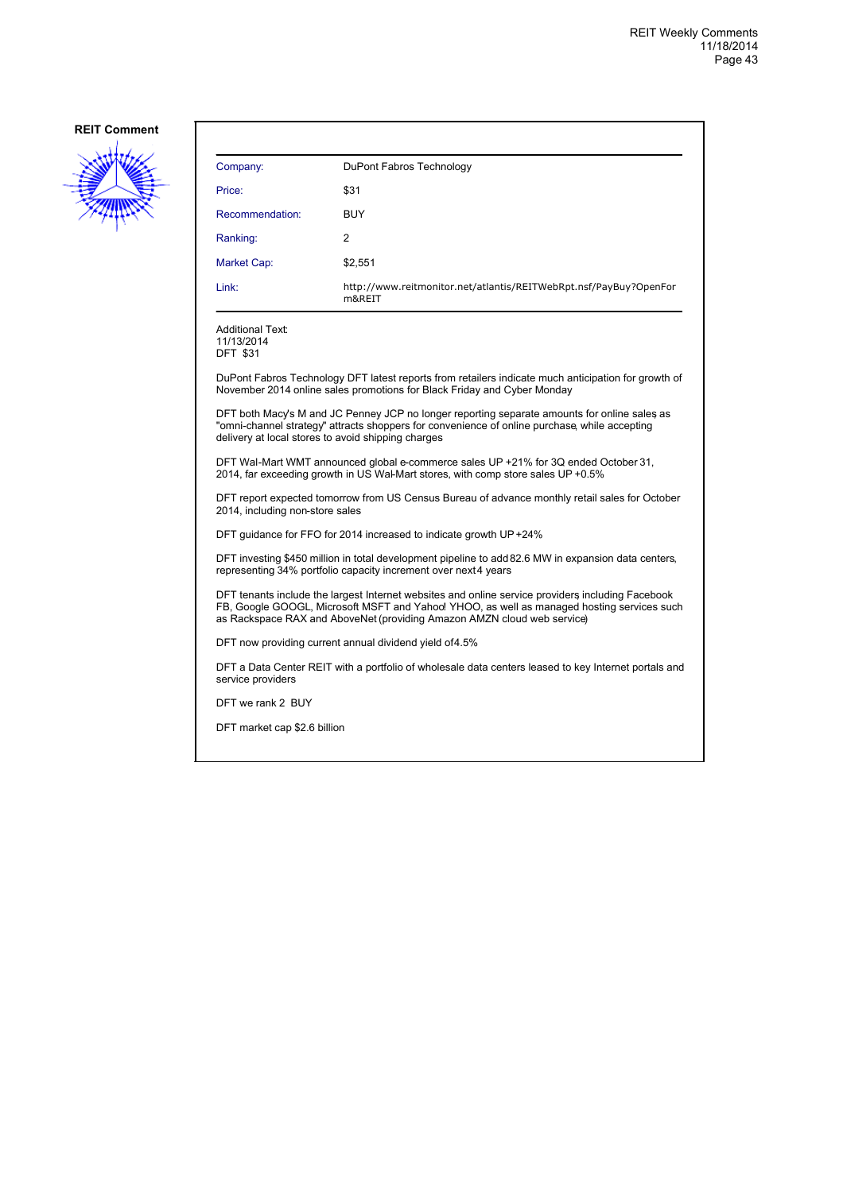

| Company:                                                                                                                          | DuPont Fabros Technology                                                                                                                                                                                                                                                   |  |
|-----------------------------------------------------------------------------------------------------------------------------------|----------------------------------------------------------------------------------------------------------------------------------------------------------------------------------------------------------------------------------------------------------------------------|--|
| Price:                                                                                                                            | \$31                                                                                                                                                                                                                                                                       |  |
| Recommendation:                                                                                                                   | <b>BUY</b>                                                                                                                                                                                                                                                                 |  |
| Ranking:                                                                                                                          | 2                                                                                                                                                                                                                                                                          |  |
| Market Cap:                                                                                                                       | \$2,551                                                                                                                                                                                                                                                                    |  |
| Link:                                                                                                                             | http://www.reitmonitor.net/atlantis/REITWebRpt.nsf/PayBuy?OpenFor<br>m&REIT                                                                                                                                                                                                |  |
| <b>Additional Text:</b><br>11/13/2014<br><b>DFT \$31</b>                                                                          |                                                                                                                                                                                                                                                                            |  |
|                                                                                                                                   | DuPont Fabros Technology DFT latest reports from retailers indicate much anticipation for growth of<br>November 2014 online sales promotions for Black Friday and Cyber Monday                                                                                             |  |
| delivery at local stores to avoid shipping charges                                                                                | DFT both Macy's M and JC Penney JCP no longer reporting separate amounts for online sales as<br>"omni-channel strategy" attracts shoppers for convenience of online purchase, while accepting                                                                              |  |
|                                                                                                                                   | DFT Wal-Mart WMT announced global e-commerce sales UP +21% for 3Q ended October 31,<br>2014, far exceeding growth in US Wal-Mart stores, with comp store sales UP +0.5%                                                                                                    |  |
| DFT report expected tomorrow from US Census Bureau of advance monthly retail sales for October<br>2014, including non-store sales |                                                                                                                                                                                                                                                                            |  |
| DFT guidance for FFO for 2014 increased to indicate growth UP +24%                                                                |                                                                                                                                                                                                                                                                            |  |
|                                                                                                                                   | DFT investing \$450 million in total development pipeline to add 82.6 MW in expansion data centers,<br>representing 34% portfolio capacity increment over next4 years                                                                                                      |  |
|                                                                                                                                   | DFT tenants include the largest Internet websites and online service providers including Facebook<br>FB, Google GOOGL, Microsoft MSFT and Yahoo! YHOO, as well as managed hosting services such<br>as Rackspace RAX and AboveNet (providing Amazon AMZN cloud web service) |  |
|                                                                                                                                   | DFT now providing current annual dividend yield of 4.5%                                                                                                                                                                                                                    |  |
| service providers                                                                                                                 | DFT a Data Center REIT with a portfolio of wholesale data centers leased to key Internet portals and                                                                                                                                                                       |  |
| DFT we rank 2 BUY                                                                                                                 |                                                                                                                                                                                                                                                                            |  |
| DFT market cap \$2.6 billion                                                                                                      |                                                                                                                                                                                                                                                                            |  |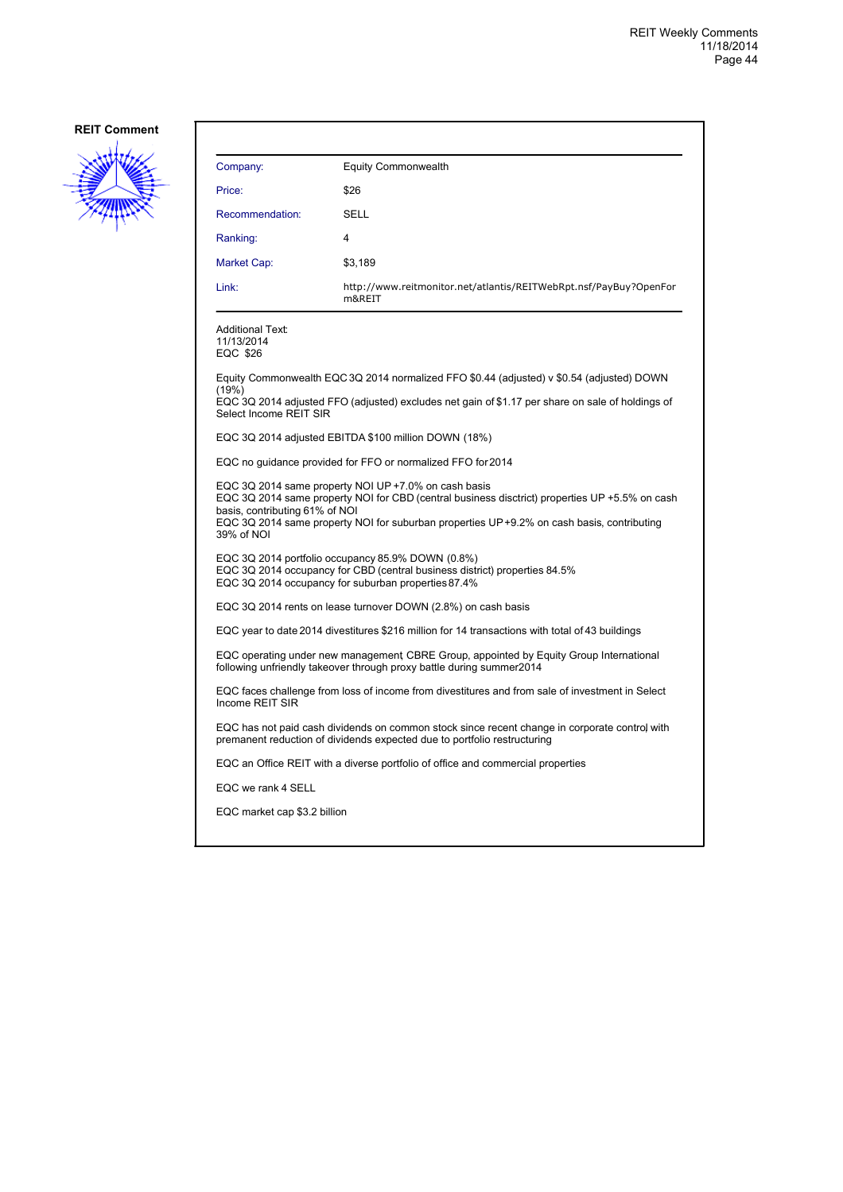

| Company:                                                                                                                                                                                                                                                                                             | <b>Equity Commonwealth</b>                                                                                                                                                |  |
|------------------------------------------------------------------------------------------------------------------------------------------------------------------------------------------------------------------------------------------------------------------------------------------------------|---------------------------------------------------------------------------------------------------------------------------------------------------------------------------|--|
| Price:                                                                                                                                                                                                                                                                                               | \$26                                                                                                                                                                      |  |
| Recommendation:                                                                                                                                                                                                                                                                                      | SELL                                                                                                                                                                      |  |
| Ranking:                                                                                                                                                                                                                                                                                             | 4                                                                                                                                                                         |  |
| Market Cap:                                                                                                                                                                                                                                                                                          | \$3,189                                                                                                                                                                   |  |
| Link:                                                                                                                                                                                                                                                                                                | http://www.reitmonitor.net/atlantis/REITWebRpt.nsf/PayBuy?OpenFor<br>m&REIT                                                                                               |  |
| <b>Additional Text:</b><br>11/13/2014<br>EQC \$26                                                                                                                                                                                                                                                    |                                                                                                                                                                           |  |
|                                                                                                                                                                                                                                                                                                      | Equity Commonwealth EQC 3Q 2014 normalized FFO \$0.44 (adjusted) v \$0.54 (adjusted) DOWN                                                                                 |  |
| (19%)<br>Select Income REIT SIR                                                                                                                                                                                                                                                                      | EQC 3Q 2014 adjusted FFO (adjusted) excludes net gain of \$1.17 per share on sale of holdings of                                                                          |  |
|                                                                                                                                                                                                                                                                                                      | EQC 3Q 2014 adjusted EBITDA \$100 million DOWN (18%)                                                                                                                      |  |
|                                                                                                                                                                                                                                                                                                      | EQC no guidance provided for FFO or normalized FFO for 2014                                                                                                               |  |
| EQC 3Q 2014 same property NOI UP +7.0% on cash basis<br>EQC 3Q 2014 same property NOI for CBD (central business disctrict) properties UP +5.5% on cash<br>basis, contributing 61% of NOI<br>EQC 3Q 2014 same property NOI for suburban properties UP +9.2% on cash basis, contributing<br>39% of NOI |                                                                                                                                                                           |  |
| EQC 3Q 2014 portfolio occupancy 85.9% DOWN (0.8%)<br>EQC 3Q 2014 occupancy for CBD (central business district) properties 84.5%<br>EQC 3Q 2014 occupancy for suburban properties 87.4%                                                                                                               |                                                                                                                                                                           |  |
|                                                                                                                                                                                                                                                                                                      | EQC 3Q 2014 rents on lease turnover DOWN (2.8%) on cash basis                                                                                                             |  |
| EQC year to date 2014 divestitures \$216 million for 14 transactions with total of 43 buildings                                                                                                                                                                                                      |                                                                                                                                                                           |  |
| EQC operating under new management CBRE Group, appointed by Equity Group International<br>following unfriendly takeover through proxy battle during summer2014                                                                                                                                       |                                                                                                                                                                           |  |
| EQC faces challenge from loss of income from divestitures and from sale of investment in Select<br>Income REIT SIR                                                                                                                                                                                   |                                                                                                                                                                           |  |
|                                                                                                                                                                                                                                                                                                      | EQC has not paid cash dividends on common stock since recent change in corporate control with<br>premanent reduction of dividends expected due to portfolio restructuring |  |
|                                                                                                                                                                                                                                                                                                      | EQC an Office REIT with a diverse portfolio of office and commercial properties                                                                                           |  |
| EQC we rank 4 SELL                                                                                                                                                                                                                                                                                   |                                                                                                                                                                           |  |
| EQC market cap \$3.2 billion                                                                                                                                                                                                                                                                         |                                                                                                                                                                           |  |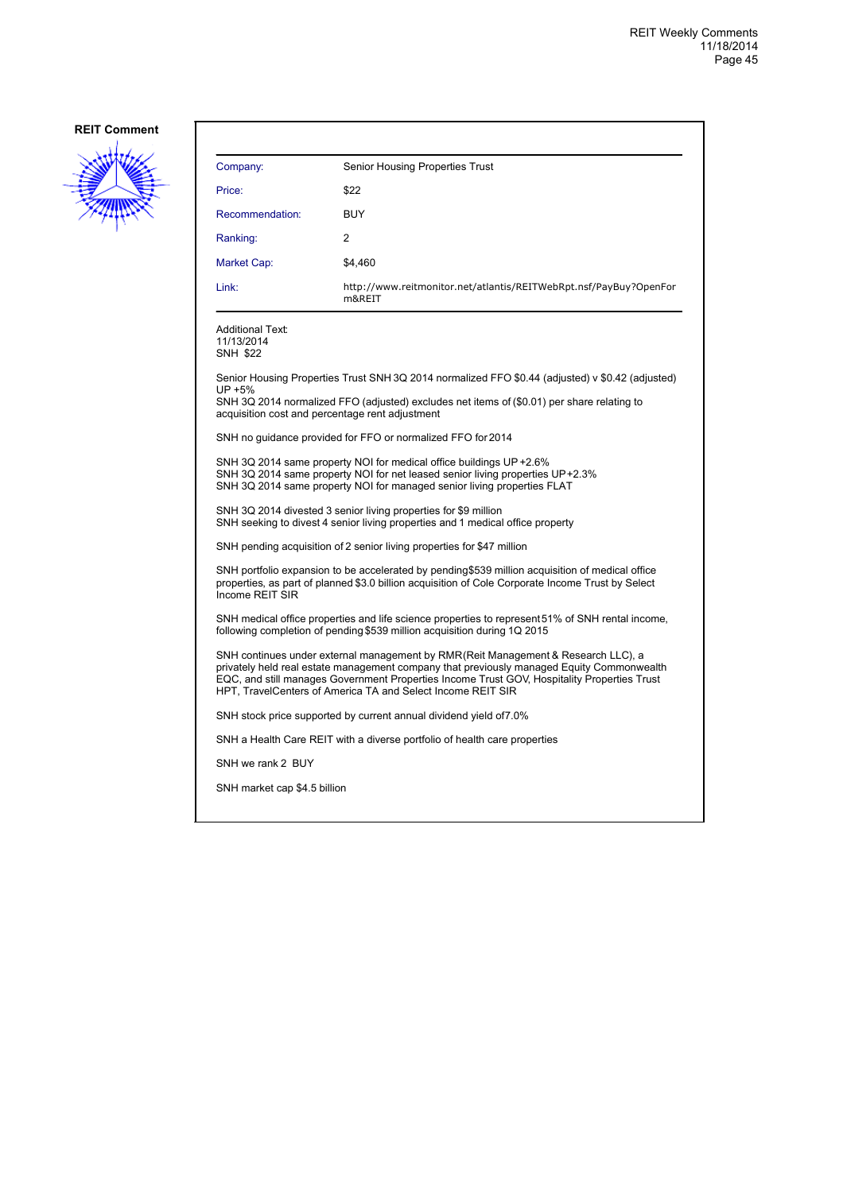

| Company:                                                                                                                                                                                                                                                                                                                                     | Senior Housing Properties Trust                                                                  |  |
|----------------------------------------------------------------------------------------------------------------------------------------------------------------------------------------------------------------------------------------------------------------------------------------------------------------------------------------------|--------------------------------------------------------------------------------------------------|--|
| Price:                                                                                                                                                                                                                                                                                                                                       | \$22                                                                                             |  |
| Recommendation:                                                                                                                                                                                                                                                                                                                              | BUY                                                                                              |  |
| Ranking:                                                                                                                                                                                                                                                                                                                                     | 2                                                                                                |  |
| Market Cap:                                                                                                                                                                                                                                                                                                                                  | \$4.460                                                                                          |  |
| Link:                                                                                                                                                                                                                                                                                                                                        | http://www.reitmonitor.net/atlantis/REITWebRpt.nsf/PayBuy?OpenFor<br>m&REIT                      |  |
| Additional Text:<br>11/13/2014<br>SNH \$22                                                                                                                                                                                                                                                                                                   |                                                                                                  |  |
| UP +5%                                                                                                                                                                                                                                                                                                                                       | Senior Housing Properties Trust SNH 3Q 2014 normalized FFO \$0.44 (adjusted) v \$0.42 (adjusted) |  |
| acquisition cost and percentage rent adjustment                                                                                                                                                                                                                                                                                              | SNH 3Q 2014 normalized FFO (adjusted) excludes net items of (\$0.01) per share relating to       |  |
|                                                                                                                                                                                                                                                                                                                                              | SNH no guidance provided for FFO or normalized FFO for 2014                                      |  |
| SNH 3Q 2014 same property NOI for medical office buildings UP +2.6%<br>SNH 3Q 2014 same property NOI for net leased senior living properties UP+2.3%<br>SNH 3Q 2014 same property NOI for managed senior living properties FLAT                                                                                                              |                                                                                                  |  |
| SNH 3Q 2014 divested 3 senior living properties for \$9 million<br>SNH seeking to divest 4 senior living properties and 1 medical office property                                                                                                                                                                                            |                                                                                                  |  |
| SNH pending acquisition of 2 senior living properties for \$47 million                                                                                                                                                                                                                                                                       |                                                                                                  |  |
| SNH portfolio expansion to be accelerated by pending\$539 million acquisition of medical office<br>properties, as part of planned \$3.0 billion acquisition of Cole Corporate Income Trust by Select<br>Income REIT SIR                                                                                                                      |                                                                                                  |  |
| SNH medical office properties and life science properties to represent 51% of SNH rental income,<br>following completion of pending \$539 million acquisition during 1Q 2015                                                                                                                                                                 |                                                                                                  |  |
| SNH continues under external management by RMR(Reit Management & Research LLC), a<br>privately held real estate management company that previously managed Equity Commonwealth<br>EQC, and still manages Government Properties Income Trust GOV, Hospitality Properties Trust<br>HPT, TravelCenters of America TA and Select Income REIT SIR |                                                                                                  |  |
|                                                                                                                                                                                                                                                                                                                                              | SNH stock price supported by current annual dividend yield of 7.0%                               |  |
|                                                                                                                                                                                                                                                                                                                                              | SNH a Health Care REIT with a diverse portfolio of health care properties                        |  |
| SNH we rank 2 BUY                                                                                                                                                                                                                                                                                                                            |                                                                                                  |  |
| SNH market cap \$4.5 billion                                                                                                                                                                                                                                                                                                                 |                                                                                                  |  |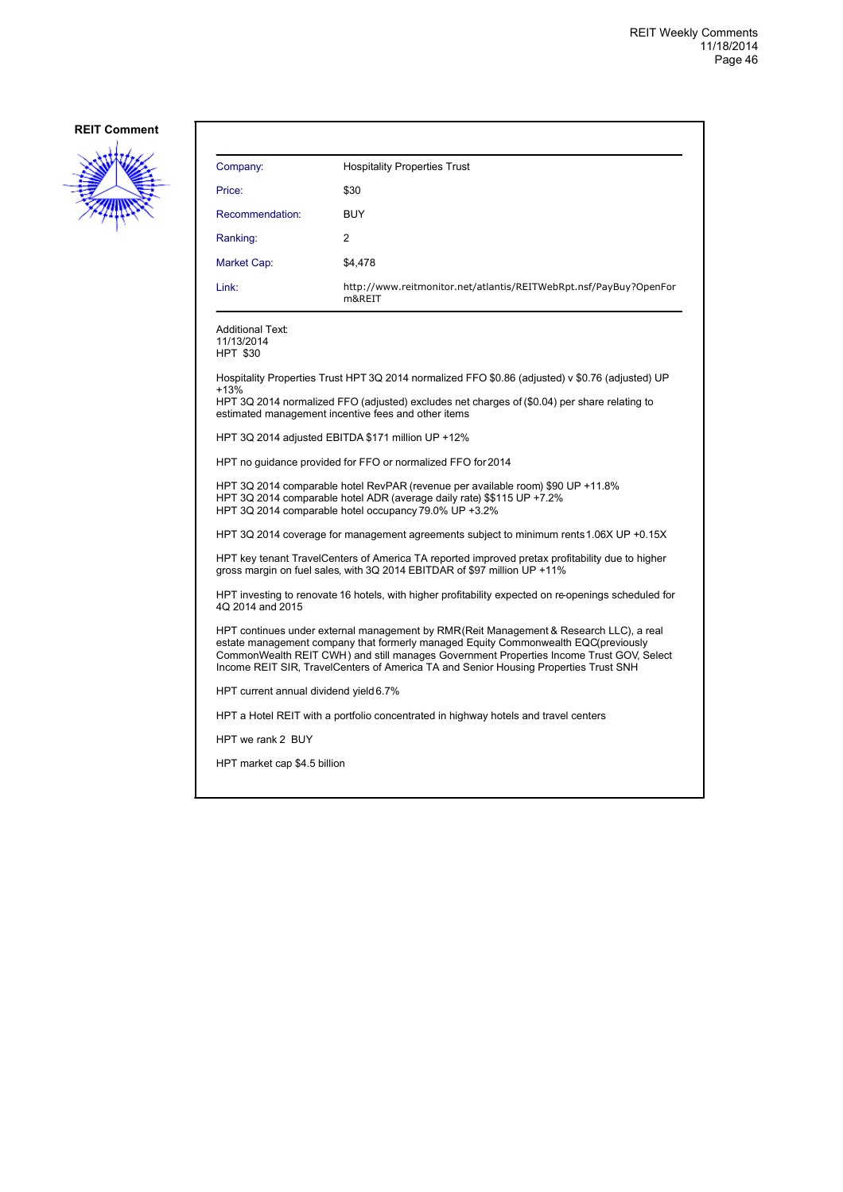

| Company:                                                                                                                                                                                                                                                                                                                                                        | <b>Hospitality Properties Trust</b>                                                                                                                                                                                |  |  |
|-----------------------------------------------------------------------------------------------------------------------------------------------------------------------------------------------------------------------------------------------------------------------------------------------------------------------------------------------------------------|--------------------------------------------------------------------------------------------------------------------------------------------------------------------------------------------------------------------|--|--|
| Price:                                                                                                                                                                                                                                                                                                                                                          | \$30                                                                                                                                                                                                               |  |  |
| Recommendation:                                                                                                                                                                                                                                                                                                                                                 | BUY                                                                                                                                                                                                                |  |  |
| Ranking:                                                                                                                                                                                                                                                                                                                                                        | 2                                                                                                                                                                                                                  |  |  |
| Market Cap:                                                                                                                                                                                                                                                                                                                                                     | \$4,478                                                                                                                                                                                                            |  |  |
| Link:                                                                                                                                                                                                                                                                                                                                                           | http://www.reitmonitor.net/atlantis/REITWebRpt.nsf/PayBuy?OpenFor<br>m&REIT                                                                                                                                        |  |  |
| Additional Text:<br>11/13/2014<br><b>HPT \$30</b>                                                                                                                                                                                                                                                                                                               |                                                                                                                                                                                                                    |  |  |
|                                                                                                                                                                                                                                                                                                                                                                 | Hospitality Properties Trust HPT 3Q 2014 normalized FFO \$0.86 (adjusted) v \$0.76 (adjusted) UP                                                                                                                   |  |  |
| $+13%$                                                                                                                                                                                                                                                                                                                                                          | HPT 3Q 2014 normalized FFO (adjusted) excludes net charges of (\$0.04) per share relating to<br>estimated management incentive fees and other items                                                                |  |  |
|                                                                                                                                                                                                                                                                                                                                                                 | HPT 3Q 2014 adjusted EBITDA \$171 million UP +12%                                                                                                                                                                  |  |  |
|                                                                                                                                                                                                                                                                                                                                                                 | HPT no guidance provided for FFO or normalized FFO for 2014                                                                                                                                                        |  |  |
|                                                                                                                                                                                                                                                                                                                                                                 | HPT 3Q 2014 comparable hotel RevPAR (revenue per available room) \$90 UP +11.8%<br>HPT 3Q 2014 comparable hotel ADR (average daily rate) \$\$115 UP +7.2%<br>HPT 3Q 2014 comparable hotel occupancy 79.0% UP +3.2% |  |  |
|                                                                                                                                                                                                                                                                                                                                                                 | HPT 3Q 2014 coverage for management agreements subject to minimum rents 1.06X UP +0.15X                                                                                                                            |  |  |
| HPT key tenant TravelCenters of America TA reported improved pretax profitability due to higher<br>gross margin on fuel sales, with 3Q 2014 EBITDAR of \$97 million UP +11%                                                                                                                                                                                     |                                                                                                                                                                                                                    |  |  |
| HPT investing to renovate 16 hotels, with higher profitability expected on re-openings scheduled for<br>4Q 2014 and 2015                                                                                                                                                                                                                                        |                                                                                                                                                                                                                    |  |  |
| HPT continues under external management by RMR(Reit Management & Research LLC), a real<br>estate management company that formerly managed Equity Commonwealth EQC(previously<br>CommonWealth REIT CWH) and still manages Government Properties Income Trust GOV, Select<br>Income REIT SIR, TravelCenters of America TA and Senior Housing Properties Trust SNH |                                                                                                                                                                                                                    |  |  |
| HPT current annual dividend yield 6.7%                                                                                                                                                                                                                                                                                                                          |                                                                                                                                                                                                                    |  |  |
|                                                                                                                                                                                                                                                                                                                                                                 | HPT a Hotel REIT with a portfolio concentrated in highway hotels and travel centers                                                                                                                                |  |  |
| HPT we rank 2 BUY                                                                                                                                                                                                                                                                                                                                               |                                                                                                                                                                                                                    |  |  |
| HPT market cap \$4.5 billion                                                                                                                                                                                                                                                                                                                                    |                                                                                                                                                                                                                    |  |  |
|                                                                                                                                                                                                                                                                                                                                                                 |                                                                                                                                                                                                                    |  |  |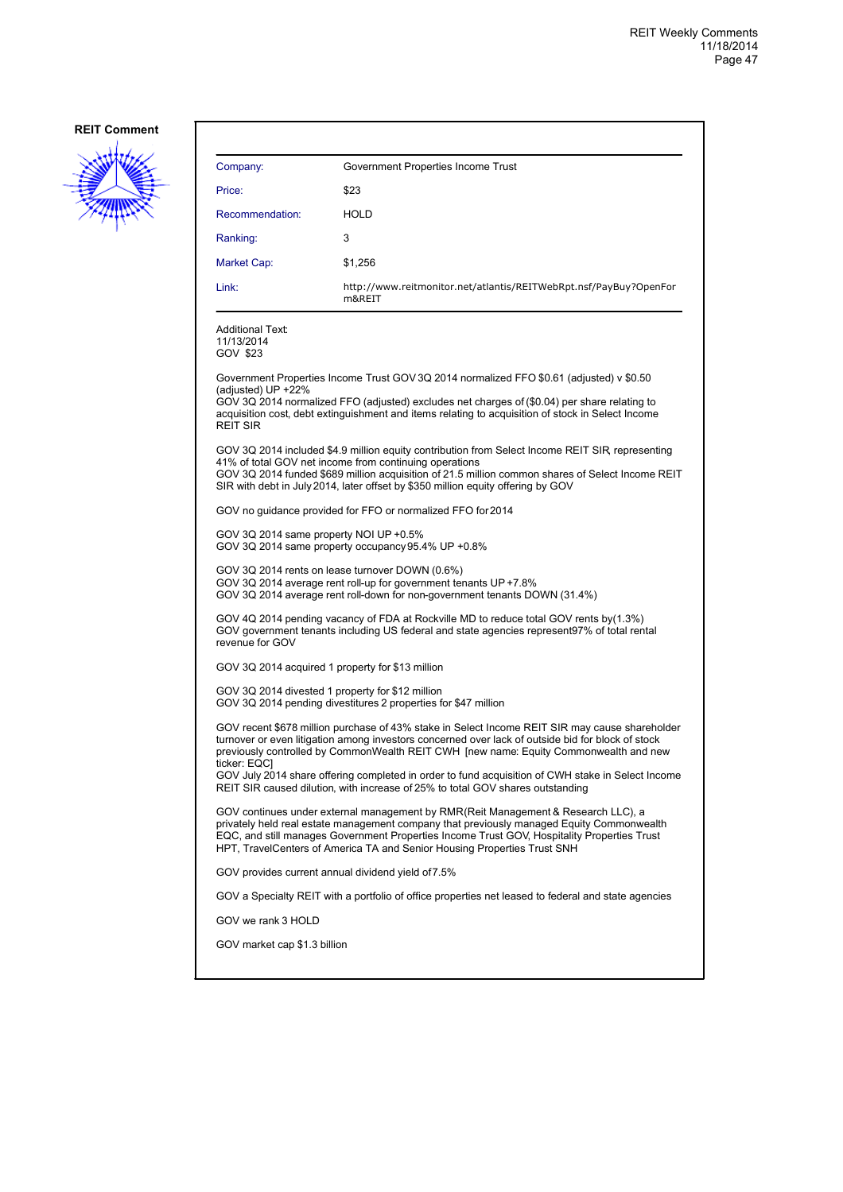

| Company:                                                                                                                                                                                                                                                                                                                                           | Government Properties Income Trust                                                                                                                                                                                                                                                                                                                        |  |
|----------------------------------------------------------------------------------------------------------------------------------------------------------------------------------------------------------------------------------------------------------------------------------------------------------------------------------------------------|-----------------------------------------------------------------------------------------------------------------------------------------------------------------------------------------------------------------------------------------------------------------------------------------------------------------------------------------------------------|--|
| Price:                                                                                                                                                                                                                                                                                                                                             | \$23                                                                                                                                                                                                                                                                                                                                                      |  |
| Recommendation:                                                                                                                                                                                                                                                                                                                                    | <b>HOLD</b>                                                                                                                                                                                                                                                                                                                                               |  |
| Ranking:                                                                                                                                                                                                                                                                                                                                           | 3                                                                                                                                                                                                                                                                                                                                                         |  |
| Market Cap:                                                                                                                                                                                                                                                                                                                                        | \$1,256                                                                                                                                                                                                                                                                                                                                                   |  |
| Link:                                                                                                                                                                                                                                                                                                                                              | http://www.reitmonitor.net/atlantis/REITWebRpt.nsf/PayBuy?OpenFor<br>m&REIT                                                                                                                                                                                                                                                                               |  |
| <b>Additional Text:</b><br>11/13/2014<br>GOV \$23                                                                                                                                                                                                                                                                                                  |                                                                                                                                                                                                                                                                                                                                                           |  |
| (adjusted) UP +22%<br><b>REIT SIR</b>                                                                                                                                                                                                                                                                                                              | Government Properties Income Trust GOV 3Q 2014 normalized FFO \$0.61 (adjusted) v \$0.50<br>GOV 3Q 2014 normalized FFO (adjusted) excludes net charges of (\$0.04) per share relating to<br>acquisition cost, debt extinguishment and items relating to acquisition of stock in Select Income                                                             |  |
| GOV 3Q 2014 included \$4.9 million equity contribution from Select Income REIT SIR, representing<br>41% of total GOV net income from continuing operations<br>GOV 3Q 2014 funded \$689 million acquisition of 21.5 million common shares of Select Income REIT<br>SIR with debt in July 2014, later offset by \$350 million equity offering by GOV |                                                                                                                                                                                                                                                                                                                                                           |  |
|                                                                                                                                                                                                                                                                                                                                                    | GOV no guidance provided for FFO or normalized FFO for 2014                                                                                                                                                                                                                                                                                               |  |
| GOV 3Q 2014 same property NOI UP +0.5%<br>GOV 3Q 2014 same property occupancy 95.4% UP +0.8%                                                                                                                                                                                                                                                       |                                                                                                                                                                                                                                                                                                                                                           |  |
| GOV 3Q 2014 rents on lease turnover DOWN (0.6%)<br>GOV 3Q 2014 average rent roll-up for government tenants UP +7.8%<br>GOV 3Q 2014 average rent roll-down for non-government tenants DOWN (31.4%)                                                                                                                                                  |                                                                                                                                                                                                                                                                                                                                                           |  |
| revenue for GOV                                                                                                                                                                                                                                                                                                                                    | GOV 4Q 2014 pending vacancy of FDA at Rockville MD to reduce total GOV rents by (1.3%)<br>GOV government tenants including US federal and state agencies represent97% of total rental                                                                                                                                                                     |  |
| GOV 3Q 2014 acquired 1 property for \$13 million                                                                                                                                                                                                                                                                                                   |                                                                                                                                                                                                                                                                                                                                                           |  |
| GOV 3Q 2014 divested 1 property for \$12 million                                                                                                                                                                                                                                                                                                   | GOV 3Q 2014 pending divestitures 2 properties for \$47 million                                                                                                                                                                                                                                                                                            |  |
| GOV recent \$678 million purchase of 43% stake in Select Income REIT SIR may cause shareholder<br>turnover or even litigation among investors concerned over lack of outside bid for block of stock<br>previously controlled by CommonWealth REIT CWH [new name: Equity Commonwealth and new<br>ticker: EQC]                                       |                                                                                                                                                                                                                                                                                                                                                           |  |
|                                                                                                                                                                                                                                                                                                                                                    | GOV July 2014 share offering completed in order to fund acquisition of CWH stake in Select Income<br>REIT SIR caused dilution, with increase of 25% to total GOV shares outstanding                                                                                                                                                                       |  |
|                                                                                                                                                                                                                                                                                                                                                    | GOV continues under external management by RMR(Reit Management & Research LLC), a<br>privately held real estate management company that previously managed Equity Commonwealth<br>EQC, and still manages Government Properties Income Trust GOV, Hospitality Properties Trust<br>HPT, TravelCenters of America TA and Senior Housing Properties Trust SNH |  |
| GOV provides current annual dividend yield of 7.5%                                                                                                                                                                                                                                                                                                 |                                                                                                                                                                                                                                                                                                                                                           |  |
|                                                                                                                                                                                                                                                                                                                                                    | GOV a Specialty REIT with a portfolio of office properties net leased to federal and state agencies                                                                                                                                                                                                                                                       |  |
| GOV we rank 3 HOLD                                                                                                                                                                                                                                                                                                                                 |                                                                                                                                                                                                                                                                                                                                                           |  |
| GOV market cap \$1.3 billion                                                                                                                                                                                                                                                                                                                       |                                                                                                                                                                                                                                                                                                                                                           |  |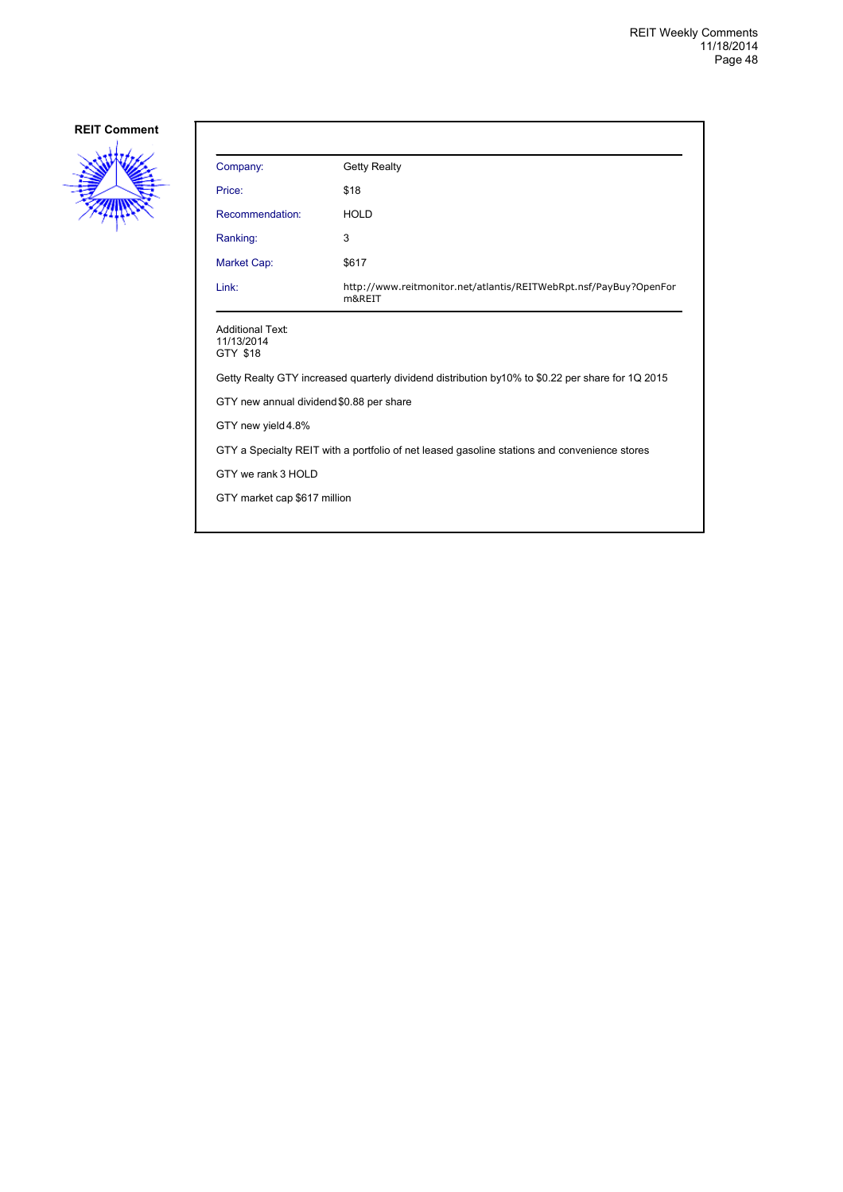

| Company:                                          | <b>Getty Realty</b>                                                                              |
|---------------------------------------------------|--------------------------------------------------------------------------------------------------|
| Price:                                            | \$18                                                                                             |
| Recommendation:                                   | <b>HOLD</b>                                                                                      |
| Ranking:                                          | 3                                                                                                |
| Market Cap:                                       | \$617                                                                                            |
| Link:                                             | http://www.reitmonitor.net/atlantis/REITWebRpt.nsf/PayBuy?OpenFor<br>m&REIT                      |
| <b>Additional Text:</b><br>11/13/2014<br>GTY \$18 |                                                                                                  |
|                                                   | Getty Realty GTY increased quarterly dividend distribution by10% to \$0.22 per share for 1Q 2015 |
| GTY new annual dividend \$0.88 per share          |                                                                                                  |
| GTY new yield 4.8%                                |                                                                                                  |
|                                                   | GTY a Specialty REIT with a portfolio of net leased gasoline stations and convenience stores     |
| GTY we rank 3 HOLD                                |                                                                                                  |
| GTY market cap \$617 million                      |                                                                                                  |
|                                                   |                                                                                                  |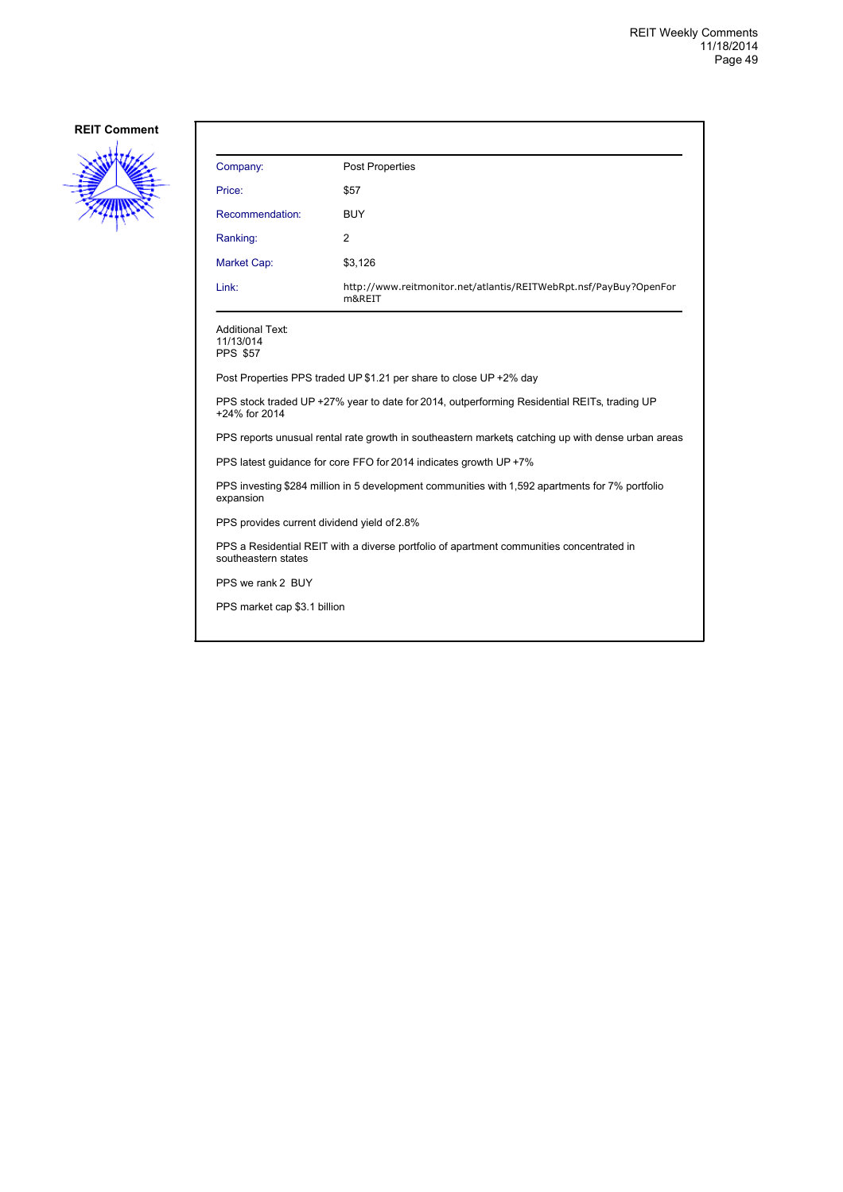

| Company:                                                | <b>Post Properties</b>                                                                            |
|---------------------------------------------------------|---------------------------------------------------------------------------------------------------|
| Price:                                                  | \$57                                                                                              |
| Recommendation:                                         | <b>BUY</b>                                                                                        |
| Ranking:                                                | 2                                                                                                 |
| <b>Market Cap:</b>                                      | \$3,126                                                                                           |
| Link:                                                   | http://www.reitmonitor.net/atlantis/REITWebRpt.nsf/PayBuy?OpenFor<br>m&REIT                       |
| <b>Additional Text:</b><br>11/13/014<br><b>PPS \$57</b> |                                                                                                   |
|                                                         | Post Properties PPS traded UP \$1.21 per share to close UP +2% day                                |
| +24% for 2014                                           | PPS stock traded UP +27% year to date for 2014, outperforming Residential REITs, trading UP       |
|                                                         | PPS reports unusual rental rate growth in southeastern markets catching up with dense urban areas |
|                                                         | PPS latest guidance for core FFO for 2014 indicates growth UP +7%                                 |
| expansion                                               | PPS investing \$284 million in 5 development communities with 1,592 apartments for 7% portfolio   |
| PPS provides current dividend yield of 2.8%             |                                                                                                   |
| southeastern states                                     | PPS a Residential REIT with a diverse portfolio of apartment communities concentrated in          |
| PPS we rank 2 BUY                                       |                                                                                                   |
| PPS market cap \$3.1 billion                            |                                                                                                   |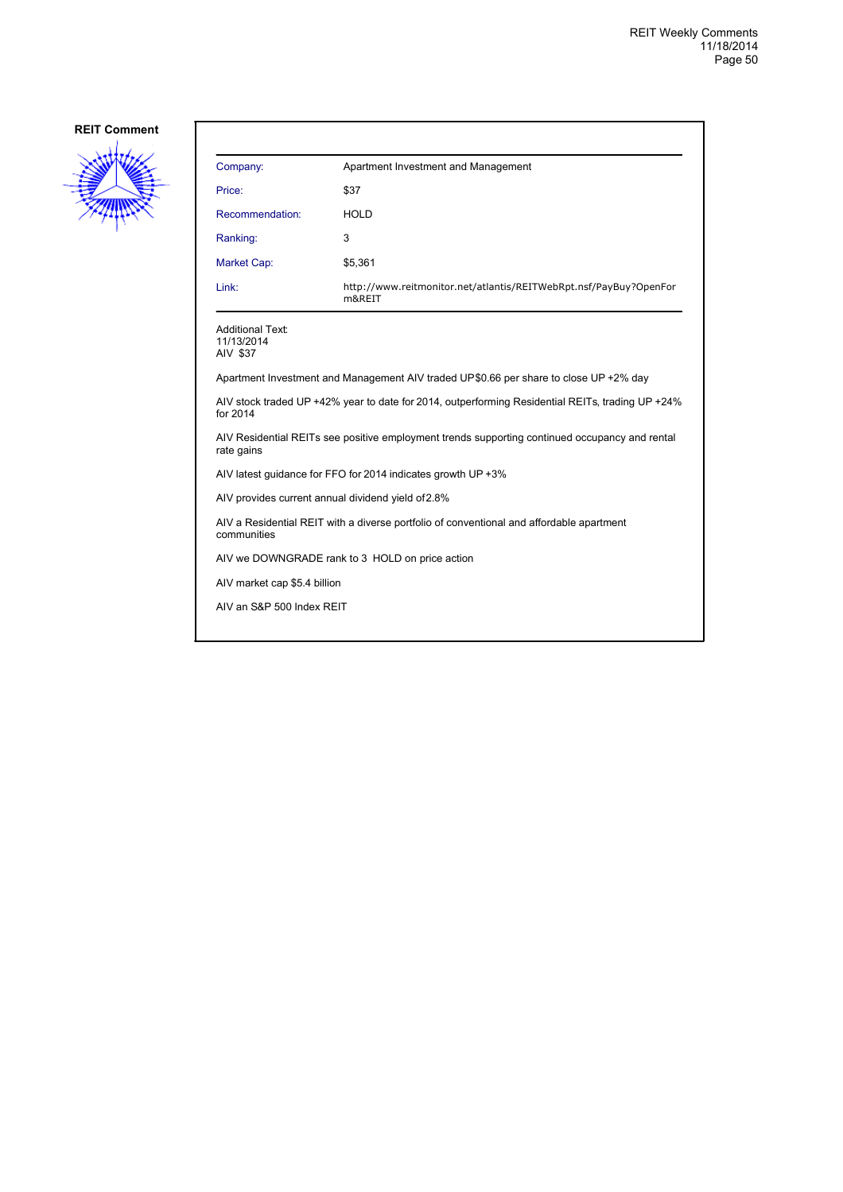

| Company:                                          | Apartment Investment and Management                                                              |
|---------------------------------------------------|--------------------------------------------------------------------------------------------------|
| Price:                                            | \$37                                                                                             |
| Recommendation:                                   | <b>HOLD</b>                                                                                      |
| Ranking:                                          | 3                                                                                                |
| <b>Market Cap:</b>                                | \$5,361                                                                                          |
| Link:                                             | http://www.reitmonitor.net/atlantis/REITWebRpt.nsf/PayBuy?OpenFor<br>m&REIT                      |
| <b>Additional Text:</b><br>11/13/2014<br>AIV \$37 |                                                                                                  |
|                                                   | Apartment Investment and Management AIV traded UP\$0.66 per share to close UP +2% day            |
| for 2014                                          | AIV stock traded UP +42% year to date for 2014, outperforming Residential REITs, trading UP +24% |
| rate gains                                        | AIV Residential REITs see positive employment trends supporting continued occupancy and rental   |
|                                                   | AIV latest guidance for FFO for 2014 indicates growth UP +3%                                     |
|                                                   | AIV provides current annual dividend yield of 2.8%                                               |
| communities                                       | AIV a Residential REIT with a diverse portfolio of conventional and affordable apartment         |
|                                                   | AIV we DOWNGRADE rank to 3 HOLD on price action                                                  |
| AIV market cap \$5.4 billion                      |                                                                                                  |
| AIV an S&P 500 Index REIT                         |                                                                                                  |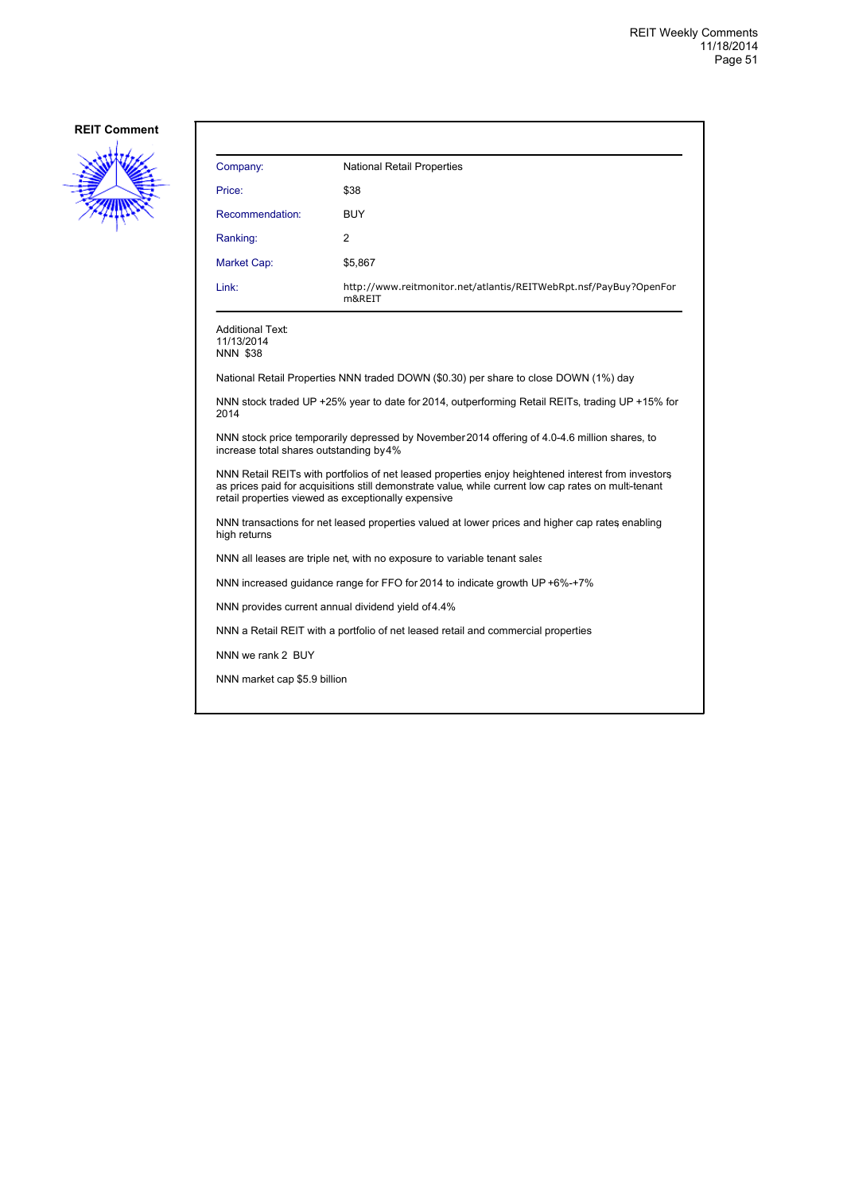

| Company:                                            | <b>National Retail Properties</b>                                                                                                                                                                          |
|-----------------------------------------------------|------------------------------------------------------------------------------------------------------------------------------------------------------------------------------------------------------------|
| Price:                                              | \$38                                                                                                                                                                                                       |
| Recommendation:                                     | <b>BUY</b>                                                                                                                                                                                                 |
| Ranking:                                            | 2                                                                                                                                                                                                          |
| <b>Market Cap:</b>                                  | \$5,867                                                                                                                                                                                                    |
| Link:                                               | http://www.reitmonitor.net/atlantis/REITWebRpt.nsf/PayBuy?OpenFor<br>m&REIT                                                                                                                                |
| Additional Text:<br>11/13/2014<br><b>NNN \$38</b>   |                                                                                                                                                                                                            |
|                                                     | National Retail Properties NNN traded DOWN (\$0.30) per share to close DOWN (1%) day                                                                                                                       |
| 2014                                                | NNN stock traded UP +25% year to date for 2014, outperforming Retail REITs, trading UP +15% for                                                                                                            |
| increase total shares outstanding by 4%             | NNN stock price temporarily depressed by November 2014 offering of 4.0-4.6 million shares, to                                                                                                              |
| retail properties viewed as exceptionally expensive | NNN Retail REITs with portfolios of net leased properties enjoy heightened interest from investors<br>as prices paid for acquisitions still demonstrate value, while current low cap rates on multi-tenant |
| high returns                                        | NNN transactions for net leased properties valued at lower prices and higher cap rates enabling                                                                                                            |
|                                                     | NNN all leases are triple net, with no exposure to variable tenant sales                                                                                                                                   |
|                                                     | NNN increased guidance range for FFO for 2014 to indicate growth UP +6%-+7%                                                                                                                                |
| NNN provides current annual dividend yield of 4.4%  |                                                                                                                                                                                                            |
|                                                     | NNN a Retail REIT with a portfolio of net leased retail and commercial properties                                                                                                                          |
| NNN we rank 2 BUY                                   |                                                                                                                                                                                                            |
| NNN market cap \$5.9 billion                        |                                                                                                                                                                                                            |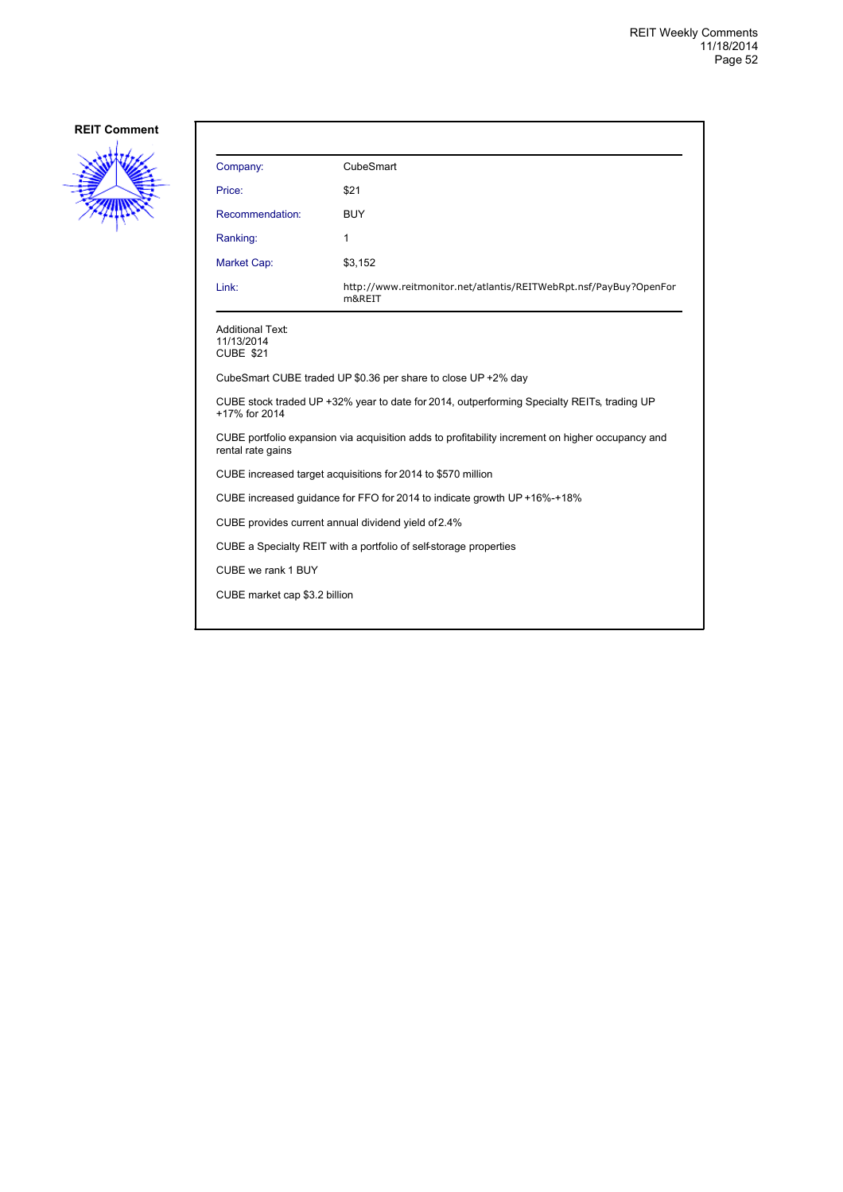

| Company:                                                                                                              | CubeSmart                                                                   |  |
|-----------------------------------------------------------------------------------------------------------------------|-----------------------------------------------------------------------------|--|
| Price:                                                                                                                | \$21                                                                        |  |
| Recommendation:                                                                                                       | <b>BUY</b>                                                                  |  |
| Ranking:                                                                                                              | 1                                                                           |  |
| Market Cap:                                                                                                           | \$3,152                                                                     |  |
| Link:                                                                                                                 | http://www.reitmonitor.net/atlantis/REITWebRpt.nsf/PayBuy?OpenFor<br>m&REIT |  |
| Additional Text:<br>11/13/2014<br>CUBE \$21                                                                           |                                                                             |  |
|                                                                                                                       | CubeSmart CUBE traded UP \$0.36 per share to close UP +2% day               |  |
| CUBE stock traded UP +32% year to date for 2014, outperforming Specialty REITs, trading UP<br>+17% for 2014           |                                                                             |  |
| CUBE portfolio expansion via acquisition adds to profitability increment on higher occupancy and<br>rental rate gains |                                                                             |  |
| CUBE increased target acquisitions for 2014 to \$570 million                                                          |                                                                             |  |
|                                                                                                                       | CUBE increased guidance for FFO for 2014 to indicate growth UP +16%-+18%    |  |
| CUBE provides current annual dividend yield of 2.4%                                                                   |                                                                             |  |
| CUBE a Specialty REIT with a portfolio of self-storage properties                                                     |                                                                             |  |
| CUBE we rank 1 BUY                                                                                                    |                                                                             |  |
| CUBE market cap \$3.2 billion                                                                                         |                                                                             |  |
|                                                                                                                       |                                                                             |  |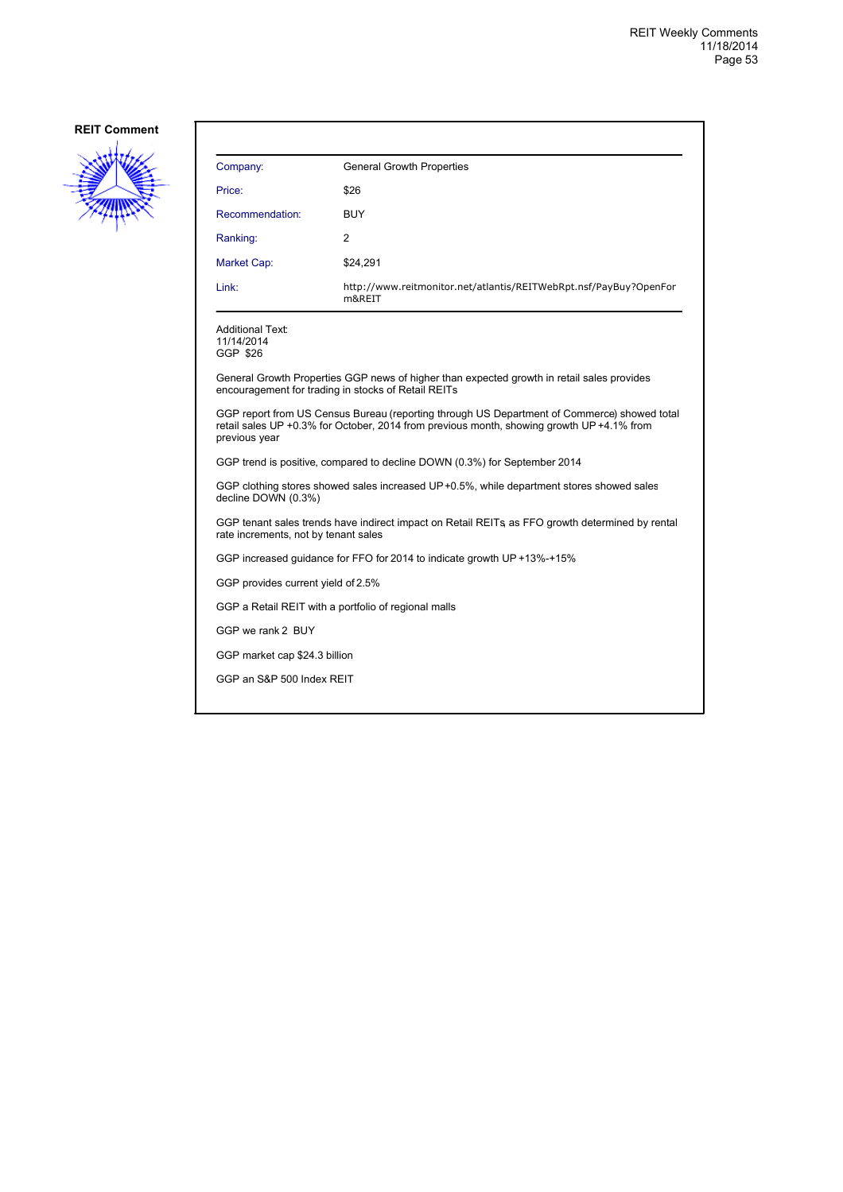

| Company:                                   | <b>General Growth Properties</b>                                                                                                                                                         |
|--------------------------------------------|------------------------------------------------------------------------------------------------------------------------------------------------------------------------------------------|
| Price:                                     | \$26                                                                                                                                                                                     |
| Recommendation:                            | <b>BUY</b>                                                                                                                                                                               |
| Ranking:                                   | 2                                                                                                                                                                                        |
| Market Cap:                                | \$24,291                                                                                                                                                                                 |
| Link:                                      | http://www.reitmonitor.net/atlantis/REITWebRpt.nsf/PayBuy?OpenFor<br>m&REIT                                                                                                              |
| Additional Text:<br>11/14/2014<br>GGP \$26 |                                                                                                                                                                                          |
|                                            | General Growth Properties GGP news of higher than expected growth in retail sales provides<br>encouragement for trading in stocks of Retail REITs                                        |
| previous year                              | GGP report from US Census Bureau (reporting through US Department of Commerce) showed total<br>retail sales UP +0.3% for October, 2014 from previous month, showing growth UP +4.1% from |
|                                            | GGP trend is positive, compared to decline DOWN (0.3%) for September 2014                                                                                                                |
| decline DOWN (0.3%)                        | GGP clothing stores showed sales increased UP+0.5%, while department stores showed sales                                                                                                 |
| rate increments, not by tenant sales       | GGP tenant sales trends have indirect impact on Retail REITs, as FFO growth determined by rental                                                                                         |
|                                            | GGP increased guidance for FFO for 2014 to indicate growth UP +13%-+15%                                                                                                                  |
| GGP provides current yield of 2.5%         |                                                                                                                                                                                          |
|                                            | GGP a Retail REIT with a portfolio of regional malls                                                                                                                                     |
| GGP we rank 2 BUY                          |                                                                                                                                                                                          |
| GGP market cap \$24.3 billion              |                                                                                                                                                                                          |
| GGP an S&P 500 Index REIT                  |                                                                                                                                                                                          |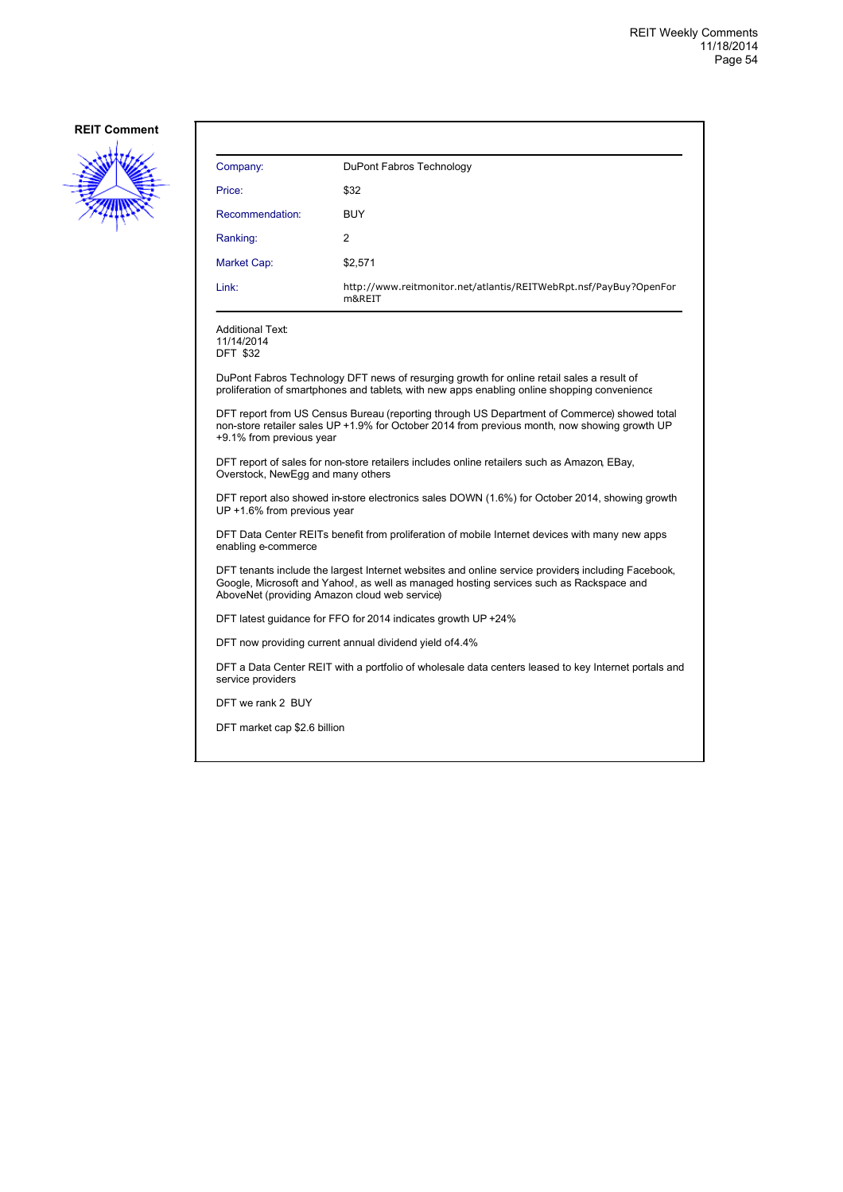

| Company:                                      | DuPont Fabros Technology                                                                                                                                                                      |
|-----------------------------------------------|-----------------------------------------------------------------------------------------------------------------------------------------------------------------------------------------------|
| Price:                                        | \$32                                                                                                                                                                                          |
| Recommendation:                               | <b>BUY</b>                                                                                                                                                                                    |
| Ranking:                                      | $\overline{2}$                                                                                                                                                                                |
| Market Cap:                                   | \$2,571                                                                                                                                                                                       |
| Link:                                         | http://www.reitmonitor.net/atlantis/REITWebRpt.nsf/PayBuy?OpenFor<br>m&REIT                                                                                                                   |
| Additional Text:<br>11/14/2014<br>DFT \$32    |                                                                                                                                                                                               |
|                                               | DuPont Fabros Technology DFT news of resurging growth for online retail sales a result of<br>proliferation of smartphones and tablets, with new apps enabling online shopping convenience     |
| +9.1% from previous year                      | DFT report from US Census Bureau (reporting through US Department of Commerce) showed total<br>non-store retailer sales UP +1.9% for October 2014 from previous month, now showing growth UP  |
| Overstock, NewEgg and many others             | DFT report of sales for non-store retailers includes online retailers such as Amazon, EBay,                                                                                                   |
| UP +1.6% from previous year                   | DFT report also showed in-store electronics sales DOWN (1.6%) for October 2014, showing growth                                                                                                |
| enabling e-commerce                           | DFT Data Center REITs benefit from proliferation of mobile Internet devices with many new apps                                                                                                |
| AboveNet (providing Amazon cloud web service) | DFT tenants include the largest Internet websites and online service providers including Facebook,<br>Google, Microsoft and Yahoo!, as well as managed hosting services such as Rackspace and |
|                                               | DFT latest quidance for FFO for 2014 indicates growth UP +24%                                                                                                                                 |

DFT now providing current annual dividend yield of 4.4%

DFT a Data Center REIT with a portfolio of wholesale data centers leased to key Internet portals and service providers

DFT we rank 2 BUY

DFT market cap \$2.6 billion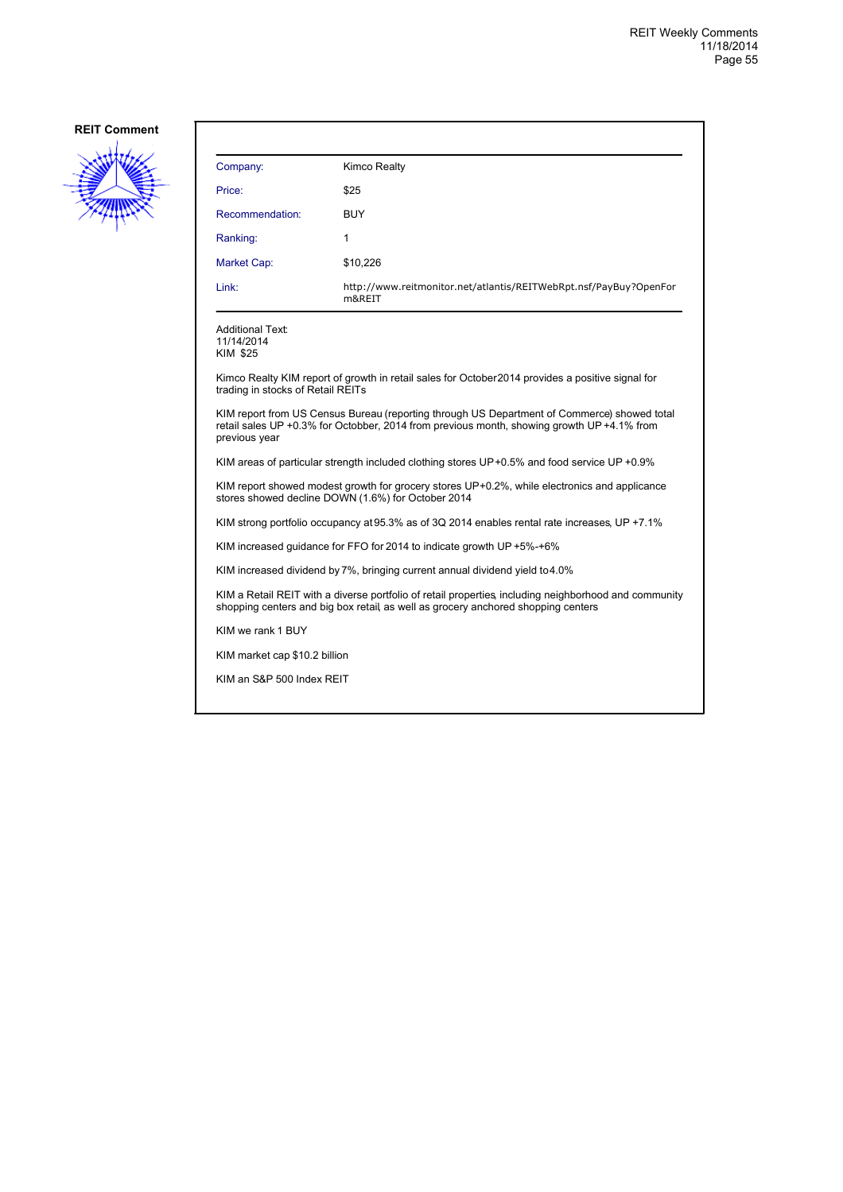

| Company:                                                                                                                                                                                  | Kimco Realty                                                                                                                                                                              |  |
|-------------------------------------------------------------------------------------------------------------------------------------------------------------------------------------------|-------------------------------------------------------------------------------------------------------------------------------------------------------------------------------------------|--|
| Price:                                                                                                                                                                                    | \$25                                                                                                                                                                                      |  |
| Recommendation:                                                                                                                                                                           | BUY                                                                                                                                                                                       |  |
| Ranking:                                                                                                                                                                                  | 1                                                                                                                                                                                         |  |
| Market Cap:                                                                                                                                                                               | \$10,226                                                                                                                                                                                  |  |
| Link:                                                                                                                                                                                     | http://www.reitmonitor.net/atlantis/REITWebRpt.nsf/PayBuy?OpenFor<br>m&REIT                                                                                                               |  |
| <b>Additional Text:</b><br>11/14/2014<br>KIM \$25                                                                                                                                         |                                                                                                                                                                                           |  |
| trading in stocks of Retail REITs                                                                                                                                                         | Kimco Realty KIM report of growth in retail sales for October 2014 provides a positive signal for                                                                                         |  |
| previous year                                                                                                                                                                             | KIM report from US Census Bureau (reporting through US Department of Commerce) showed total<br>retail sales UP +0.3% for Octobber, 2014 from previous month, showing growth UP +4.1% from |  |
|                                                                                                                                                                                           | KIM areas of particular strength included clothing stores UP+0.5% and food service UP +0.9%                                                                                               |  |
| KIM report showed modest growth for grocery stores UP+0.2%, while electronics and applicance<br>stores showed decline DOWN (1.6%) for October 2014                                        |                                                                                                                                                                                           |  |
| KIM strong portfolio occupancy at 95.3% as of 3Q 2014 enables rental rate increases, UP +7.1%                                                                                             |                                                                                                                                                                                           |  |
| KIM increased guidance for FFO for 2014 to indicate growth UP +5%-+6%                                                                                                                     |                                                                                                                                                                                           |  |
| KIM increased dividend by 7%, bringing current annual dividend yield to 4.0%                                                                                                              |                                                                                                                                                                                           |  |
| KIM a Retail REIT with a diverse portfolio of retail properties including neighborhood and community<br>shopping centers and big box retail, as well as grocery anchored shopping centers |                                                                                                                                                                                           |  |
| KIM we rank 1 BUY                                                                                                                                                                         |                                                                                                                                                                                           |  |
| KIM market cap \$10.2 billion                                                                                                                                                             |                                                                                                                                                                                           |  |
| KIM an S&P 500 Index REIT                                                                                                                                                                 |                                                                                                                                                                                           |  |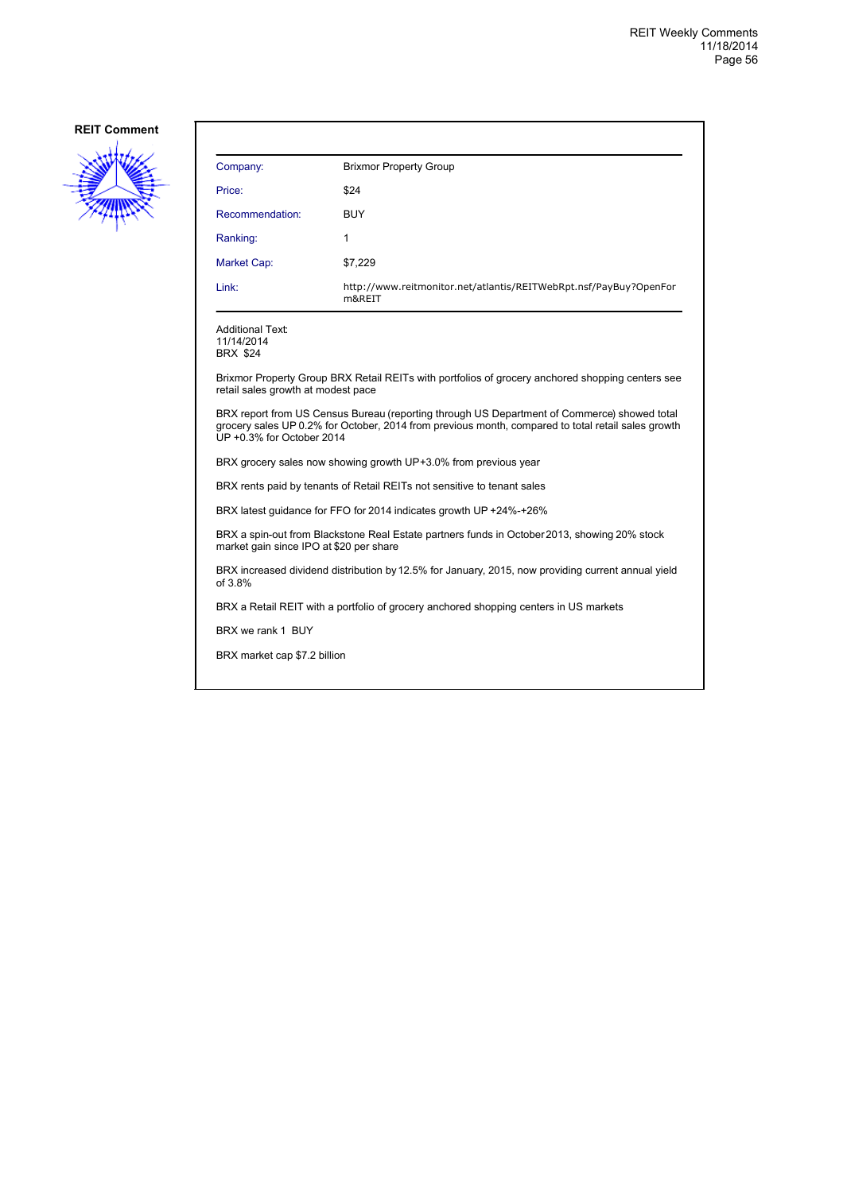

| Company:                                                                                                                                                                                                                       | <b>Brixmor Property Group</b>                                                                    |  |
|--------------------------------------------------------------------------------------------------------------------------------------------------------------------------------------------------------------------------------|--------------------------------------------------------------------------------------------------|--|
| Price:                                                                                                                                                                                                                         | \$24                                                                                             |  |
| Recommendation:                                                                                                                                                                                                                | <b>BUY</b>                                                                                       |  |
| Ranking:                                                                                                                                                                                                                       | 1                                                                                                |  |
| Market Cap:                                                                                                                                                                                                                    | \$7,229                                                                                          |  |
| Link:                                                                                                                                                                                                                          | http://www.reitmonitor.net/atlantis/REITWebRpt.nsf/PayBuy?OpenFor<br>m&REIT                      |  |
| <b>Additional Text:</b><br>11/14/2014<br><b>BRX \$24</b>                                                                                                                                                                       |                                                                                                  |  |
| retail sales growth at modest pace                                                                                                                                                                                             | Brixmor Property Group BRX Retail REITs with portfolios of grocery anchored shopping centers see |  |
| BRX report from US Census Bureau (reporting through US Department of Commerce) showed total<br>grocery sales UP 0.2% for October, 2014 from previous month, compared to total retail sales growth<br>UP +0.3% for October 2014 |                                                                                                  |  |
| BRX grocery sales now showing growth UP+3.0% from previous year                                                                                                                                                                |                                                                                                  |  |
| BRX rents paid by tenants of Retail REITs not sensitive to tenant sales                                                                                                                                                        |                                                                                                  |  |
| BRX latest guidance for FFO for 2014 indicates growth UP +24%-+26%                                                                                                                                                             |                                                                                                  |  |
| BRX a spin-out from Blackstone Real Estate partners funds in October 2013, showing 20% stock<br>market gain since IPO at \$20 per share                                                                                        |                                                                                                  |  |
| BRX increased dividend distribution by 12.5% for January, 2015, now providing current annual yield<br>of 3.8%                                                                                                                  |                                                                                                  |  |
| BRX a Retail REIT with a portfolio of grocery anchored shopping centers in US markets                                                                                                                                          |                                                                                                  |  |
| BRX we rank 1 BUY                                                                                                                                                                                                              |                                                                                                  |  |

BRX market cap \$7.2 billion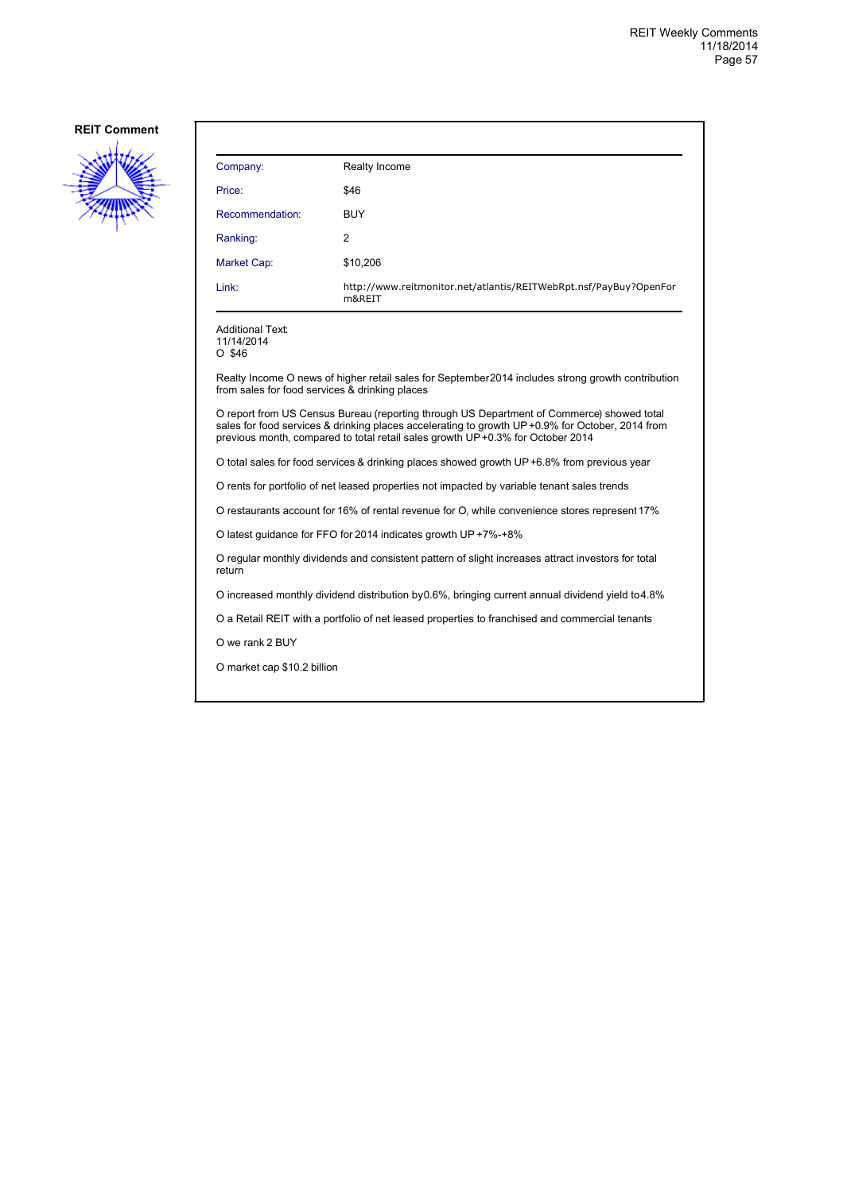

| Company:                                                                                      | Realty Income                                                                                                                                                                                                                                                                   |  |
|-----------------------------------------------------------------------------------------------|---------------------------------------------------------------------------------------------------------------------------------------------------------------------------------------------------------------------------------------------------------------------------------|--|
| Price:                                                                                        | \$46                                                                                                                                                                                                                                                                            |  |
| Recommendation:                                                                               | <b>BUY</b>                                                                                                                                                                                                                                                                      |  |
| Ranking:                                                                                      | 2                                                                                                                                                                                                                                                                               |  |
| Market Cap:                                                                                   | \$10,206                                                                                                                                                                                                                                                                        |  |
| Link:                                                                                         | http://www.reitmonitor.net/atlantis/REITWebRpt.nsf/PayBuy?OpenFor<br>m&REIT                                                                                                                                                                                                     |  |
| <b>Additional Text:</b><br>11/14/2014<br>O \$46                                               |                                                                                                                                                                                                                                                                                 |  |
| from sales for food services & drinking places                                                | Realty Income O news of higher retail sales for September 2014 includes strong growth contribution                                                                                                                                                                              |  |
|                                                                                               | O report from US Census Bureau (reporting through US Department of Commerce) showed total<br>sales for food services & drinking places accelerating to growth UP +0.9% for October, 2014 from<br>previous month, compared to total retail sales growth UP+0.3% for October 2014 |  |
|                                                                                               | O total sales for food services & drinking places showed growth UP+6.8% from previous year                                                                                                                                                                                      |  |
|                                                                                               | O rents for portfolio of net leased properties not impacted by variable tenant sales trends                                                                                                                                                                                     |  |
| O restaurants account for 16% of rental revenue for O, while convenience stores represent 17% |                                                                                                                                                                                                                                                                                 |  |
|                                                                                               | O latest guidance for FFO for 2014 indicates growth UP +7%-+8%                                                                                                                                                                                                                  |  |
| return                                                                                        | O regular monthly dividends and consistent pattern of slight increases attract investors for total                                                                                                                                                                              |  |
|                                                                                               | O increased monthly dividend distribution by 0.6%, bringing current annual dividend yield to 4.8%                                                                                                                                                                               |  |
|                                                                                               | O a Retail REIT with a portfolio of net leased properties to franchised and commercial tenants                                                                                                                                                                                  |  |
| O we rank 2 BUY                                                                               |                                                                                                                                                                                                                                                                                 |  |
| O market cap \$10.2 billion                                                                   |                                                                                                                                                                                                                                                                                 |  |
|                                                                                               |                                                                                                                                                                                                                                                                                 |  |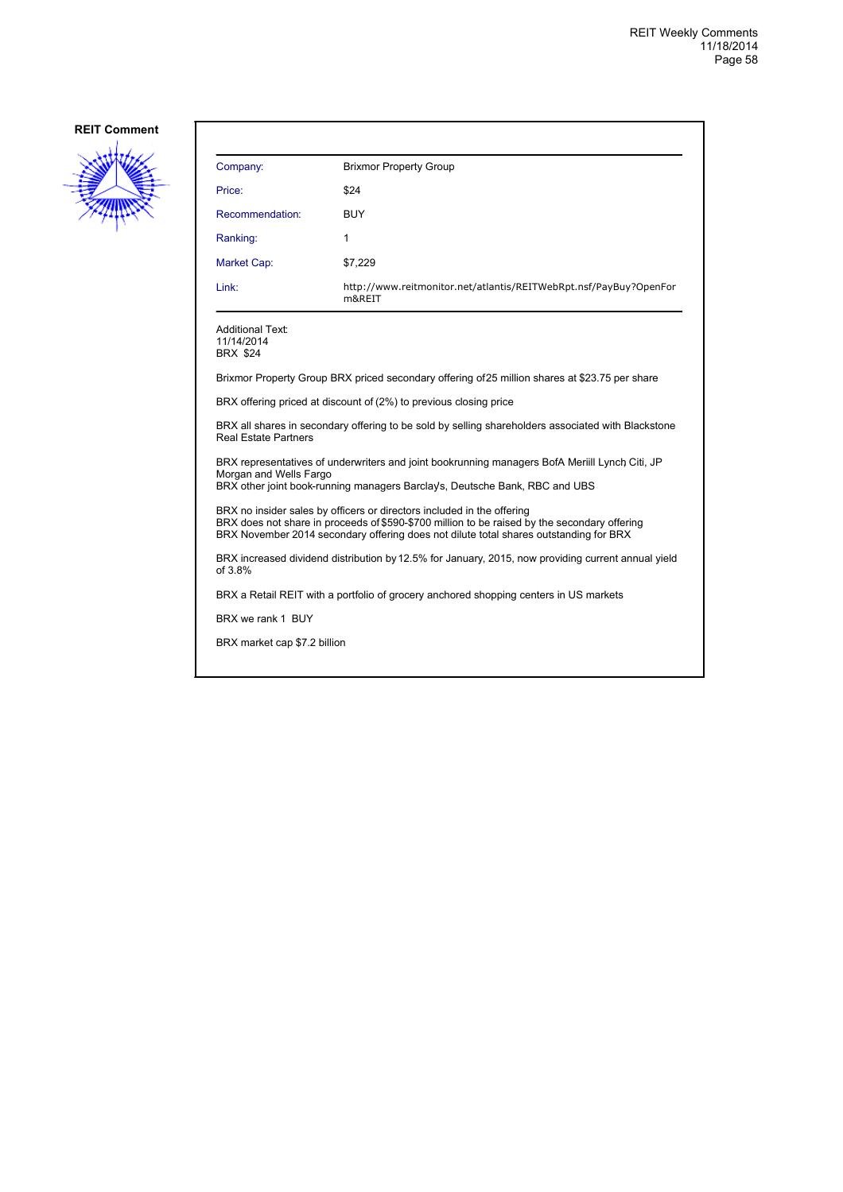

| Company:                                                                                                                                                                                                                                                        | <b>Brixmor Property Group</b>                                                                                                                                                 |  |
|-----------------------------------------------------------------------------------------------------------------------------------------------------------------------------------------------------------------------------------------------------------------|-------------------------------------------------------------------------------------------------------------------------------------------------------------------------------|--|
| Price:                                                                                                                                                                                                                                                          | \$24                                                                                                                                                                          |  |
| Recommendation:                                                                                                                                                                                                                                                 | <b>BUY</b>                                                                                                                                                                    |  |
| Ranking:                                                                                                                                                                                                                                                        | 1                                                                                                                                                                             |  |
| <b>Market Cap:</b>                                                                                                                                                                                                                                              | \$7,229                                                                                                                                                                       |  |
| Link:                                                                                                                                                                                                                                                           | http://www.reitmonitor.net/atlantis/REITWebRpt.nsf/PayBuy?OpenFor<br>m&REIT                                                                                                   |  |
| <b>Additional Text:</b><br>11/14/2014<br><b>BRX \$24</b>                                                                                                                                                                                                        |                                                                                                                                                                               |  |
|                                                                                                                                                                                                                                                                 | Brixmor Property Group BRX priced secondary offering of 25 million shares at \$23.75 per share                                                                                |  |
|                                                                                                                                                                                                                                                                 | BRX offering priced at discount of (2%) to previous closing price                                                                                                             |  |
| BRX all shares in secondary offering to be sold by selling shareholders associated with Blackstone<br><b>Real Estate Partners</b>                                                                                                                               |                                                                                                                                                                               |  |
| Morgan and Wells Fargo                                                                                                                                                                                                                                          | BRX representatives of underwriters and joint bookrunning managers BofA Meriill Lynch Citi, JP<br>BRX other joint book-running managers Barclay's, Deutsche Bank, RBC and UBS |  |
| BRX no insider sales by officers or directors included in the offering<br>BRX does not share in proceeds of \$590-\$700 million to be raised by the secondary offering<br>BRX November 2014 secondary offering does not dilute total shares outstanding for BRX |                                                                                                                                                                               |  |
| BRX increased dividend distribution by 12.5% for January, 2015, now providing current annual yield<br>of $3.8%$                                                                                                                                                 |                                                                                                                                                                               |  |
|                                                                                                                                                                                                                                                                 | BRX a Retail REIT with a portfolio of grocery anchored shopping centers in US markets                                                                                         |  |
| BRX we rank 1 BUY                                                                                                                                                                                                                                               |                                                                                                                                                                               |  |
| BRX market cap \$7.2 billion                                                                                                                                                                                                                                    |                                                                                                                                                                               |  |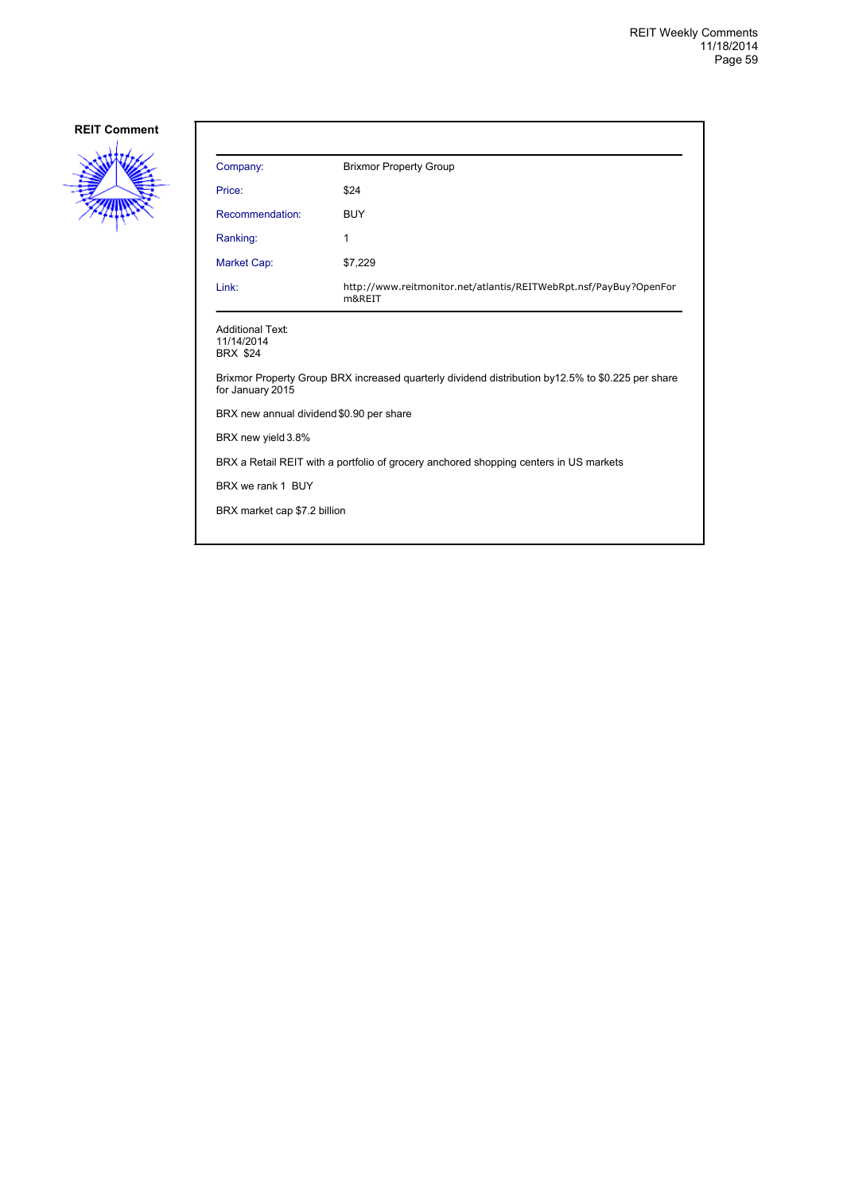

| Company:                                                 | <b>Brixmor Property Group</b>                                                                     |
|----------------------------------------------------------|---------------------------------------------------------------------------------------------------|
| Price:                                                   | \$24                                                                                              |
| Recommendation:                                          | <b>BUY</b>                                                                                        |
| Ranking:                                                 | 1                                                                                                 |
| Market Cap:                                              | \$7,229                                                                                           |
| Link:                                                    | http://www.reitmonitor.net/atlantis/REITWebRpt.nsf/PayBuy?OpenFor<br>m&REIT                       |
| <b>Additional Text:</b><br>11/14/2014<br><b>BRX \$24</b> |                                                                                                   |
| for January 2015                                         | Brixmor Property Group BRX increased quarterly dividend distribution by12.5% to \$0.225 per share |
| BRX new annual dividend \$0.90 per share                 |                                                                                                   |
| BRX new yield 3.8%                                       |                                                                                                   |
|                                                          | BRX a Retail REIT with a portfolio of grocery anchored shopping centers in US markets             |
| BRX we rank 1 BUY                                        |                                                                                                   |
| BRX market cap \$7.2 billion                             |                                                                                                   |
|                                                          |                                                                                                   |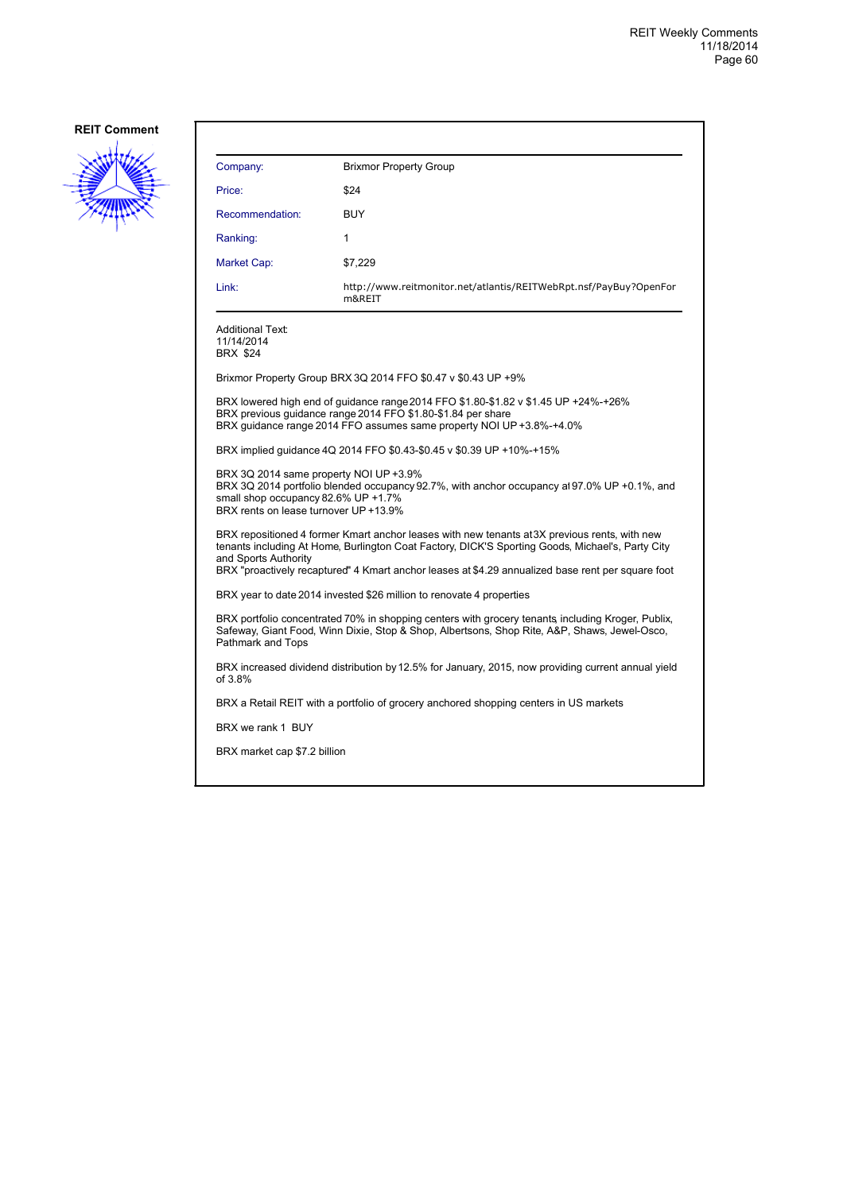

| Company:                                                                                                                                                                                                                                                                                                                       | <b>Brixmor Property Group</b>                                                                                                                                                                                               |  |
|--------------------------------------------------------------------------------------------------------------------------------------------------------------------------------------------------------------------------------------------------------------------------------------------------------------------------------|-----------------------------------------------------------------------------------------------------------------------------------------------------------------------------------------------------------------------------|--|
| Price:                                                                                                                                                                                                                                                                                                                         | \$24                                                                                                                                                                                                                        |  |
| Recommendation:                                                                                                                                                                                                                                                                                                                | <b>BUY</b>                                                                                                                                                                                                                  |  |
| Ranking:                                                                                                                                                                                                                                                                                                                       | 1                                                                                                                                                                                                                           |  |
| Market Cap:                                                                                                                                                                                                                                                                                                                    | \$7,229                                                                                                                                                                                                                     |  |
| Link:                                                                                                                                                                                                                                                                                                                          | http://www.reitmonitor.net/atlantis/REITWebRpt.nsf/PayBuy?OpenFor<br>m&REIT                                                                                                                                                 |  |
| <b>Additional Text:</b><br>11/14/2014<br><b>BRX \$24</b>                                                                                                                                                                                                                                                                       |                                                                                                                                                                                                                             |  |
|                                                                                                                                                                                                                                                                                                                                | Brixmor Property Group BRX 3Q 2014 FFO \$0.47 v \$0.43 UP +9%                                                                                                                                                               |  |
|                                                                                                                                                                                                                                                                                                                                | BRX lowered high end of guidance range 2014 FFO \$1.80-\$1.82 v \$1.45 UP +24%-+26%<br>BRX previous quidance range 2014 FFO \$1.80-\$1.84 per share<br>BRX quidance range 2014 FFO assumes same property NOI UP +3.8%-+4.0% |  |
|                                                                                                                                                                                                                                                                                                                                | BRX implied guidance 4Q 2014 FFO \$0.43-\$0.45 v \$0.39 UP +10%-+15%                                                                                                                                                        |  |
| BRX 3Q 2014 same property NOI UP +3.9%<br>small shop occupancy 82.6% UP +1.7%<br>BRX rents on lease turnover UP +13.9%                                                                                                                                                                                                         | BRX 3Q 2014 portfolio blended occupancy 92.7%, with anchor occupancy at 97.0% UP +0.1%, and                                                                                                                                 |  |
| BRX repositioned 4 former Kmart anchor leases with new tenants at 3X previous rents, with new<br>tenants including At Home, Burlington Coat Factory, DICK'S Sporting Goods, Michael's, Party City<br>and Sports Authority<br>BRX "proactively recaptured" 4 Kmart anchor leases at \$4.29 annualized base rent per square foot |                                                                                                                                                                                                                             |  |
| BRX year to date 2014 invested \$26 million to renovate 4 properties                                                                                                                                                                                                                                                           |                                                                                                                                                                                                                             |  |
| BRX portfolio concentrated 70% in shopping centers with grocery tenants including Kroger, Publix,<br>Safeway, Giant Food, Winn Dixie, Stop & Shop, Albertsons, Shop Rite, A&P, Shaws, Jewel-Osco,<br>Pathmark and Tops                                                                                                         |                                                                                                                                                                                                                             |  |
| BRX increased dividend distribution by 12.5% for January, 2015, now providing current annual yield<br>of 3.8%                                                                                                                                                                                                                  |                                                                                                                                                                                                                             |  |
|                                                                                                                                                                                                                                                                                                                                | BRX a Retail REIT with a portfolio of grocery anchored shopping centers in US markets                                                                                                                                       |  |
| BRX we rank 1 BUY                                                                                                                                                                                                                                                                                                              |                                                                                                                                                                                                                             |  |
| BRX market cap \$7.2 billion                                                                                                                                                                                                                                                                                                   |                                                                                                                                                                                                                             |  |
|                                                                                                                                                                                                                                                                                                                                |                                                                                                                                                                                                                             |  |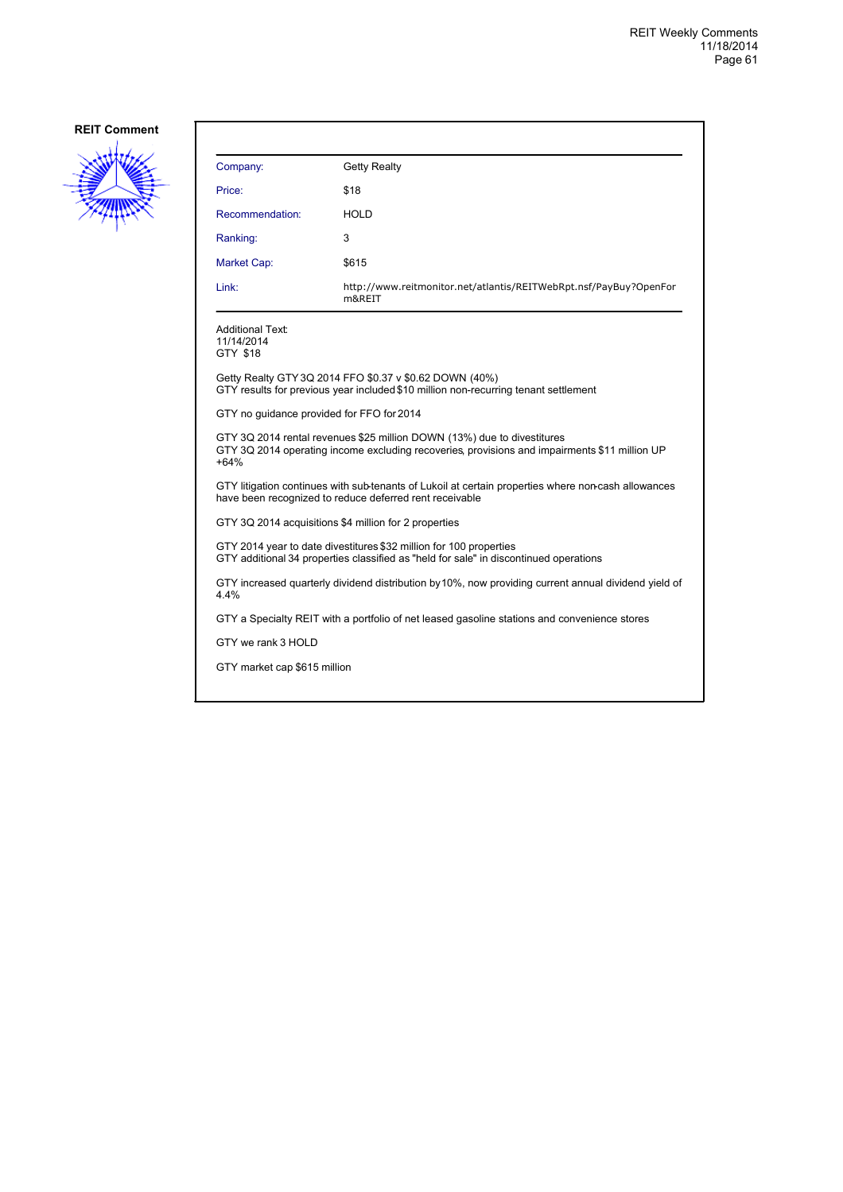

| Company:                                                                                                                                                                           | <b>Getty Realty</b>                                                                          |  |
|------------------------------------------------------------------------------------------------------------------------------------------------------------------------------------|----------------------------------------------------------------------------------------------|--|
| Price:                                                                                                                                                                             | \$18                                                                                         |  |
| Recommendation:                                                                                                                                                                    | HOLD                                                                                         |  |
| Ranking:                                                                                                                                                                           | 3                                                                                            |  |
| Market Cap:                                                                                                                                                                        | \$615                                                                                        |  |
| Link:                                                                                                                                                                              | http://www.reitmonitor.net/atlantis/REITWebRpt.nsf/PayBuy?OpenFor<br>m&REIT                  |  |
| <b>Additional Text:</b><br>11/14/2014<br>GTY \$18                                                                                                                                  |                                                                                              |  |
| Getty Realty GTY 3Q 2014 FFO \$0.37 v \$0.62 DOWN (40%)<br>GTY results for previous year included \$10 million non-recurring tenant settlement                                     |                                                                                              |  |
| GTY no guidance provided for FFO for 2014                                                                                                                                          |                                                                                              |  |
| GTY 3Q 2014 rental revenues \$25 million DOWN (13%) due to divestitures<br>GTY 3Q 2014 operating income excluding recoveries, provisions and impairments \$11 million UP<br>$+64%$ |                                                                                              |  |
| GTY litigation continues with sub-tenants of Lukoil at certain properties where non-cash allowances<br>have been recognized to reduce deferred rent receivable                     |                                                                                              |  |
| GTY 3Q 2014 acquisitions \$4 million for 2 properties                                                                                                                              |                                                                                              |  |
| GTY 2014 year to date divestitures \$32 million for 100 properties<br>GTY additional 34 properties classified as "held for sale" in discontinued operations                        |                                                                                              |  |
| GTY increased quarterly dividend distribution by 10%, now providing current annual dividend yield of<br>4.4%                                                                       |                                                                                              |  |
|                                                                                                                                                                                    | GTY a Specialty REIT with a portfolio of net leased gasoline stations and convenience stores |  |
| GTY we rank 3 HOLD                                                                                                                                                                 |                                                                                              |  |
| GTY market cap \$615 million                                                                                                                                                       |                                                                                              |  |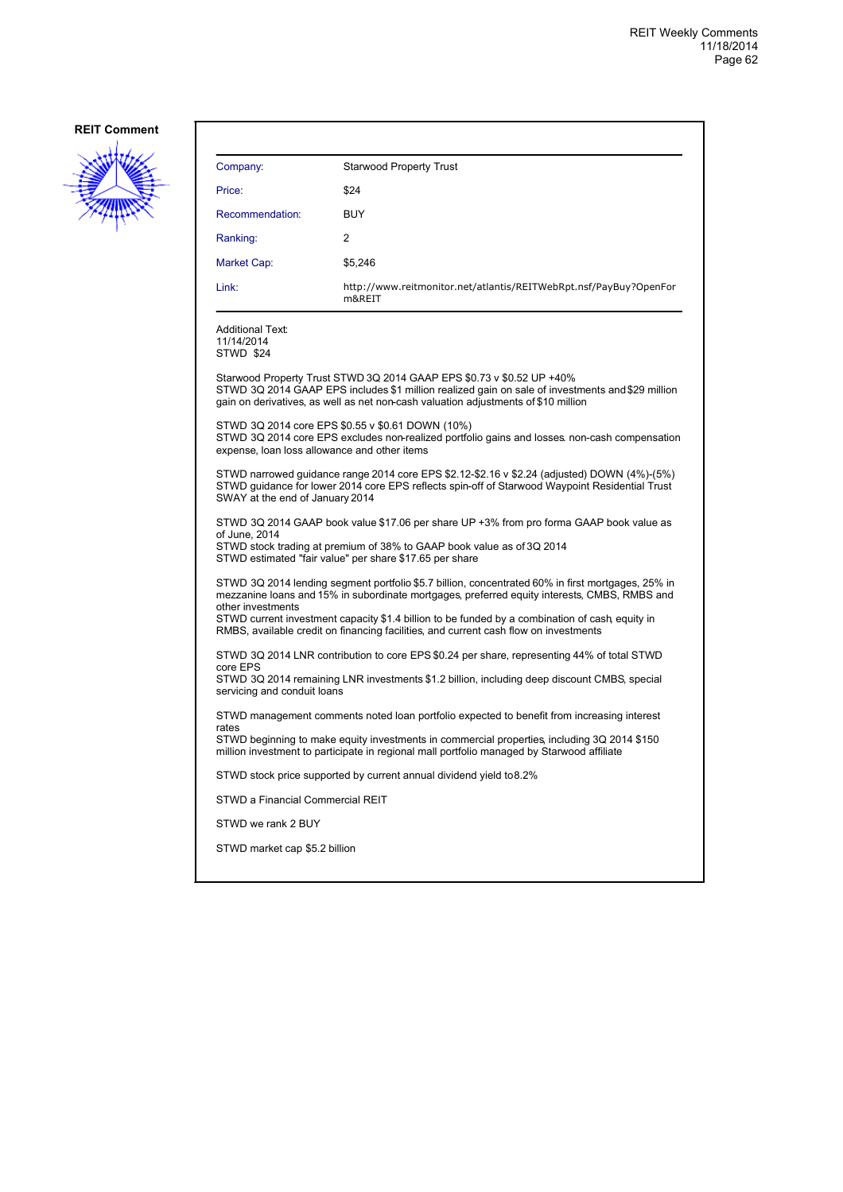

| Company:                                                                                                                                                                                                                         | <b>Starwood Property Trust</b>                                                                                                                                                                                                                                  |  |
|----------------------------------------------------------------------------------------------------------------------------------------------------------------------------------------------------------------------------------|-----------------------------------------------------------------------------------------------------------------------------------------------------------------------------------------------------------------------------------------------------------------|--|
| Price:                                                                                                                                                                                                                           | \$24                                                                                                                                                                                                                                                            |  |
| Recommendation:                                                                                                                                                                                                                  | <b>BUY</b>                                                                                                                                                                                                                                                      |  |
| Ranking:                                                                                                                                                                                                                         | 2                                                                                                                                                                                                                                                               |  |
| Market Cap:                                                                                                                                                                                                                      | \$5.246                                                                                                                                                                                                                                                         |  |
| Link:                                                                                                                                                                                                                            | http://www.reitmonitor.net/atlantis/REITWebRpt.nsf/PayBuy?OpenFor<br>m&REIT                                                                                                                                                                                     |  |
| <b>Additional Text:</b><br>11/14/2014<br><b>STWD \$24</b>                                                                                                                                                                        |                                                                                                                                                                                                                                                                 |  |
|                                                                                                                                                                                                                                  | Starwood Property Trust STWD 3Q 2014 GAAP EPS \$0.73 v \$0.52 UP +40%<br>STWD 3Q 2014 GAAP EPS includes \$1 million realized gain on sale of investments and \$29 million<br>gain on derivatives, as well as net non-cash valuation adjustments of \$10 million |  |
| STWD 3Q 2014 core EPS \$0.55 v \$0.61 DOWN (10%)<br>STWD 3Q 2014 core EPS excludes non-realized portfolio gains and losses non-cash compensation<br>expense, loan loss allowance and other items                                 |                                                                                                                                                                                                                                                                 |  |
| STWD narrowed guidance range 2014 core EPS \$2.12-\$2.16 v \$2.24 (adjusted) DOWN (4%)-(5%)<br>STWD guidance for lower 2014 core EPS reflects spin-off of Starwood Waypoint Residential Trust<br>SWAY at the end of January 2014 |                                                                                                                                                                                                                                                                 |  |
| STWD 3Q 2014 GAAP book value \$17.06 per share UP +3% from pro forma GAAP book value as                                                                                                                                          |                                                                                                                                                                                                                                                                 |  |
| of June, 2014<br>STWD stock trading at premium of 38% to GAAP book value as of 3Q 2014<br>STWD estimated "fair value" per share \$17.65 per share                                                                                |                                                                                                                                                                                                                                                                 |  |
| STWD 3Q 2014 lending segment portfolio \$5.7 billion, concentrated 60% in first mortgages, 25% in<br>mezzanine loans and 15% in subordinate mortgages, preferred equity interests, CMBS, RMBS and                                |                                                                                                                                                                                                                                                                 |  |
| other investments<br>STWD current investment capacity \$1.4 billion to be funded by a combination of cash, equity in<br>RMBS, available credit on financing facilities, and current cash flow on investments                     |                                                                                                                                                                                                                                                                 |  |
| STWD 3Q 2014 LNR contribution to core EPS \$0.24 per share, representing 44% of total STWD                                                                                                                                       |                                                                                                                                                                                                                                                                 |  |
| core EPS<br>STWD 3Q 2014 remaining LNR investments \$1.2 billion, including deep discount CMBS, special<br>servicing and conduit loans                                                                                           |                                                                                                                                                                                                                                                                 |  |
| STWD management comments noted loan portfolio expected to benefit from increasing interest                                                                                                                                       |                                                                                                                                                                                                                                                                 |  |
| rates<br>STWD beginning to make equity investments in commercial properties, including 3Q 2014 \$150<br>million investment to participate in regional mall portfolio managed by Starwood affiliate                               |                                                                                                                                                                                                                                                                 |  |
|                                                                                                                                                                                                                                  | STWD stock price supported by current annual dividend yield to 8.2%                                                                                                                                                                                             |  |
| STWD a Financial Commercial REIT                                                                                                                                                                                                 |                                                                                                                                                                                                                                                                 |  |
| STWD we rank 2 BUY                                                                                                                                                                                                               |                                                                                                                                                                                                                                                                 |  |
| STWD market cap \$5.2 billion                                                                                                                                                                                                    |                                                                                                                                                                                                                                                                 |  |
|                                                                                                                                                                                                                                  |                                                                                                                                                                                                                                                                 |  |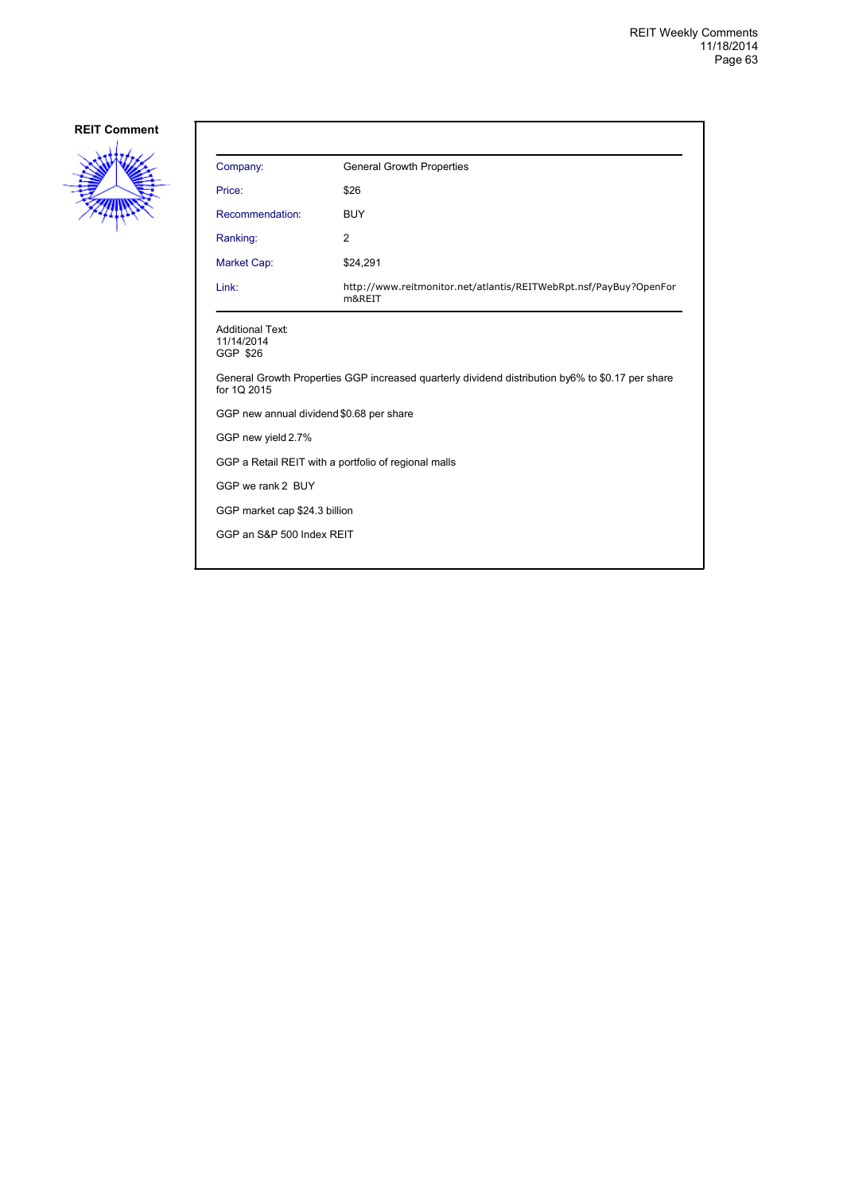

| Price:<br>Recommendation:<br>Ranking:<br>Market Cap:<br>Link:<br><b>Additional Text:</b><br>11/14/2014 | \$26<br><b>BUY</b><br>$\overline{2}$<br>\$24,291<br>http://www.reitmonitor.net/atlantis/REITWebRpt.nsf/PayBuy?OpenFor<br>m&REIT |
|--------------------------------------------------------------------------------------------------------|---------------------------------------------------------------------------------------------------------------------------------|
|                                                                                                        |                                                                                                                                 |
|                                                                                                        |                                                                                                                                 |
|                                                                                                        |                                                                                                                                 |
|                                                                                                        |                                                                                                                                 |
|                                                                                                        |                                                                                                                                 |
| GGP \$26                                                                                               |                                                                                                                                 |
| for 1Q 2015                                                                                            | General Growth Properties GGP increased quarterly dividend distribution by6% to \$0.17 per share                                |
| GGP new annual dividend \$0.68 per share                                                               |                                                                                                                                 |
| GGP new yield 2.7%                                                                                     |                                                                                                                                 |
| GGP a Retail REIT with a portfolio of regional malls                                                   |                                                                                                                                 |
| GGP we rank 2 BUY                                                                                      |                                                                                                                                 |
| GGP market cap \$24.3 billion                                                                          |                                                                                                                                 |
| GGP an S&P 500 Index REIT                                                                              |                                                                                                                                 |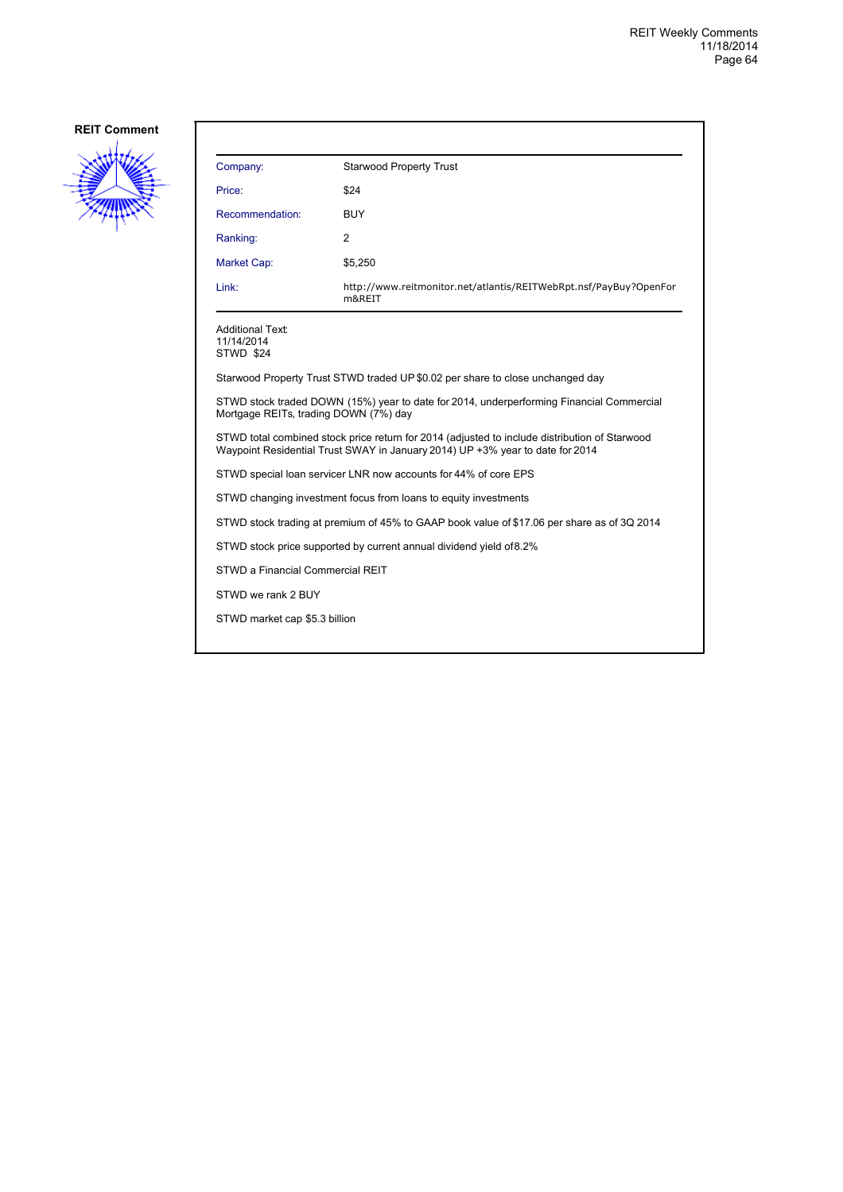

| Company:                                                                                                                                                                       | <b>Starwood Property Trust</b>                                              |  |
|--------------------------------------------------------------------------------------------------------------------------------------------------------------------------------|-----------------------------------------------------------------------------|--|
| Price:                                                                                                                                                                         | \$24                                                                        |  |
| Recommendation:                                                                                                                                                                | <b>BUY</b>                                                                  |  |
| Ranking:                                                                                                                                                                       | 2                                                                           |  |
| Market Cap:                                                                                                                                                                    | \$5,250                                                                     |  |
| Link:                                                                                                                                                                          | http://www.reitmonitor.net/atlantis/REITWebRpt.nsf/PayBuy?OpenFor<br>m&REIT |  |
| <b>Additional Text:</b><br>11/14/2014<br>STWD \$24                                                                                                                             |                                                                             |  |
| Starwood Property Trust STWD traded UP \$0.02 per share to close unchanged day                                                                                                 |                                                                             |  |
| STWD stock traded DOWN (15%) year to date for 2014, underperforming Financial Commercial<br>Mortgage REITs, trading DOWN (7%) day                                              |                                                                             |  |
| STWD total combined stock price return for 2014 (adjusted to include distribution of Starwood<br>Waypoint Residential Trust SWAY in January 2014) UP +3% year to date for 2014 |                                                                             |  |
| STWD special loan servicer LNR now accounts for 44% of core EPS                                                                                                                |                                                                             |  |
| STWD changing investment focus from loans to equity investments                                                                                                                |                                                                             |  |
| STWD stock trading at premium of 45% to GAAP book value of \$17.06 per share as of 3Q 2014                                                                                     |                                                                             |  |
| STWD stock price supported by current annual dividend yield of 8.2%                                                                                                            |                                                                             |  |
| STWD a Financial Commercial REIT                                                                                                                                               |                                                                             |  |
| STWD we rank 2 BUY                                                                                                                                                             |                                                                             |  |

STWD market cap \$5.3 billion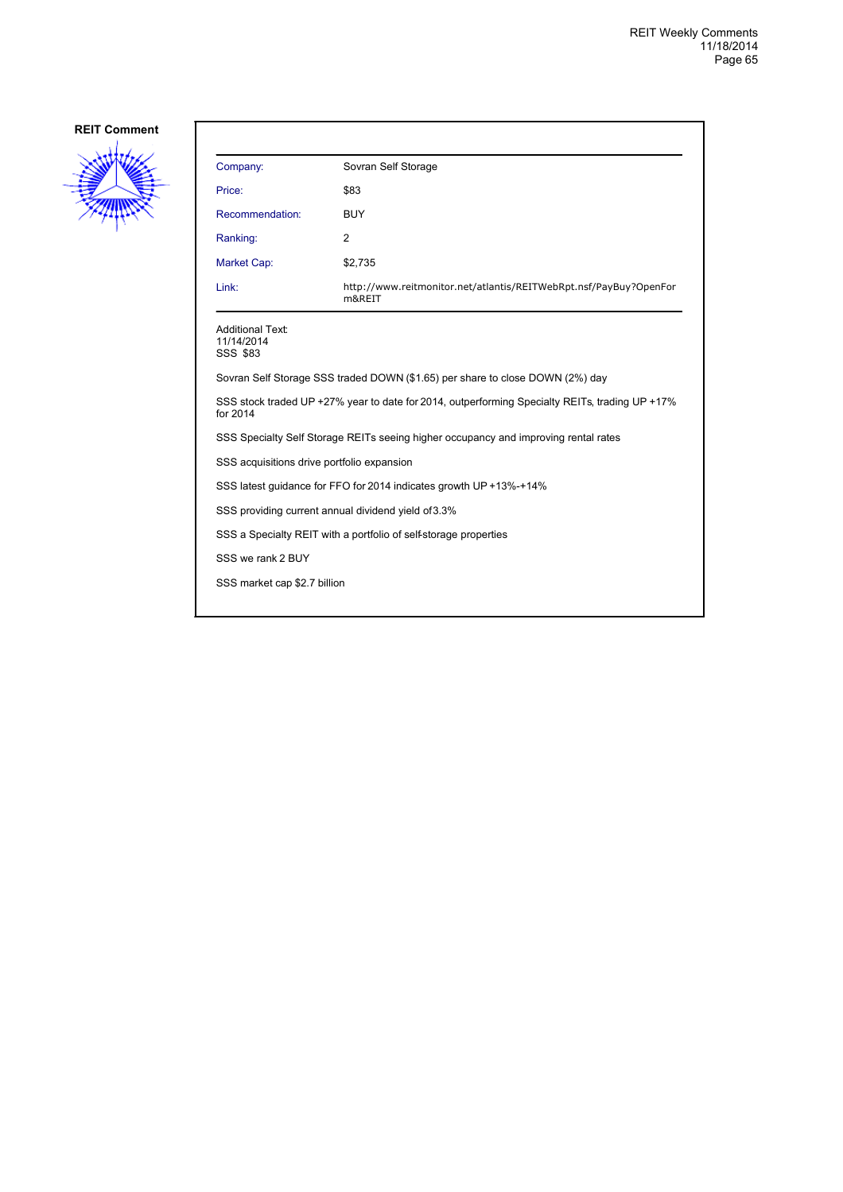

| Company:                                                                                                   | Sovran Self Storage                                                         |  |
|------------------------------------------------------------------------------------------------------------|-----------------------------------------------------------------------------|--|
| Price:                                                                                                     | \$83                                                                        |  |
| Recommendation:                                                                                            | <b>BUY</b>                                                                  |  |
| Ranking:                                                                                                   | $\overline{2}$                                                              |  |
| Market Cap:                                                                                                | \$2,735                                                                     |  |
| Link:                                                                                                      | http://www.reitmonitor.net/atlantis/REITWebRpt.nsf/PayBuy?OpenFor<br>m&REIT |  |
| <b>Additional Text:</b><br>11/14/2014<br>SSS \$83                                                          |                                                                             |  |
| Sovran Self Storage SSS traded DOWN (\$1.65) per share to close DOWN (2%) day                              |                                                                             |  |
| SSS stock traded UP +27% year to date for 2014, outperforming Specialty REITs, trading UP +17%<br>for 2014 |                                                                             |  |
| SSS Specialty Self Storage REITs seeing higher occupancy and improving rental rates                        |                                                                             |  |
| SSS acquisitions drive portfolio expansion                                                                 |                                                                             |  |
| SSS latest quidance for FFO for 2014 indicates growth UP +13%-+14%                                         |                                                                             |  |
|                                                                                                            | SSS providing current annual dividend yield of 3.3%                         |  |
| SSS a Specialty REIT with a portfolio of self-storage properties                                           |                                                                             |  |
| SSS we rank 2 BUY                                                                                          |                                                                             |  |
| SSS market cap \$2.7 billion                                                                               |                                                                             |  |
|                                                                                                            |                                                                             |  |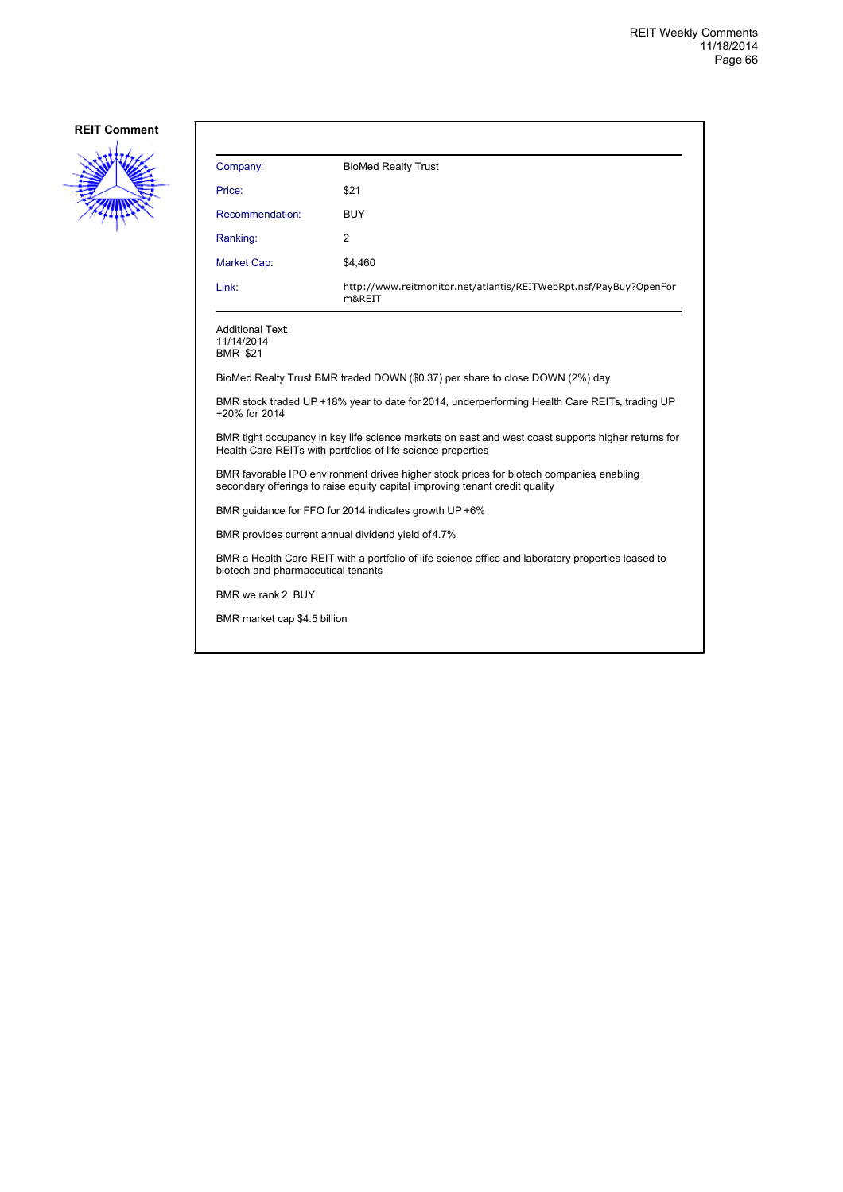

| Company:                                                                                                                                                                | <b>BioMed Realty Trust</b>                                                  |  |
|-------------------------------------------------------------------------------------------------------------------------------------------------------------------------|-----------------------------------------------------------------------------|--|
| Price:                                                                                                                                                                  | \$21                                                                        |  |
| Recommendation:                                                                                                                                                         | <b>BUY</b>                                                                  |  |
| Ranking:                                                                                                                                                                | 2                                                                           |  |
| Market Cap:                                                                                                                                                             | \$4,460                                                                     |  |
| Link:                                                                                                                                                                   | http://www.reitmonitor.net/atlantis/REITWebRpt.nsf/PayBuy?OpenFor<br>m&REIT |  |
| <b>Additional Text:</b><br>11/14/2014<br><b>BMR \$21</b>                                                                                                                |                                                                             |  |
| BioMed Realty Trust BMR traded DOWN (\$0.37) per share to close DOWN (2%) day                                                                                           |                                                                             |  |
| BMR stock traded UP +18% year to date for 2014, underperforming Health Care REITs, trading UP<br>+20% for 2014                                                          |                                                                             |  |
| BMR tight occupancy in key life science markets on east and west coast supports higher returns for<br>Health Care REITs with portfolios of life science properties      |                                                                             |  |
| BMR favorable IPO environment drives higher stock prices for biotech companies, enabling<br>secondary offerings to raise equity capital improving tenant credit quality |                                                                             |  |
| BMR guidance for FFO for 2014 indicates growth UP +6%                                                                                                                   |                                                                             |  |
| BMR provides current annual dividend yield of 4.7%                                                                                                                      |                                                                             |  |
| BMR a Health Care REIT with a portfolio of life science office and laboratory properties leased to<br>biotech and pharmaceutical tenants                                |                                                                             |  |
| BMR we rank 2 BUY                                                                                                                                                       |                                                                             |  |
| BMR market cap \$4.5 billion                                                                                                                                            |                                                                             |  |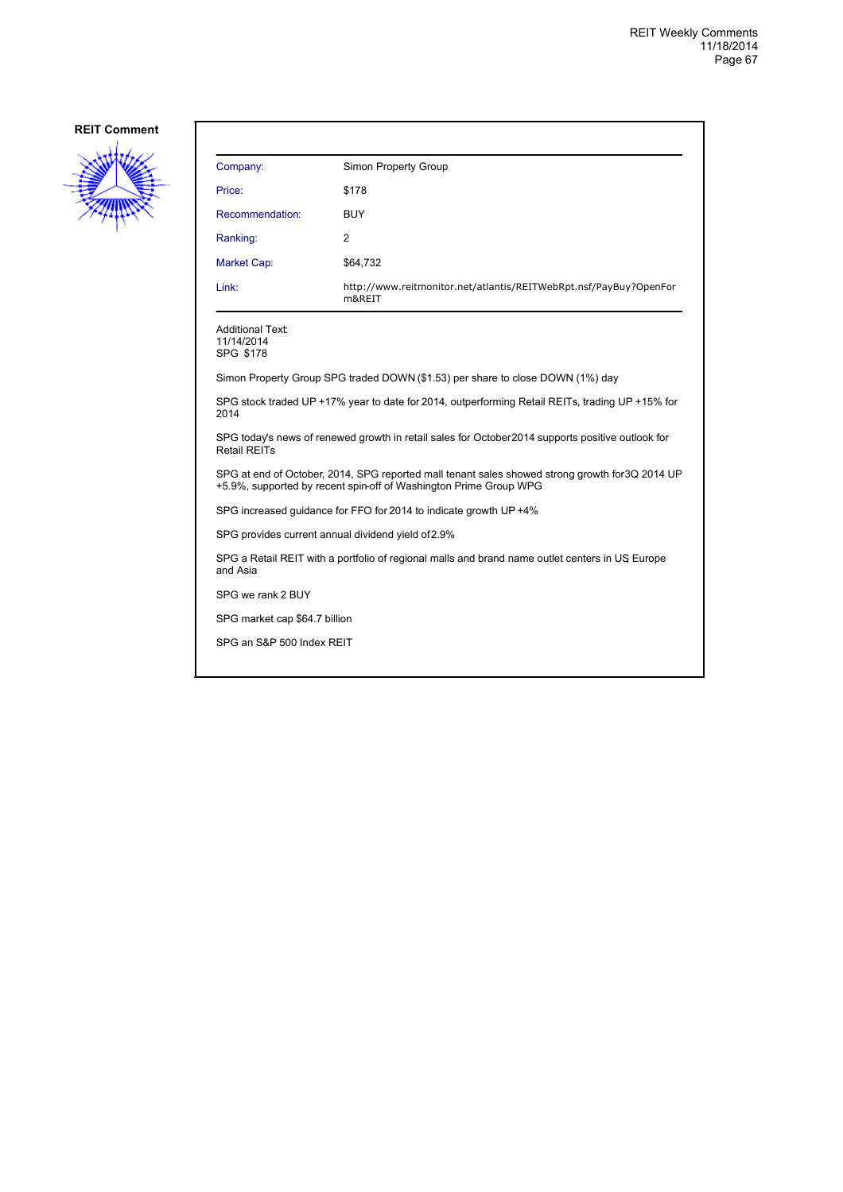

| Company:                                                                                                                                                             | Simon Property Group                                                           |  |
|----------------------------------------------------------------------------------------------------------------------------------------------------------------------|--------------------------------------------------------------------------------|--|
| Price:                                                                                                                                                               | \$178                                                                          |  |
| Recommendation:                                                                                                                                                      | BUY                                                                            |  |
| Ranking:                                                                                                                                                             | $\overline{2}$                                                                 |  |
| Market Cap:                                                                                                                                                          | \$64,732                                                                       |  |
| Link:                                                                                                                                                                | http://www.reitmonitor.net/atlantis/REITWebRpt.nsf/PayBuy?OpenFor<br>m&REIT    |  |
| Additional Text:<br>11/14/2014<br>SPG \$178                                                                                                                          |                                                                                |  |
|                                                                                                                                                                      | Simon Property Group SPG traded DOWN (\$1.53) per share to close DOWN (1%) day |  |
| SPG stock traded UP +17% year to date for 2014, outperforming Retail REITs, trading UP +15% for<br>2014                                                              |                                                                                |  |
| SPG today's news of renewed growth in retail sales for October 2014 supports positive outlook for<br><b>Retail REITs</b>                                             |                                                                                |  |
| SPG at end of October, 2014, SPG reported mall tenant sales showed strong growth for 3Q 2014 UP<br>+5.9%, supported by recent spin-off of Washington Prime Group WPG |                                                                                |  |
| SPG increased guidance for FFO for 2014 to indicate growth UP +4%                                                                                                    |                                                                                |  |
|                                                                                                                                                                      | SPG provides current annual dividend yield of 2.9%                             |  |
| SPG a Retail REIT with a portfolio of regional malls and brand name outlet centers in US Europe<br>and Asia                                                          |                                                                                |  |
| SPG we rank 2 BUY                                                                                                                                                    |                                                                                |  |
| SPG market cap \$64.7 billion                                                                                                                                        |                                                                                |  |
| SPG an S&P 500 Index REIT                                                                                                                                            |                                                                                |  |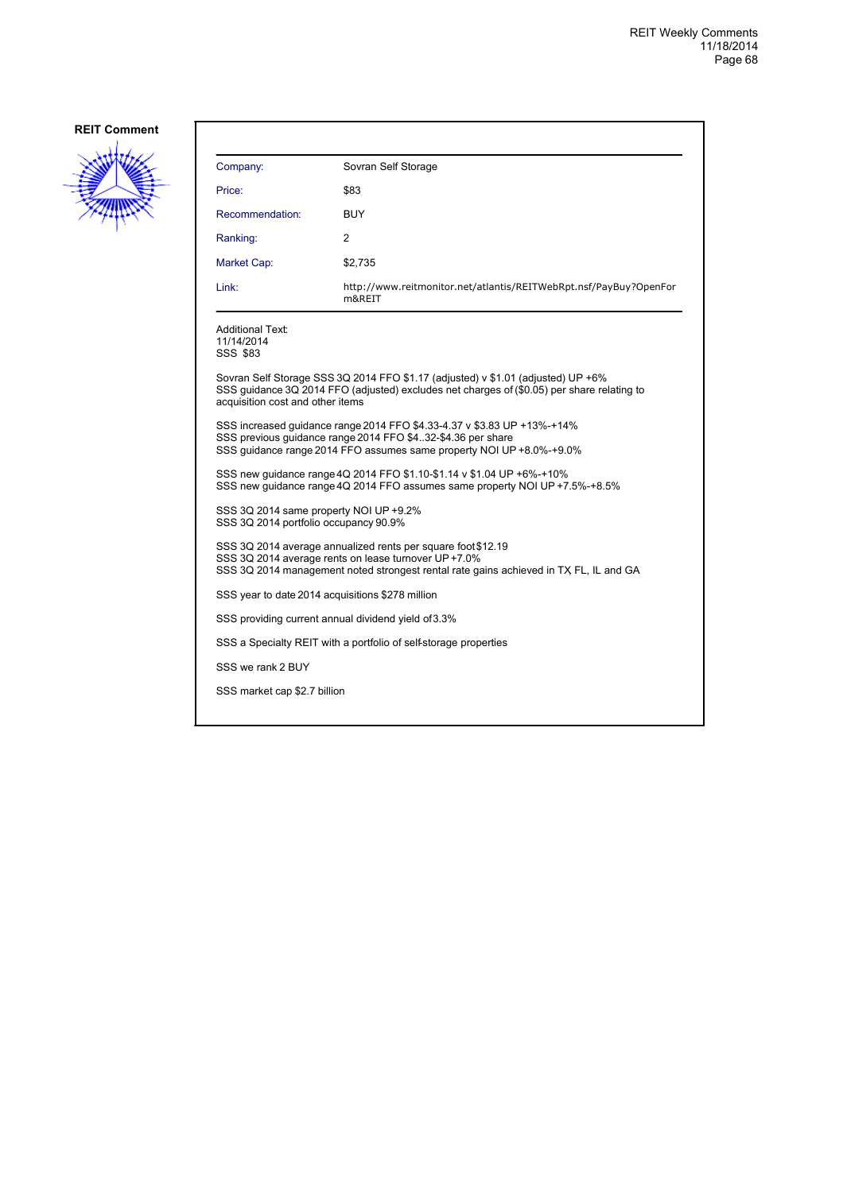

| Company:                                                                                                                                                                                                           | Sovran Self Storage                                                         |  |
|--------------------------------------------------------------------------------------------------------------------------------------------------------------------------------------------------------------------|-----------------------------------------------------------------------------|--|
| Price:                                                                                                                                                                                                             | \$83                                                                        |  |
| Recommendation:                                                                                                                                                                                                    | BUY                                                                         |  |
| Ranking:                                                                                                                                                                                                           | 2                                                                           |  |
| Market Cap:                                                                                                                                                                                                        | \$2,735                                                                     |  |
| Link:                                                                                                                                                                                                              | http://www.reitmonitor.net/atlantis/REITWebRpt.nsf/PayBuy?OpenFor<br>m&REIT |  |
| <b>Additional Text:</b><br>11/14/2014<br>SSS \$83                                                                                                                                                                  |                                                                             |  |
| Sovran Self Storage SSS 3Q 2014 FFO \$1.17 (adjusted) v \$1.01 (adjusted) UP +6%<br>SSS quidance 3Q 2014 FFO (adjusted) excludes net charges of (\$0.05) per share relating to<br>acquisition cost and other items |                                                                             |  |
| SSS increased quidance range 2014 FFO \$4.33-4.37 v \$3.83 UP +13%-+14%<br>SSS previous guidance range 2014 FFO \$432-\$4.36 per share<br>SSS quidance range 2014 FFO assumes same property NOI UP +8.0%-+9.0%     |                                                                             |  |
| SSS new guidance range 4Q 2014 FFO \$1.10-\$1.14 v \$1.04 UP +6%-+10%<br>SSS new quidance range 4Q 2014 FFO assumes same property NOI UP +7.5%-+8.5%                                                               |                                                                             |  |
| SSS 3Q 2014 same property NOI UP +9.2%<br>SSS 3Q 2014 portfolio occupancy 90.9%                                                                                                                                    |                                                                             |  |
| SSS 3Q 2014 average annualized rents per square foot \$12.19<br>SSS 3Q 2014 average rents on lease turnover UP +7.0%<br>SSS 3Q 2014 management noted strongest rental rate gains achieved in TX FL, IL and GA      |                                                                             |  |
| SSS year to date 2014 acquisitions \$278 million                                                                                                                                                                   |                                                                             |  |
| SSS providing current annual dividend yield of 3.3%                                                                                                                                                                |                                                                             |  |
|                                                                                                                                                                                                                    | SSS a Specialty REIT with a portfolio of self-storage properties            |  |
| SSS we rank 2 BUY                                                                                                                                                                                                  |                                                                             |  |
| SSS market cap \$2.7 billion                                                                                                                                                                                       |                                                                             |  |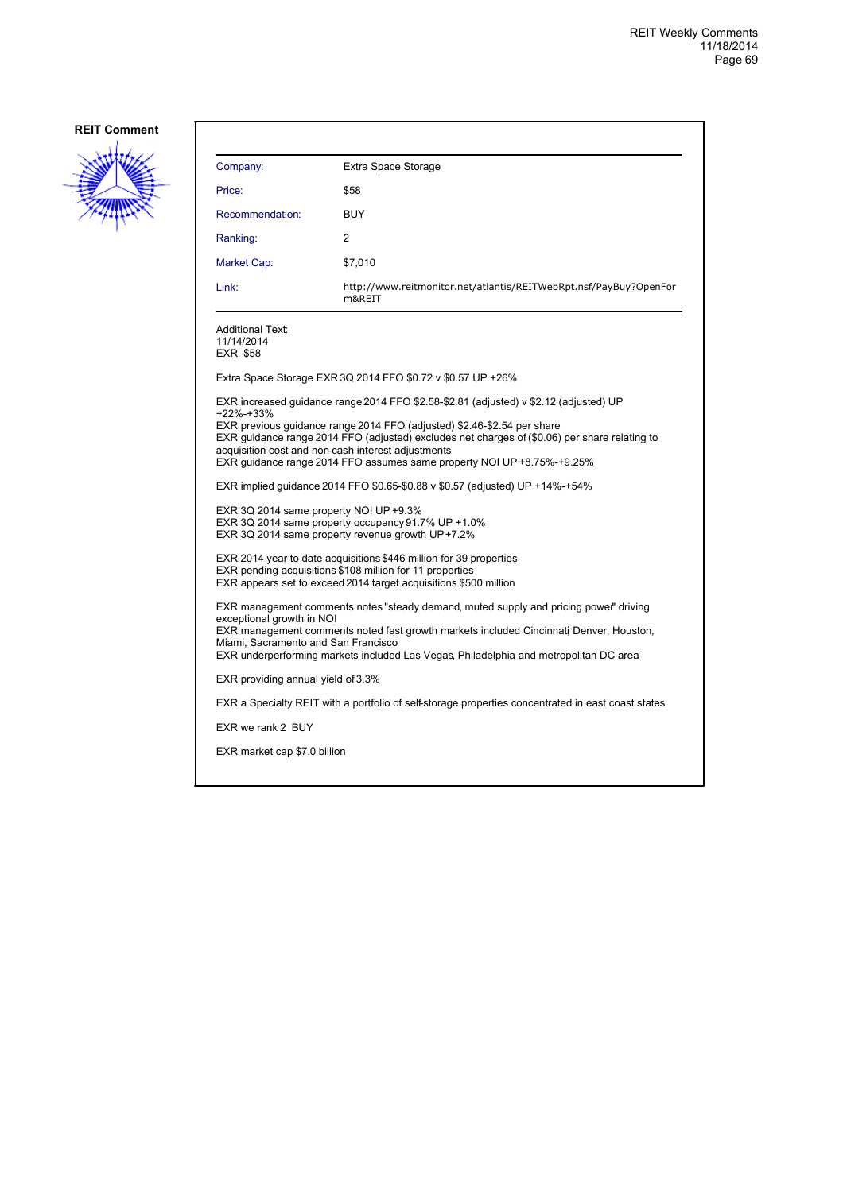

| Company:                                                                                                                                                                                                                                                                                                                                                                                                                                                                                                                                 | Extra Space Storage                                                                                |  |
|------------------------------------------------------------------------------------------------------------------------------------------------------------------------------------------------------------------------------------------------------------------------------------------------------------------------------------------------------------------------------------------------------------------------------------------------------------------------------------------------------------------------------------------|----------------------------------------------------------------------------------------------------|--|
| Price:                                                                                                                                                                                                                                                                                                                                                                                                                                                                                                                                   | \$58                                                                                               |  |
| Recommendation:                                                                                                                                                                                                                                                                                                                                                                                                                                                                                                                          | <b>BUY</b>                                                                                         |  |
| Ranking:                                                                                                                                                                                                                                                                                                                                                                                                                                                                                                                                 | 2                                                                                                  |  |
| Market Cap:                                                                                                                                                                                                                                                                                                                                                                                                                                                                                                                              | \$7,010                                                                                            |  |
| Link:                                                                                                                                                                                                                                                                                                                                                                                                                                                                                                                                    | http://www.reitmonitor.net/atlantis/REITWebRpt.nsf/PayBuy?OpenFor<br>m&REIT                        |  |
| <b>Additional Text:</b><br>11/14/2014<br>EXR \$58                                                                                                                                                                                                                                                                                                                                                                                                                                                                                        |                                                                                                    |  |
|                                                                                                                                                                                                                                                                                                                                                                                                                                                                                                                                          | Extra Space Storage EXR 3Q 2014 FFO \$0.72 v \$0.57 UP +26%                                        |  |
| EXR increased guidance range 2014 FFO \$2.58-\$2.81 (adjusted) v \$2.12 (adjusted) UP<br>+22%-+33%<br>EXR previous guidance range 2014 FFO (adjusted) \$2.46-\$2.54 per share<br>EXR guidance range 2014 FFO (adjusted) excludes net charges of (\$0.06) per share relating to<br>acquisition cost and non-cash interest adjustments<br>EXR guidance range 2014 FFO assumes same property NOI UP +8.75%-+9.25%<br>EXR implied quidance 2014 FFO \$0.65-\$0.88 v \$0.57 (adjusted) UP +14%-+54%<br>EXR 3Q 2014 same property NOI UP +9.3% |                                                                                                    |  |
| EXR 3Q 2014 same property occupancy 91.7% UP +1.0%<br>EXR 3Q 2014 same property revenue growth UP+7.2%                                                                                                                                                                                                                                                                                                                                                                                                                                   |                                                                                                    |  |
| EXR 2014 year to date acquisitions \$446 million for 39 properties<br>EXR pending acquisitions \$108 million for 11 properties<br>EXR appears set to exceed 2014 target acquisitions \$500 million                                                                                                                                                                                                                                                                                                                                       |                                                                                                    |  |
| EXR management comments notes "steady demand, muted supply and pricing power" driving<br>exceptional growth in NOI<br>EXR management comments noted fast growth markets included Cincinnati Denver, Houston,<br>Miami, Sacramento and San Francisco<br>EXR underperforming markets included Las Vegas, Philadelphia and metropolitan DC area                                                                                                                                                                                             |                                                                                                    |  |
| EXR providing annual yield of 3.3%                                                                                                                                                                                                                                                                                                                                                                                                                                                                                                       |                                                                                                    |  |
|                                                                                                                                                                                                                                                                                                                                                                                                                                                                                                                                          | EXR a Specialty REIT with a portfolio of self-storage properties concentrated in east coast states |  |
| EXR we rank 2 BUY                                                                                                                                                                                                                                                                                                                                                                                                                                                                                                                        |                                                                                                    |  |
| EXR market cap \$7.0 billion                                                                                                                                                                                                                                                                                                                                                                                                                                                                                                             |                                                                                                    |  |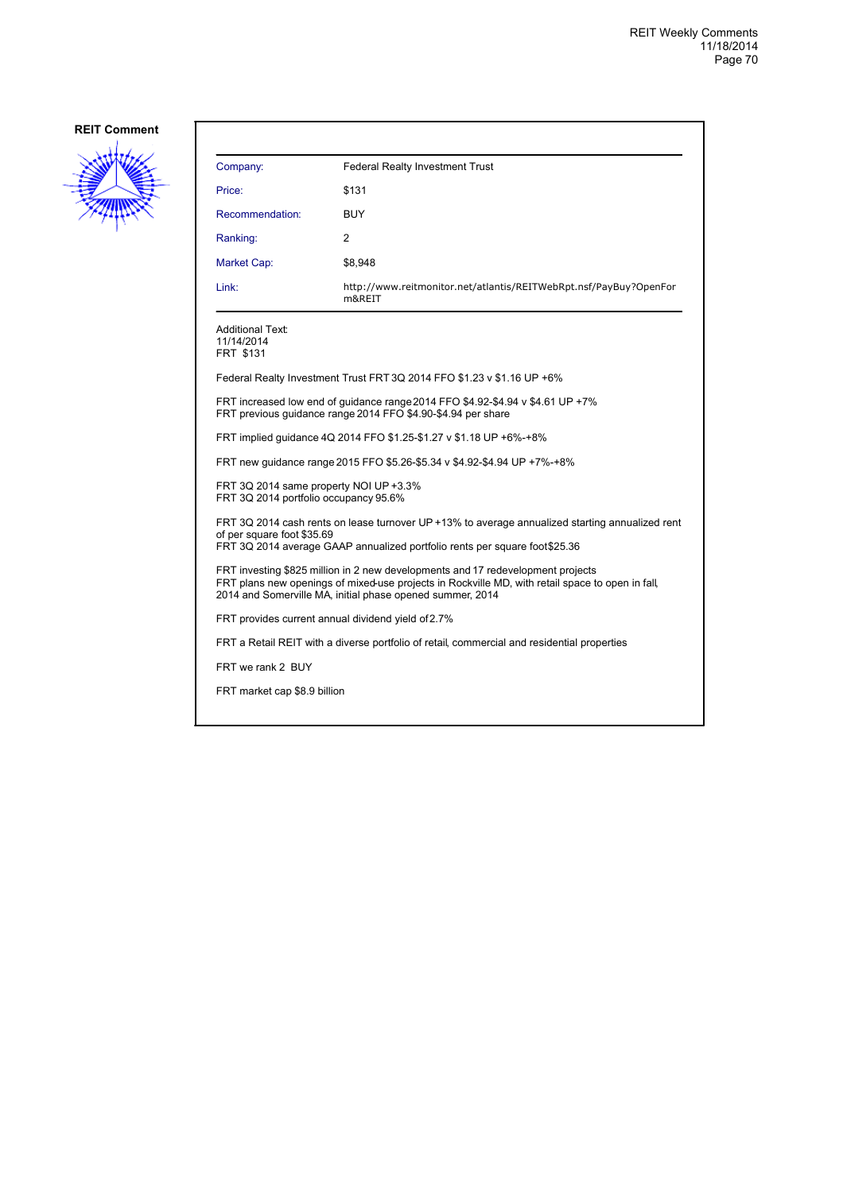

| Company:                                                                                                                                                                                                                                         | <b>Federal Realty Investment Trust</b>                                                      |  |
|--------------------------------------------------------------------------------------------------------------------------------------------------------------------------------------------------------------------------------------------------|---------------------------------------------------------------------------------------------|--|
| Price:                                                                                                                                                                                                                                           | \$131                                                                                       |  |
| Recommendation:                                                                                                                                                                                                                                  | BUY                                                                                         |  |
| Ranking:                                                                                                                                                                                                                                         | 2                                                                                           |  |
| Market Cap:                                                                                                                                                                                                                                      | \$8,948                                                                                     |  |
| Link:                                                                                                                                                                                                                                            | http://www.reitmonitor.net/atlantis/REITWebRpt.nsf/PayBuy?OpenFor<br>m&REIT                 |  |
| <b>Additional Text:</b><br>11/14/2014<br>FRT \$131                                                                                                                                                                                               |                                                                                             |  |
|                                                                                                                                                                                                                                                  | Federal Realty Investment Trust FRT 3Q 2014 FFO \$1.23 v \$1.16 UP +6%                      |  |
| FRT increased low end of quidance range 2014 FFO \$4.92-\$4.94 v \$4.61 UP +7%<br>FRT previous quidance range 2014 FFO \$4.90-\$4.94 per share                                                                                                   |                                                                                             |  |
| FRT implied quidance 4Q 2014 FFO \$1.25-\$1.27 v \$1.18 UP +6%-+8%                                                                                                                                                                               |                                                                                             |  |
| FRT new guidance range 2015 FFO \$5.26-\$5.34 v \$4.92-\$4.94 UP +7%-+8%                                                                                                                                                                         |                                                                                             |  |
| FRT 3Q 2014 same property NOI UP +3.3%<br>FRT 3Q 2014 portfolio occupancy 95.6%                                                                                                                                                                  |                                                                                             |  |
| FRT 3Q 2014 cash rents on lease turnover UP +13% to average annualized starting annualized rent<br>of per square foot \$35.69<br>FRT 3Q 2014 average GAAP annualized portfolio rents per square foot \$25.36                                     |                                                                                             |  |
| FRT investing \$825 million in 2 new developments and 17 redevelopment projects<br>FRT plans new openings of mixed-use projects in Rockville MD, with retail space to open in fall,<br>2014 and Somerville MA, initial phase opened summer, 2014 |                                                                                             |  |
| FRT provides current annual dividend yield of 2.7%                                                                                                                                                                                               |                                                                                             |  |
|                                                                                                                                                                                                                                                  | FRT a Retail REIT with a diverse portfolio of retail, commercial and residential properties |  |
| FRT we rank 2 BUY                                                                                                                                                                                                                                |                                                                                             |  |
| FRT market cap \$8.9 billion                                                                                                                                                                                                                     |                                                                                             |  |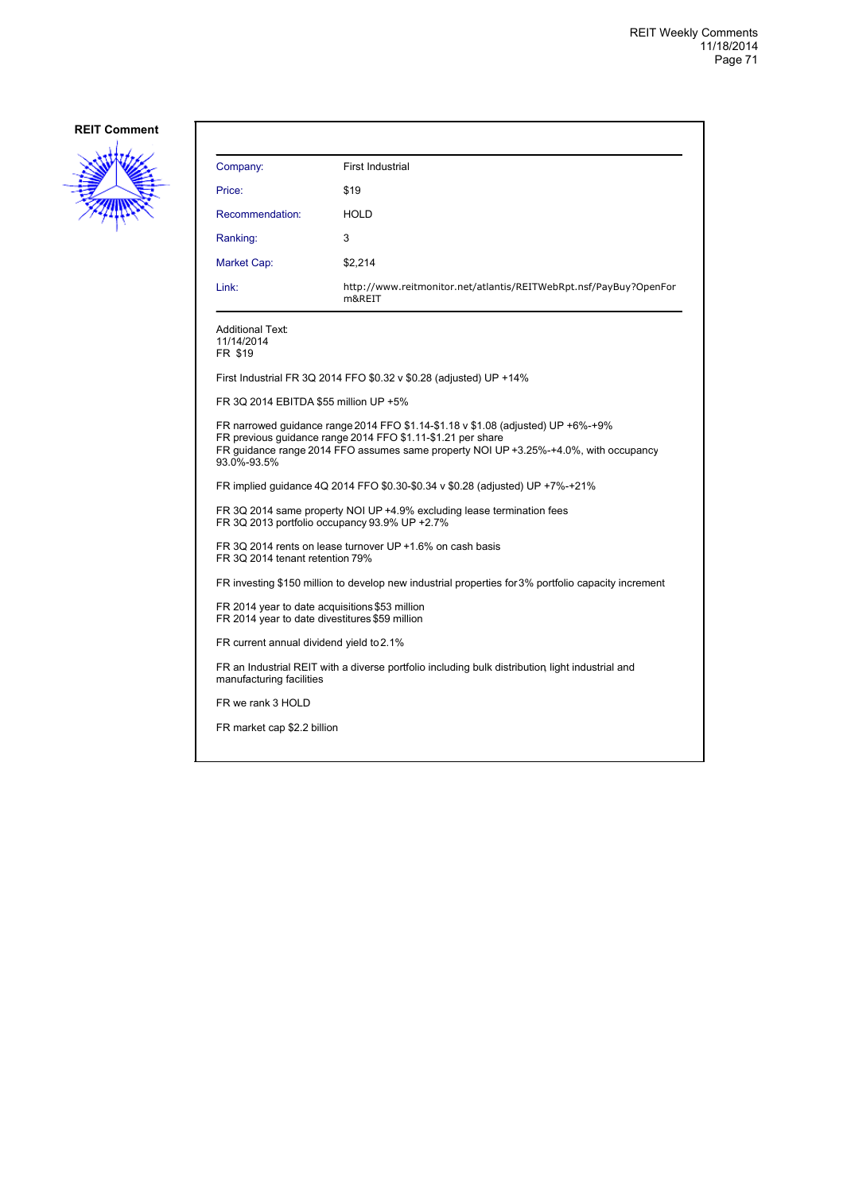

| Company:                                                                                                                                                                                                                                               | <b>First Industrial</b>                                                     |  |
|--------------------------------------------------------------------------------------------------------------------------------------------------------------------------------------------------------------------------------------------------------|-----------------------------------------------------------------------------|--|
| Price:                                                                                                                                                                                                                                                 | \$19                                                                        |  |
| Recommendation:                                                                                                                                                                                                                                        | <b>HOLD</b>                                                                 |  |
| Ranking:                                                                                                                                                                                                                                               | 3                                                                           |  |
| <b>Market Cap:</b>                                                                                                                                                                                                                                     | \$2.214                                                                     |  |
| Link:                                                                                                                                                                                                                                                  | http://www.reitmonitor.net/atlantis/REITWebRpt.nsf/PayBuy?OpenFor<br>m&REIT |  |
| <b>Additional Text:</b><br>11/14/2014<br>FR \$19                                                                                                                                                                                                       |                                                                             |  |
|                                                                                                                                                                                                                                                        | First Industrial FR 3Q 2014 FFO \$0.32 v \$0.28 (adjusted) UP +14%          |  |
| FR 3Q 2014 EBITDA \$55 million UP +5%                                                                                                                                                                                                                  |                                                                             |  |
| FR narrowed quidance range 2014 FFO \$1.14-\$1.18 v \$1.08 (adjusted) UP +6%-+9%<br>FR previous guidance range 2014 FFO \$1.11-\$1.21 per share<br>FR guidance range 2014 FFO assumes same property NOI UP +3.25%-+4.0%, with occupancy<br>93.0%-93.5% |                                                                             |  |
| FR implied quidance 4Q 2014 FFO \$0.30-\$0.34 v \$0.28 (adjusted) UP +7%-+21%                                                                                                                                                                          |                                                                             |  |
| FR 3Q 2014 same property NOI UP +4.9% excluding lease termination fees<br>FR 3Q 2013 portfolio occupancy 93.9% UP +2.7%                                                                                                                                |                                                                             |  |
| FR 3Q 2014 rents on lease turnover UP +1.6% on cash basis<br>FR 3Q 2014 tenant retention 79%                                                                                                                                                           |                                                                             |  |
| FR investing \$150 million to develop new industrial properties for 3% portfolio capacity increment                                                                                                                                                    |                                                                             |  |
| FR 2014 year to date acquisitions \$53 million<br>FR 2014 year to date divestitures \$59 million                                                                                                                                                       |                                                                             |  |
| FR current annual dividend yield to 2.1%                                                                                                                                                                                                               |                                                                             |  |
| FR an Industrial REIT with a diverse portfolio including bulk distribution light industrial and<br>manufacturing facilities                                                                                                                            |                                                                             |  |
| FR we rank 3 HOLD                                                                                                                                                                                                                                      |                                                                             |  |
| FR market cap \$2.2 billion                                                                                                                                                                                                                            |                                                                             |  |
|                                                                                                                                                                                                                                                        |                                                                             |  |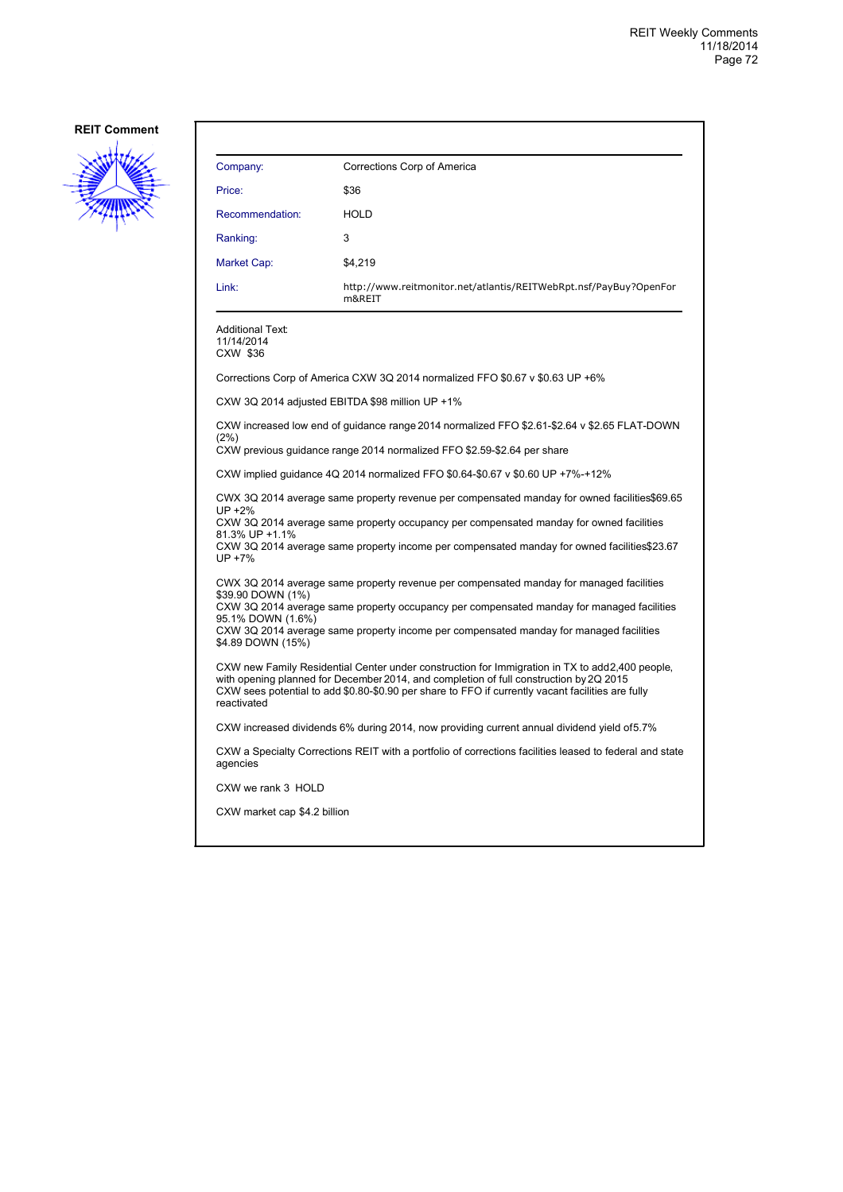

| Company:                                                                                                                                                                                                                                                                                                                                      | Corrections Corp of America                                                                             |  |
|-----------------------------------------------------------------------------------------------------------------------------------------------------------------------------------------------------------------------------------------------------------------------------------------------------------------------------------------------|---------------------------------------------------------------------------------------------------------|--|
| Price:                                                                                                                                                                                                                                                                                                                                        | \$36                                                                                                    |  |
| Recommendation:                                                                                                                                                                                                                                                                                                                               | <b>HOLD</b>                                                                                             |  |
| Ranking:                                                                                                                                                                                                                                                                                                                                      | 3                                                                                                       |  |
| Market Cap:                                                                                                                                                                                                                                                                                                                                   | \$4,219                                                                                                 |  |
| Link:                                                                                                                                                                                                                                                                                                                                         | http://www.reitmonitor.net/atlantis/REITWebRpt.nsf/PayBuy?OpenFor<br>m&REIT                             |  |
| Additional Text:<br>11/14/2014<br>CXW \$36                                                                                                                                                                                                                                                                                                    |                                                                                                         |  |
|                                                                                                                                                                                                                                                                                                                                               | Corrections Corp of America CXW 3Q 2014 normalized FFO \$0.67 v \$0.63 UP +6%                           |  |
|                                                                                                                                                                                                                                                                                                                                               | CXW 3Q 2014 adjusted EBITDA \$98 million UP +1%                                                         |  |
| CXW increased low end of guidance range 2014 normalized FFO \$2.61-\$2.64 v \$2.65 FLAT-DOWN<br>(2%)<br>CXW previous guidance range 2014 normalized FFO \$2.59-\$2.64 per share                                                                                                                                                               |                                                                                                         |  |
| CXW implied guidance 4Q 2014 normalized FFO \$0.64-\$0.67 v \$0.60 UP +7%-+12%                                                                                                                                                                                                                                                                |                                                                                                         |  |
| CWX 3Q 2014 average same property revenue per compensated manday for owned facilities\$69.65<br>UP +2%<br>CXW 3Q 2014 average same property occupancy per compensated manday for owned facilities<br>81.3% UP +1.1%<br>CXW 3Q 2014 average same property income per compensated manday for owned facilities\$23.67<br>UP +7%                  |                                                                                                         |  |
| CWX 3Q 2014 average same property revenue per compensated manday for managed facilities<br>\$39.90 DOWN (1%)<br>CXW 3Q 2014 average same property occupancy per compensated manday for managed facilities<br>95.1% DOWN (1.6%)<br>CXW 3Q 2014 average same property income per compensated manday for managed facilities<br>\$4.89 DOWN (15%) |                                                                                                         |  |
| CXW new Family Residential Center under construction for Immigration in TX to add2,400 people,<br>with opening planned for December 2014, and completion of full construction by 2Q 2015<br>CXW sees potential to add \$0.80-\$0.90 per share to FFO if currently vacant facilities are fully<br>reactivated                                  |                                                                                                         |  |
|                                                                                                                                                                                                                                                                                                                                               | CXW increased dividends 6% during 2014, now providing current annual dividend yield of5.7%              |  |
| agencies                                                                                                                                                                                                                                                                                                                                      | CXW a Specialty Corrections REIT with a portfolio of corrections facilities leased to federal and state |  |
| CXW we rank 3 HOLD                                                                                                                                                                                                                                                                                                                            |                                                                                                         |  |
| CXW market cap \$4.2 billion                                                                                                                                                                                                                                                                                                                  |                                                                                                         |  |